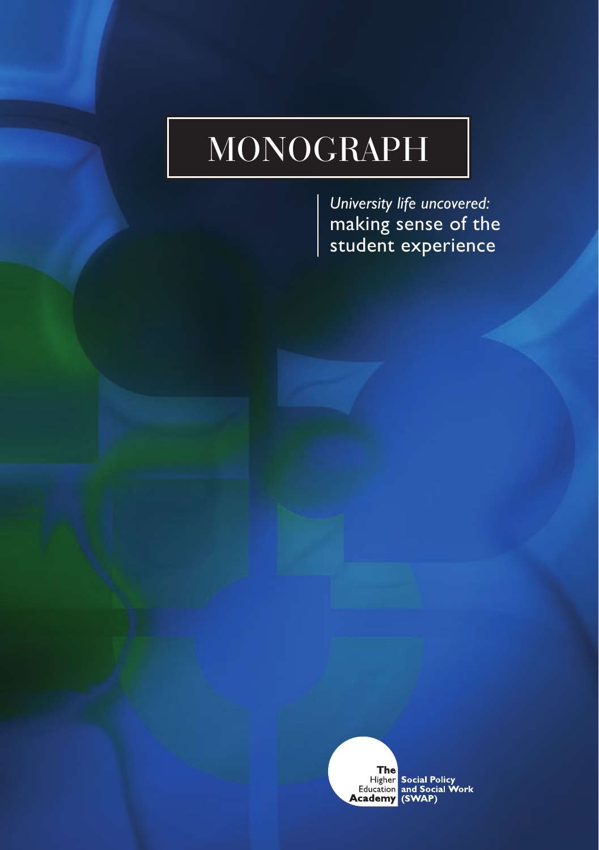# MONOGRAPH

*University life uncovered:*  making sense of the student experience

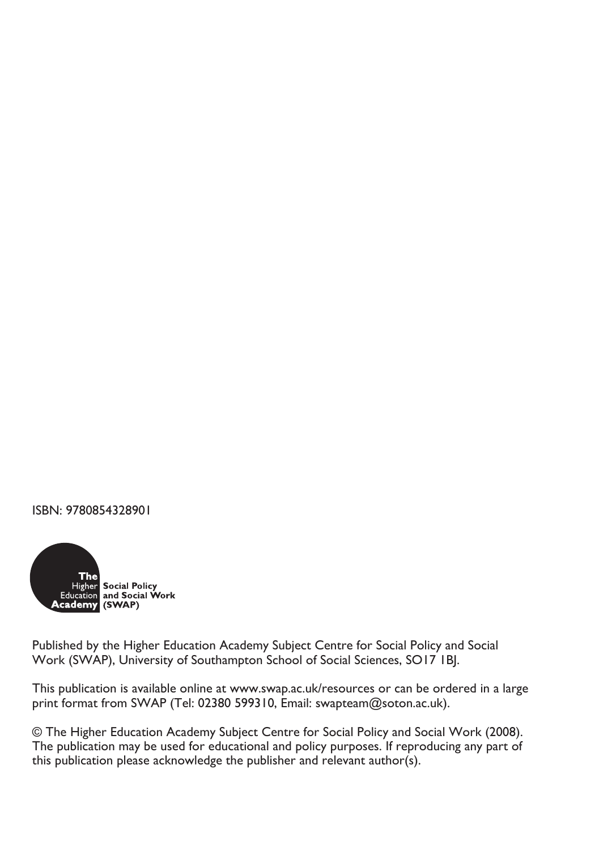ISBN: 9780854328901



Published by the Higher Education Academy Subject Centre for Social Policy and Social Work (SWAP), University of Southampton School of Social Sciences, SO17 1BJ.

This publication is available online at www.swap.ac.uk/resources or can be ordered in a large print format from SWAP (Tel: 02380 599310, Email: swapteam@soton.ac.uk).

© The Higher Education Academy Subject Centre for Social Policy and Social Work (2008). The publication may be used for educational and policy purposes. If reproducing any part of this publication please acknowledge the publisher and relevant author(s).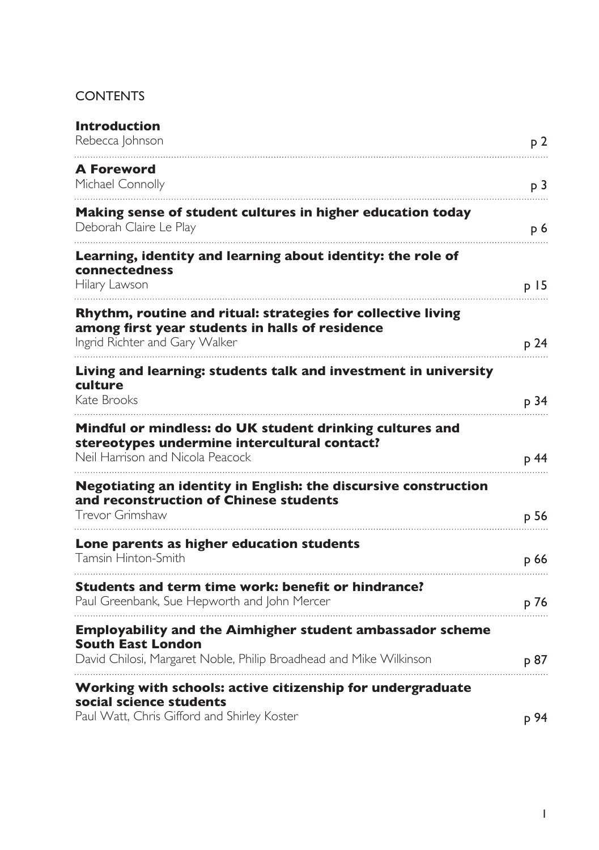# **CONTENTS**

| <b>Introduction</b><br>Rebecca Johnson                                                                                                                             | p 2             |
|--------------------------------------------------------------------------------------------------------------------------------------------------------------------|-----------------|
| <b>A Foreword</b><br>Michael Connolly                                                                                                                              | p <sub>3</sub>  |
| Making sense of student cultures in higher education today<br>Deborah Claire Le Play                                                                               | p 6             |
| Learning, identity and learning about identity: the role of<br>connectedness<br>Hilary Lawson                                                                      | p <sub>15</sub> |
| Rhythm, routine and ritual: strategies for collective living<br>among first year students in halls of residence<br>Ingrid Richter and Gary Walker                  | p 24            |
| Living and learning: students talk and investment in university<br>culture<br>Kate Brooks                                                                          | p 34            |
| Mindful or mindless: do UK student drinking cultures and<br>stereotypes undermine intercultural contact?<br>Neil Harrison and Nicola Peacock                       | p 44            |
| Negotiating an identity in English: the discursive construction<br>and reconstruction of Chinese students<br>Trevor Grimshaw                                       | p 56            |
| Lone parents as higher education students<br>Tamsin Hinton-Smith                                                                                                   | p 66            |
| Students and term time work: benefit or hindrance?<br>Paul Greenbank, Sue Hepworth and John Mercer                                                                 | p 76            |
| <b>Employability and the Aimhigher student ambassador scheme</b><br><b>South East London</b><br>David Chilosi, Margaret Noble, Philip Broadhead and Mike Wilkinson | p 87            |
| Working with schools: active citizenship for undergraduate<br>social science students<br>Paul Watt, Chris Gifford and Shirley Koster                               | p 94            |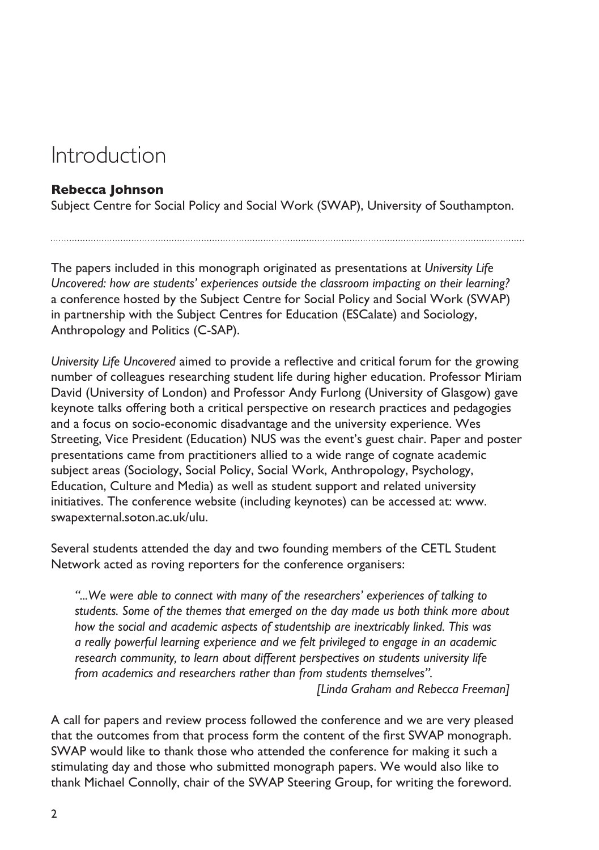# <span id="page-3-0"></span>Introduction

#### **Rebecca Johnson**

Subject Centre for Social Policy and Social Work (SWAP), University of Southampton.

The papers included in this monograph originated as presentations at *University Life Uncovered: how are students' experiences outside the classroom impacting on their learning?* a conference hosted by the Subject Centre for Social Policy and Social Work (SWAP) in partnership with the Subject Centres for Education (ESCalate) and Sociology, Anthropology and Politics (C-SAP).

*University Life Uncovered* aimed to provide a reflective and critical forum for the growing number of colleagues researching student life during higher education. Professor Miriam David (University of London) and Professor Andy Furlong (University of Glasgow) gave keynote talks offering both a critical perspective on research practices and pedagogies and a focus on socio-economic disadvantage and the university experience. Wes Streeting, Vice President (Education) NUS was the event's guest chair. Paper and poster presentations came from practitioners allied to a wide range of cognate academic subject areas (Sociology, Social Policy, Social Work, Anthropology, Psychology, Education, Culture and Media) as well as student support and related university initiatives. The conference website (including keynotes) can be accessed at: www. swapexternal.soton.ac.uk/ulu.

Several students attended the day and two founding members of the CETL Student Network acted as roving reporters for the conference organisers:

*"...We were able to connect with many of the researchers' experiences of talking to students. Some of the themes that emerged on the day made us both think more about how the social and academic aspects of studentship are inextricably linked. This was a really powerful learning experience and we felt privileged to engage in an academic research community, to learn about different perspectives on students university life from academics and researchers rather than from students themselves".*

*[Linda Graham and Rebecca Freeman]*

A call for papers and review process followed the conference and we are very pleased that the outcomes from that process form the content of the first SWAP monograph. SWAP would like to thank those who attended the conference for making it such a stimulating day and those who submitted monograph papers. We would also like to thank Michael Connolly, chair of the SWAP Steering Group, for writing the foreword.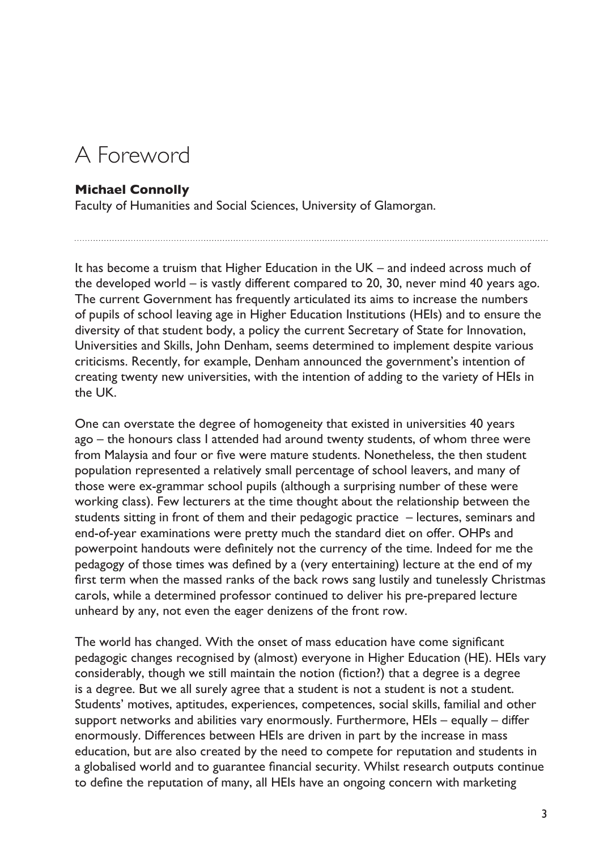# <span id="page-4-0"></span>A Foreword

#### **Michael Connolly**

Faculty of Humanities and Social Sciences, University of Glamorgan.

It has become a truism that Higher Education in the UK – and indeed across much of the developed world – is vastly different compared to 20, 30, never mind 40 years ago. The current Government has frequently articulated its aims to increase the numbers of pupils of school leaving age in Higher Education Institutions (HEIs) and to ensure the diversity of that student body, a policy the current Secretary of State for Innovation, Universities and Skills, John Denham, seems determined to implement despite various criticisms. Recently, for example, Denham announced the government's intention of creating twenty new universities, with the intention of adding to the variety of HEIs in the UK.

One can overstate the degree of homogeneity that existed in universities 40 years ago – the honours class I attended had around twenty students, of whom three were from Malaysia and four or five were mature students. Nonetheless, the then student population represented a relatively small percentage of school leavers, and many of those were ex-grammar school pupils (although a surprising number of these were working class). Few lecturers at the time thought about the relationship between the students sitting in front of them and their pedagogic practice – lectures, seminars and end-of-year examinations were pretty much the standard diet on offer. OHPs and powerpoint handouts were definitely not the currency of the time. Indeed for me the pedagogy of those times was defined by a (very entertaining) lecture at the end of my first term when the massed ranks of the back rows sang lustily and tunelessly Christmas carols, while a determined professor continued to deliver his pre-prepared lecture unheard by any, not even the eager denizens of the front row.

The world has changed. With the onset of mass education have come significant pedagogic changes recognised by (almost) everyone in Higher Education (HE). HEIs vary considerably, though we still maintain the notion (fiction?) that a degree is a degree is a degree. But we all surely agree that a student is not a student is not a student. Students' motives, aptitudes, experiences, competences, social skills, familial and other support networks and abilities vary enormously. Furthermore, HEIs – equally – differ enormously. Differences between HEIs are driven in part by the increase in mass education, but are also created by the need to compete for reputation and students in a globalised world and to guarantee financial security. Whilst research outputs continue to define the reputation of many, all HEIs have an ongoing concern with marketing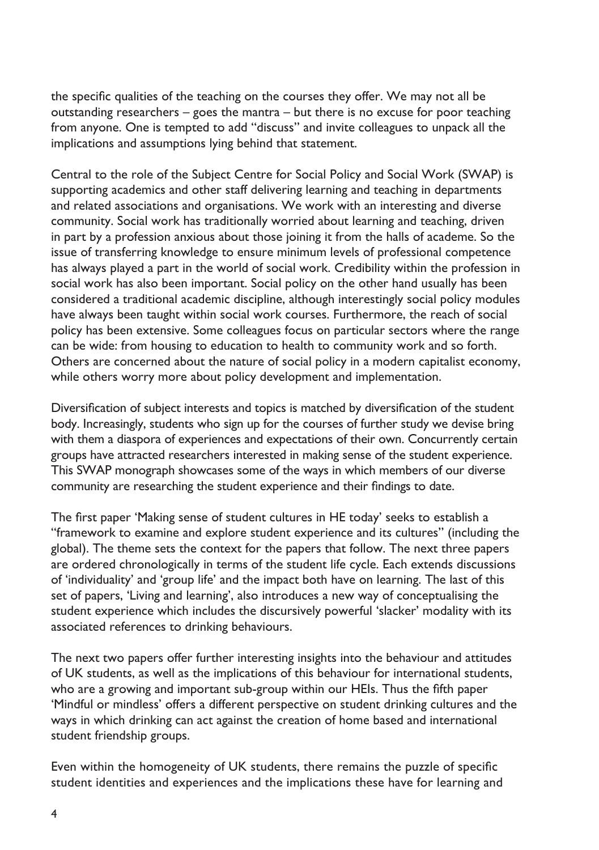the specific qualities of the teaching on the courses they offer. We may not all be outstanding researchers – goes the mantra – but there is no excuse for poor teaching from anyone. One is tempted to add "discuss" and invite colleagues to unpack all the implications and assumptions lying behind that statement.

Central to the role of the Subject Centre for Social Policy and Social Work (SWAP) is supporting academics and other staff delivering learning and teaching in departments and related associations and organisations. We work with an interesting and diverse community. Social work has traditionally worried about learning and teaching, driven in part by a profession anxious about those joining it from the halls of academe. So the issue of transferring knowledge to ensure minimum levels of professional competence has always played a part in the world of social work. Credibility within the profession in social work has also been important. Social policy on the other hand usually has been considered a traditional academic discipline, although interestingly social policy modules have always been taught within social work courses. Furthermore, the reach of social policy has been extensive. Some colleagues focus on particular sectors where the range can be wide: from housing to education to health to community work and so forth. Others are concerned about the nature of social policy in a modern capitalist economy, while others worry more about policy development and implementation.

Diversification of subject interests and topics is matched by diversification of the student body. Increasingly, students who sign up for the courses of further study we devise bring with them a diaspora of experiences and expectations of their own. Concurrently certain groups have attracted researchers interested in making sense of the student experience. This SWAP monograph showcases some of the ways in which members of our diverse community are researching the student experience and their findings to date.

The first paper 'Making sense of student cultures in HE today' seeks to establish a "framework to examine and explore student experience and its cultures" (including the global). The theme sets the context for the papers that follow. The next three papers are ordered chronologically in terms of the student life cycle. Each extends discussions of 'individuality' and 'group life' and the impact both have on learning. The last of this set of papers, 'Living and learning', also introduces a new way of conceptualising the student experience which includes the discursively powerful 'slacker' modality with its associated references to drinking behaviours.

The next two papers offer further interesting insights into the behaviour and attitudes of UK students, as well as the implications of this behaviour for international students, who are a growing and important sub-group within our HEIs. Thus the fifth paper 'Mindful or mindless' offers a different perspective on student drinking cultures and the ways in which drinking can act against the creation of home based and international student friendship groups.

Even within the homogeneity of UK students, there remains the puzzle of specific student identities and experiences and the implications these have for learning and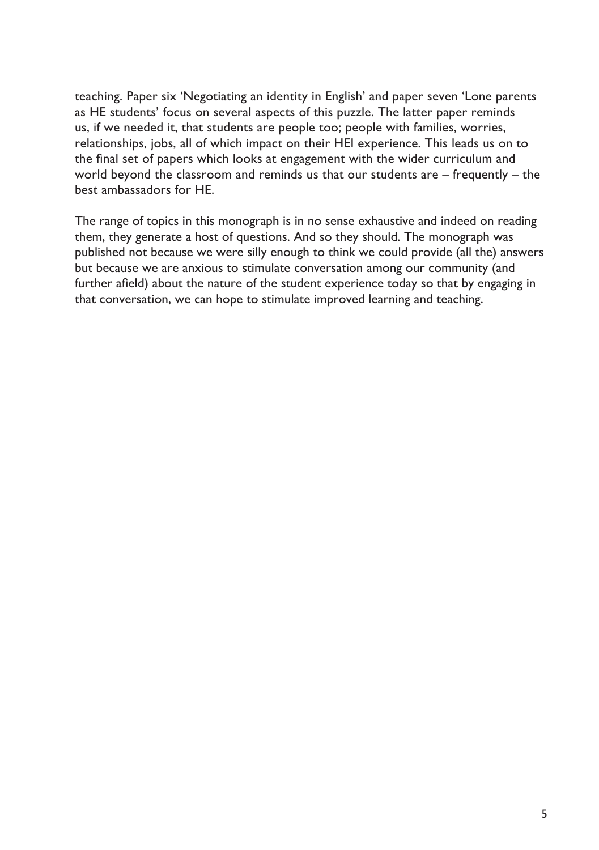teaching. Paper six 'Negotiating an identity in English' and paper seven 'Lone parents as HE students' focus on several aspects of this puzzle. The latter paper reminds us, if we needed it, that students are people too; people with families, worries, relationships, jobs, all of which impact on their HEI experience. This leads us on to the final set of papers which looks at engagement with the wider curriculum and world beyond the classroom and reminds us that our students are – frequently – the best ambassadors for HE.

The range of topics in this monograph is in no sense exhaustive and indeed on reading them, they generate a host of questions. And so they should. The monograph was published not because we were silly enough to think we could provide (all the) answers but because we are anxious to stimulate conversation among our community (and further afield) about the nature of the student experience today so that by engaging in that conversation, we can hope to stimulate improved learning and teaching.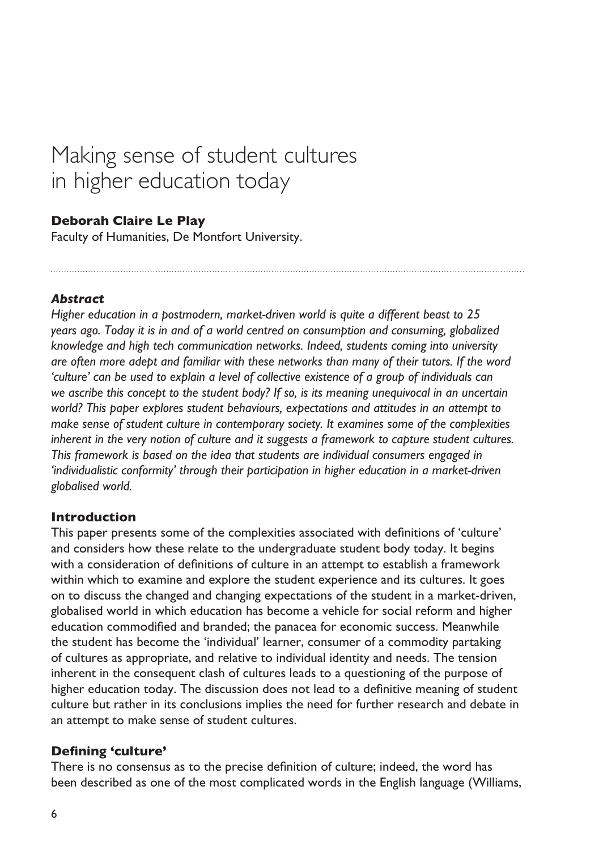# <span id="page-7-0"></span>Making sense of student cultures in higher education today

#### **Deborah Claire Le Play**

Faculty of Humanities, De Montfort University.

#### *Abstract*

*Higher education in a postmodern, market-driven world is quite a different beast to 25 years ago. Today it is in and of a world centred on consumption and consuming, globalized knowledge and high tech communication networks. Indeed, students coming into university are often more adept and familiar with these networks than many of their tutors. If the word 'culture' can be used to explain a level of collective existence of a group of individuals can we ascribe this concept to the student body? If so, is its meaning unequivocal in an uncertain world? This paper explores student behaviours, expectations and attitudes in an attempt to make sense of student culture in contemporary society. It examines some of the complexities inherent in the very notion of culture and it suggests a framework to capture student cultures. This framework is based on the idea that students are individual consumers engaged in 'individualistic conformity' through their participation in higher education in a market-driven globalised world.*

#### **Introduction**

This paper presents some of the complexities associated with definitions of 'culture' and considers how these relate to the undergraduate student body today. It begins with a consideration of definitions of culture in an attempt to establish a framework within which to examine and explore the student experience and its cultures. It goes on to discuss the changed and changing expectations of the student in a market-driven, globalised world in which education has become a vehicle for social reform and higher education commodified and branded; the panacea for economic success. Meanwhile the student has become the 'individual' learner, consumer of a commodity partaking of cultures as appropriate, and relative to individual identity and needs. The tension inherent in the consequent clash of cultures leads to a questioning of the purpose of higher education today. The discussion does not lead to a definitive meaning of student culture but rather in its conclusions implies the need for further research and debate in an attempt to make sense of student cultures.

#### **Defining 'culture'**

There is no consensus as to the precise definition of culture; indeed, the word has been described as one of the most complicated words in the English language (Williams,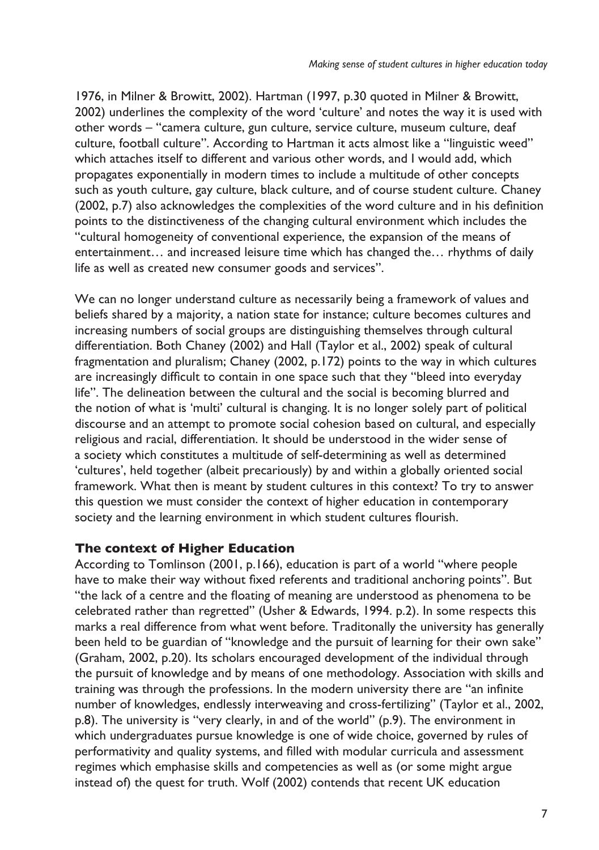1976, in Milner & Browitt, 2002). Hartman (1997, p.30 quoted in Milner & Browitt, 2002) underlines the complexity of the word 'culture' and notes the way it is used with other words – "camera culture, gun culture, service culture, museum culture, deaf culture, football culture". According to Hartman it acts almost like a "linguistic weed" which attaches itself to different and various other words, and I would add, which propagates exponentially in modern times to include a multitude of other concepts such as youth culture, gay culture, black culture, and of course student culture. Chaney (2002, p.7) also acknowledges the complexities of the word culture and in his definition points to the distinctiveness of the changing cultural environment which includes the "cultural homogeneity of conventional experience, the expansion of the means of entertainment… and increased leisure time which has changed the… rhythms of daily life as well as created new consumer goods and services".

We can no longer understand culture as necessarily being a framework of values and beliefs shared by a majority, a nation state for instance; culture becomes cultures and increasing numbers of social groups are distinguishing themselves through cultural differentiation. Both Chaney (2002) and Hall (Taylor et al., 2002) speak of cultural fragmentation and pluralism; Chaney (2002, p.172) points to the way in which cultures are increasingly difficult to contain in one space such that they "bleed into everyday life". The delineation between the cultural and the social is becoming blurred and the notion of what is 'multi' cultural is changing. It is no longer solely part of political discourse and an attempt to promote social cohesion based on cultural, and especially religious and racial, differentiation. It should be understood in the wider sense of a society which constitutes a multitude of self-determining as well as determined 'cultures', held together (albeit precariously) by and within a globally oriented social framework. What then is meant by student cultures in this context? To try to answer this question we must consider the context of higher education in contemporary society and the learning environment in which student cultures flourish.

#### **The context of Higher Education**

According to Tomlinson (2001, p.166), education is part of a world "where people have to make their way without fixed referents and traditional anchoring points". But "the lack of a centre and the floating of meaning are understood as phenomena to be celebrated rather than regretted" (Usher & Edwards, 1994. p.2). In some respects this marks a real difference from what went before. Traditonally the university has generally been held to be guardian of "knowledge and the pursuit of learning for their own sake" (Graham, 2002, p.20). Its scholars encouraged development of the individual through the pursuit of knowledge and by means of one methodology. Association with skills and training was through the professions. In the modern university there are "an infinite number of knowledges, endlessly interweaving and cross-fertilizing" (Taylor et al., 2002, p.8). The university is "very clearly, in and of the world" (p.9). The environment in which undergraduates pursue knowledge is one of wide choice, governed by rules of performativity and quality systems, and filled with modular curricula and assessment regimes which emphasise skills and competencies as well as (or some might argue instead of) the quest for truth. Wolf (2002) contends that recent UK education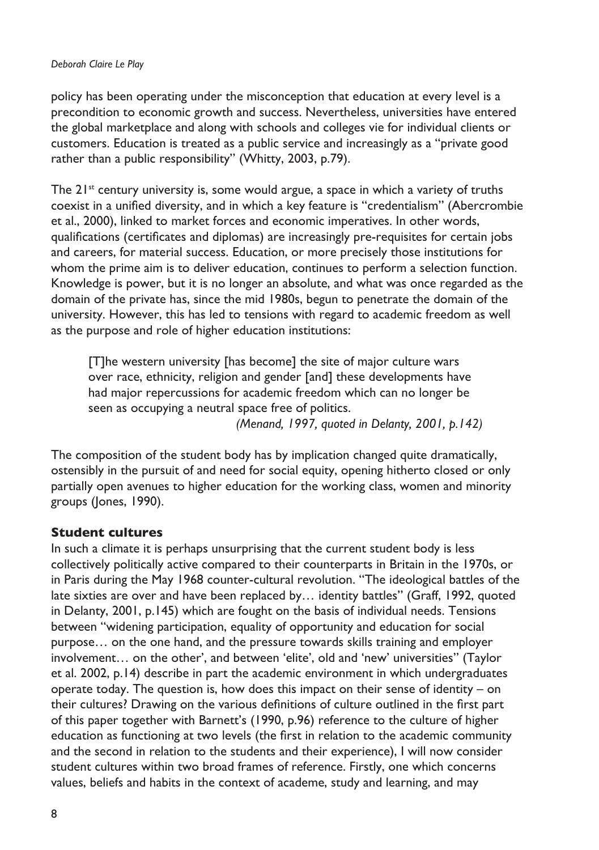#### *Deborah Claire Le Play*

policy has been operating under the misconception that education at every level is a precondition to economic growth and success. Nevertheless, universities have entered the global marketplace and along with schools and colleges vie for individual clients or customers. Education is treated as a public service and increasingly as a "private good rather than a public responsibility" (Whitty, 2003, p.79).

The  $21^{st}$  century university is, some would argue, a space in which a variety of truths coexist in a unified diversity, and in which a key feature is "credentialism" (Abercrombie et al., 2000), linked to market forces and economic imperatives. In other words, qualifications (certificates and diplomas) are increasingly pre-requisites for certain jobs and careers, for material success. Education, or more precisely those institutions for whom the prime aim is to deliver education, continues to perform a selection function. Knowledge is power, but it is no longer an absolute, and what was once regarded as the domain of the private has, since the mid 1980s, begun to penetrate the domain of the university. However, this has led to tensions with regard to academic freedom as well as the purpose and role of higher education institutions:

[T]he western university [has become] the site of major culture wars over race, ethnicity, religion and gender [and] these developments have had major repercussions for academic freedom which can no longer be seen as occupying a neutral space free of politics.

*(Menand, 1997, quoted in Delanty, 2001, p.142)*

The composition of the student body has by implication changed quite dramatically, ostensibly in the pursuit of and need for social equity, opening hitherto closed or only partially open avenues to higher education for the working class, women and minority groups (Jones, 1990).

#### **Student cultures**

In such a climate it is perhaps unsurprising that the current student body is less collectively politically active compared to their counterparts in Britain in the 1970s, or in Paris during the May 1968 counter-cultural revolution. "The ideological battles of the late sixties are over and have been replaced by… identity battles" (Graff, 1992, quoted in Delanty, 2001, p.145) which are fought on the basis of individual needs. Tensions between "widening participation, equality of opportunity and education for social purpose… on the one hand, and the pressure towards skills training and employer involvement… on the other', and between 'elite', old and 'new' universities" (Taylor et al. 2002, p.14) describe in part the academic environment in which undergraduates operate today. The question is, how does this impact on their sense of identity – on their cultures? Drawing on the various definitions of culture outlined in the first part of this paper together with Barnett's (1990, p.96) reference to the culture of higher education as functioning at two levels (the first in relation to the academic community and the second in relation to the students and their experience), I will now consider student cultures within two broad frames of reference. Firstly, one which concerns values, beliefs and habits in the context of academe, study and learning, and may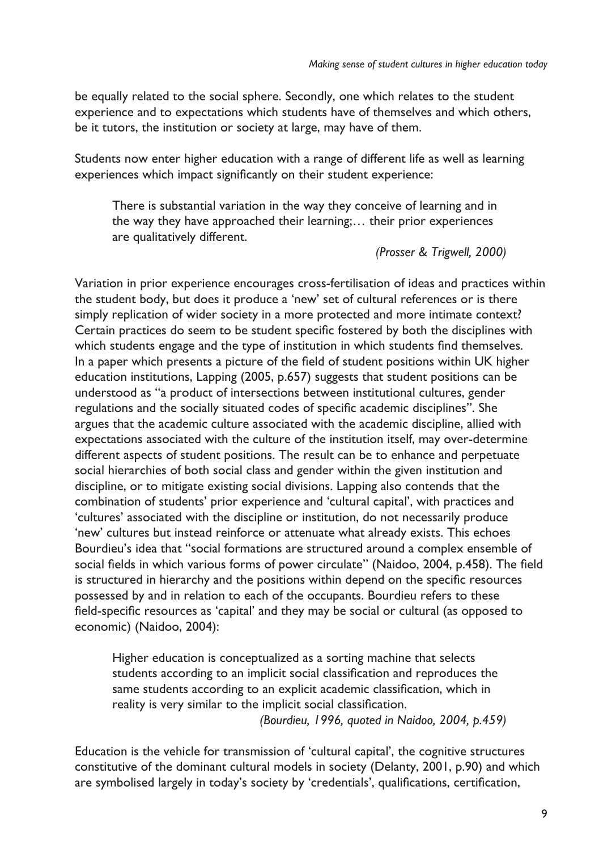be equally related to the social sphere. Secondly, one which relates to the student experience and to expectations which students have of themselves and which others, be it tutors, the institution or society at large, may have of them.

Students now enter higher education with a range of different life as well as learning experiences which impact significantly on their student experience:

There is substantial variation in the way they conceive of learning and in the way they have approached their learning;… their prior experiences are qualitatively different.

*(Prosser & Trigwell, 2000)* 

Variation in prior experience encourages cross-fertilisation of ideas and practices within the student body, but does it produce a 'new' set of cultural references or is there simply replication of wider society in a more protected and more intimate context? Certain practices do seem to be student specific fostered by both the disciplines with which students engage and the type of institution in which students find themselves. In a paper which presents a picture of the field of student positions within UK higher education institutions, Lapping (2005, p.657) suggests that student positions can be understood as "a product of intersections between institutional cultures, gender regulations and the socially situated codes of specific academic disciplines". She argues that the academic culture associated with the academic discipline, allied with expectations associated with the culture of the institution itself, may over-determine different aspects of student positions. The result can be to enhance and perpetuate social hierarchies of both social class and gender within the given institution and discipline, or to mitigate existing social divisions. Lapping also contends that the combination of students' prior experience and 'cultural capital', with practices and 'cultures' associated with the discipline or institution, do not necessarily produce 'new' cultures but instead reinforce or attenuate what already exists. This echoes Bourdieu's idea that "social formations are structured around a complex ensemble of social fields in which various forms of power circulate" (Naidoo, 2004, p.458). The field is structured in hierarchy and the positions within depend on the specific resources possessed by and in relation to each of the occupants. Bourdieu refers to these field-specific resources as 'capital' and they may be social or cultural (as opposed to economic) (Naidoo, 2004):

Higher education is conceptualized as a sorting machine that selects students according to an implicit social classification and reproduces the same students according to an explicit academic classification, which in reality is very similar to the implicit social classification. *(Bourdieu, 1996, quoted in Naidoo, 2004, p.459)*

Education is the vehicle for transmission of 'cultural capital', the cognitive structures constitutive of the dominant cultural models in society (Delanty, 2001, p.90) and which are symbolised largely in today's society by 'credentials', qualifications, certification,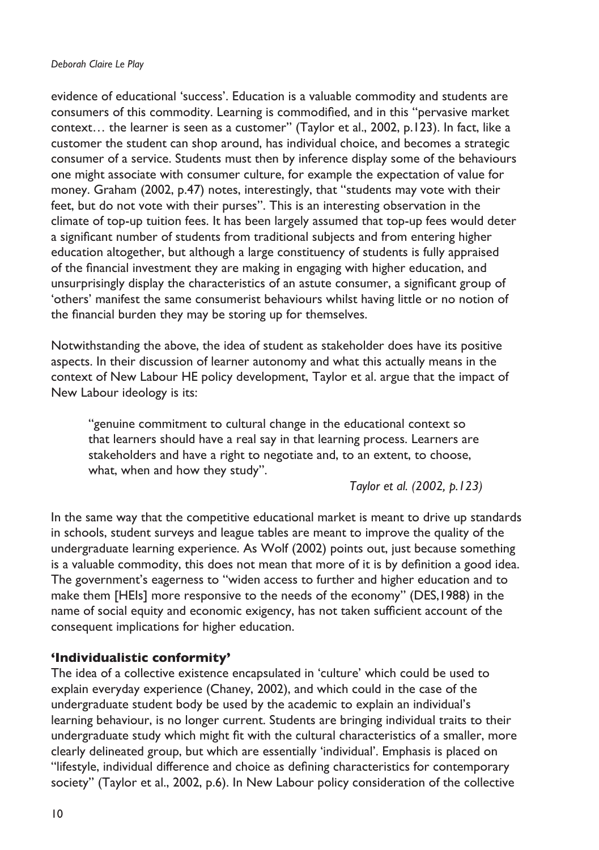#### *Deborah Claire Le Play*

evidence of educational 'success'. Education is a valuable commodity and students are consumers of this commodity. Learning is commodified, and in this "pervasive market context… the learner is seen as a customer" (Taylor et al., 2002, p.123). In fact, like a customer the student can shop around, has individual choice, and becomes a strategic consumer of a service. Students must then by inference display some of the behaviours one might associate with consumer culture, for example the expectation of value for money. Graham (2002, p.47) notes, interestingly, that "students may vote with their feet, but do not vote with their purses". This is an interesting observation in the climate of top-up tuition fees. It has been largely assumed that top-up fees would deter a significant number of students from traditional subjects and from entering higher education altogether, but although a large constituency of students is fully appraised of the financial investment they are making in engaging with higher education, and unsurprisingly display the characteristics of an astute consumer, a significant group of 'others' manifest the same consumerist behaviours whilst having little or no notion of the financial burden they may be storing up for themselves.

Notwithstanding the above, the idea of student as stakeholder does have its positive aspects. In their discussion of learner autonomy and what this actually means in the context of New Labour HE policy development, Taylor et al. argue that the impact of New Labour ideology is its:

"genuine commitment to cultural change in the educational context so that learners should have a real say in that learning process. Learners are stakeholders and have a right to negotiate and, to an extent, to choose, what, when and how they study".

*Taylor et al. (2002, p.123)*

In the same way that the competitive educational market is meant to drive up standards in schools, student surveys and league tables are meant to improve the quality of the undergraduate learning experience. As Wolf (2002) points out, just because something is a valuable commodity, this does not mean that more of it is by definition a good idea. The government's eagerness to "widen access to further and higher education and to make them [HEIs] more responsive to the needs of the economy" (DES,1988) in the name of social equity and economic exigency, has not taken sufficient account of the consequent implications for higher education.

#### **'Individualistic conformity'**

The idea of a collective existence encapsulated in 'culture' which could be used to explain everyday experience (Chaney, 2002), and which could in the case of the undergraduate student body be used by the academic to explain an individual's learning behaviour, is no longer current. Students are bringing individual traits to their undergraduate study which might fit with the cultural characteristics of a smaller, more clearly delineated group, but which are essentially 'individual'. Emphasis is placed on "lifestyle, individual difference and choice as defining characteristics for contemporary society" (Taylor et al., 2002, p.6). In New Labour policy consideration of the collective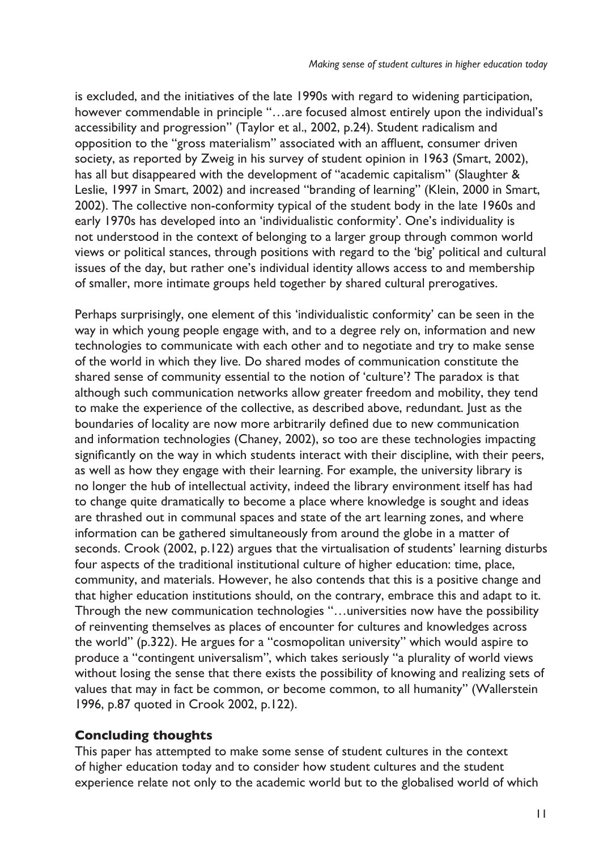is excluded, and the initiatives of the late 1990s with regard to widening participation, however commendable in principle "…are focused almost entirely upon the individual's accessibility and progression" (Taylor et al., 2002, p.24). Student radicalism and opposition to the "gross materialism" associated with an affluent, consumer driven society, as reported by Zweig in his survey of student opinion in 1963 (Smart, 2002), has all but disappeared with the development of "academic capitalism" (Slaughter & Leslie, 1997 in Smart, 2002) and increased "branding of learning" (Klein, 2000 in Smart, 2002). The collective non-conformity typical of the student body in the late 1960s and early 1970s has developed into an 'individualistic conformity'. One's individuality is not understood in the context of belonging to a larger group through common world views or political stances, through positions with regard to the 'big' political and cultural issues of the day, but rather one's individual identity allows access to and membership of smaller, more intimate groups held together by shared cultural prerogatives.

Perhaps surprisingly, one element of this 'individualistic conformity' can be seen in the way in which young people engage with, and to a degree rely on, information and new technologies to communicate with each other and to negotiate and try to make sense of the world in which they live. Do shared modes of communication constitute the shared sense of community essential to the notion of 'culture'? The paradox is that although such communication networks allow greater freedom and mobility, they tend to make the experience of the collective, as described above, redundant. Just as the boundaries of locality are now more arbitrarily defined due to new communication and information technologies (Chaney, 2002), so too are these technologies impacting significantly on the way in which students interact with their discipline, with their peers, as well as how they engage with their learning. For example, the university library is no longer the hub of intellectual activity, indeed the library environment itself has had to change quite dramatically to become a place where knowledge is sought and ideas are thrashed out in communal spaces and state of the art learning zones, and where information can be gathered simultaneously from around the globe in a matter of seconds. Crook (2002, p.122) argues that the virtualisation of students' learning disturbs four aspects of the traditional institutional culture of higher education: time, place, community, and materials. However, he also contends that this is a positive change and that higher education institutions should, on the contrary, embrace this and adapt to it. Through the new communication technologies "…universities now have the possibility of reinventing themselves as places of encounter for cultures and knowledges across the world" (p.322). He argues for a "cosmopolitan university" which would aspire to produce a "contingent universalism", which takes seriously "a plurality of world views without losing the sense that there exists the possibility of knowing and realizing sets of values that may in fact be common, or become common, to all humanity" (Wallerstein 1996, p.87 quoted in Crook 2002, p.122).

#### **Concluding thoughts**

This paper has attempted to make some sense of student cultures in the context of higher education today and to consider how student cultures and the student experience relate not only to the academic world but to the globalised world of which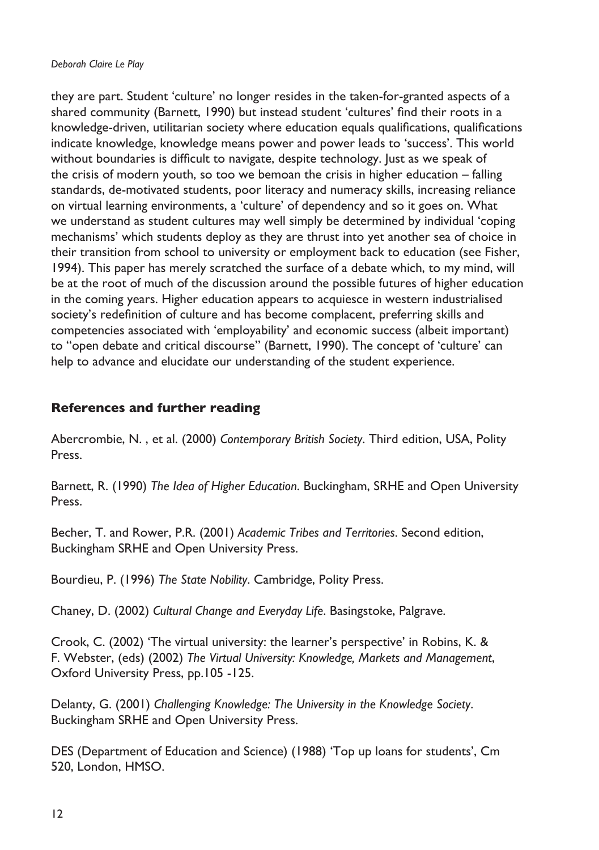they are part. Student 'culture' no longer resides in the taken-for-granted aspects of a shared community (Barnett, 1990) but instead student 'cultures' find their roots in a knowledge-driven, utilitarian society where education equals qualifications, qualifications indicate knowledge, knowledge means power and power leads to 'success'. This world without boundaries is difficult to navigate, despite technology. Just as we speak of the crisis of modern youth, so too we bemoan the crisis in higher education – falling standards, de-motivated students, poor literacy and numeracy skills, increasing reliance on virtual learning environments, a 'culture' of dependency and so it goes on. What we understand as student cultures may well simply be determined by individual 'coping mechanisms' which students deploy as they are thrust into yet another sea of choice in their transition from school to university or employment back to education (see Fisher, 1994). This paper has merely scratched the surface of a debate which, to my mind, will be at the root of much of the discussion around the possible futures of higher education in the coming years. Higher education appears to acquiesce in western industrialised society's redefinition of culture and has become complacent, preferring skills and competencies associated with 'employability' and economic success (albeit important) to "open debate and critical discourse" (Barnett, 1990). The concept of 'culture' can help to advance and elucidate our understanding of the student experience.

### **References and further reading**

Abercrombie, N. , et al. (2000) *Contemporary British Society*. Third edition, USA, Polity Press.

Barnett, R. (1990) *The Idea of Higher Education*. Buckingham, SRHE and Open University Press.

Becher, T. and Rower, P.R. (2001) *Academic Tribes and Territories*. Second edition, Buckingham SRHE and Open University Press.

Bourdieu, P. (1996) *The State Nobility*. Cambridge, Polity Press.

Chaney, D. (2002) *Cultural Change and Everyday Life*. Basingstoke, Palgrave.

Crook, C. (2002) 'The virtual university: the learner's perspective' in Robins, K. & F. Webster, (eds) (2002) *The Virtual University: Knowledge, Markets and Management*, Oxford University Press, pp.105 -125.

Delanty, G. (2001) *Challenging Knowledge: The University in the Knowledge Society*. Buckingham SRHE and Open University Press.

DES (Department of Education and Science) (1988) 'Top up loans for students', Cm 520, London, HMSO.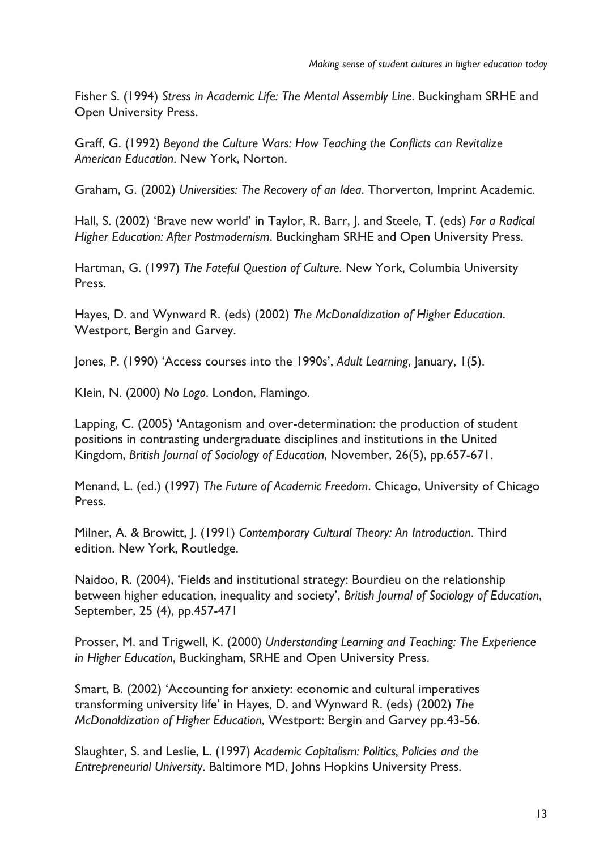Fisher S. (1994) *Stress in Academic Life: The Mental Assembly Line*. Buckingham SRHE and Open University Press.

Graff, G. (1992) *Beyond the Culture Wars: How Teaching the Conflicts can Revitalize American Education*. New York, Norton.

Graham, G. (2002) *Universities: The Recovery of an Idea*. Thorverton, Imprint Academic.

Hall, S. (2002) 'Brave new world' in Taylor, R. Barr, J. and Steele, T. (eds) *For a Radical Higher Education: After Postmodernism*. Buckingham SRHE and Open University Press.

Hartman, G. (1997) *The Fateful Question of Culture*. New York, Columbia University Press.

Hayes, D. and Wynward R. (eds) (2002) *The McDonaldization of Higher Education*. Westport, Bergin and Garvey.

Jones, P. (1990) 'Access courses into the 1990s', *Adult Learning*, January, 1(5).

Klein, N. (2000) *No Logo*. London, Flamingo.

Lapping, C. (2005) 'Antagonism and over-determination: the production of student positions in contrasting undergraduate disciplines and institutions in the United Kingdom, *British Journal of Sociology of Education*, November, 26(5), pp.657-671.

Menand, L. (ed.) (1997) *The Future of Academic Freedom*. Chicago, University of Chicago Press.

Milner, A. & Browitt, J. (1991) *Contemporary Cultural Theory: An Introduction*. Third edition. New York, Routledge.

Naidoo, R. (2004), 'Fields and institutional strategy: Bourdieu on the relationship between higher education, inequality and society', *British Journal of Sociology of Education*, September, 25 (4), pp.457-471

Prosser, M. and Trigwell, K. (2000) *Understanding Learning and Teaching: The Experience in Higher Education*, Buckingham, SRHE and Open University Press.

Smart, B. (2002) 'Accounting for anxiety: economic and cultural imperatives transforming university life' in Hayes, D. and Wynward R. (eds) (2002) *The McDonaldization of Higher Education*, Westport: Bergin and Garvey pp.43-56.

Slaughter, S. and Leslie, L. (1997) *Academic Capitalism: Politics, Policies and the Entrepreneurial University*. Baltimore MD, Johns Hopkins University Press.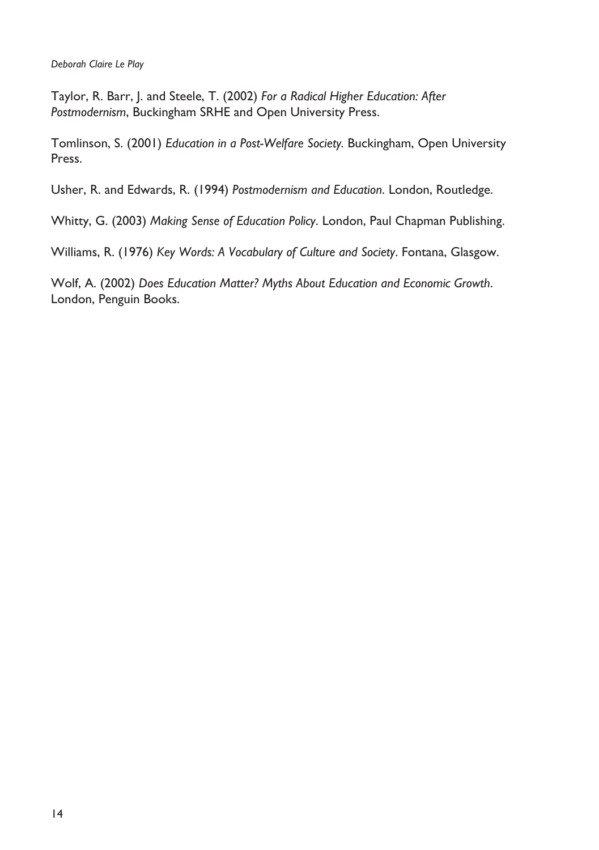Taylor, R. Barr, J. and Steele, T. (2002) *For a Radical Higher Education: After Postmodernism*, Buckingham SRHE and Open University Press.

Tomlinson, S. (2001) *Education in a Post-Welfare Society.* Buckingham, Open University Press.

Usher, R. and Edwards, R. (1994) *Postmodernism and Education*. London, Routledge.

Whitty, G. (2003) *Making Sense of Education Policy*. London, Paul Chapman Publishing.

Williams, R. (1976) *Key Words: A Vocabulary of Culture and Society*. Fontana, Glasgow.

Wolf, A. (2002) *Does Education Matter? Myths About Education and Economic Growth*. London, Penguin Books.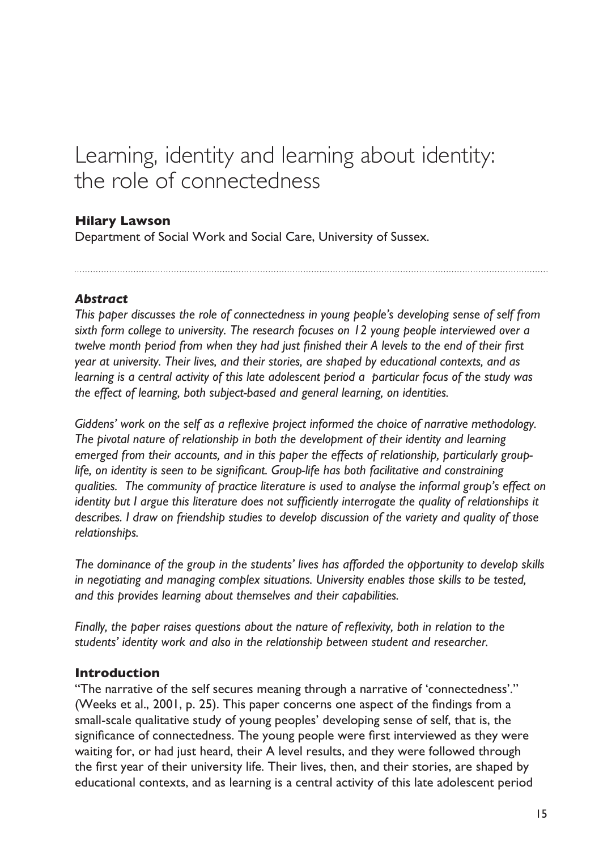# <span id="page-16-0"></span>Learning, identity and learning about identity: the role of connectedness

#### **Hilary Lawson**

Department of Social Work and Social Care, University of Sussex.

#### *Abstract*

*This paper discusses the role of connectedness in young people's developing sense of self from sixth form college to university. The research focuses on 12 young people interviewed over a twelve month period from when they had just finished their A levels to the end of their first year at university. Their lives, and their stories, are shaped by educational contexts, and as learning is a central activity of this late adolescent period a particular focus of the study was the effect of learning, both subject-based and general learning, on identities.*

*Giddens' work on the self as a reflexive project informed the choice of narrative methodology. The pivotal nature of relationship in both the development of their identity and learning emerged from their accounts, and in this paper the effects of relationship, particularly grouplife, on identity is seen to be significant. Group-life has both facilitative and constraining qualities. The community of practice literature is used to analyse the informal group's effect on identity but I argue this literature does not sufficiently interrogate the quality of relationships it describes. I draw on friendship studies to develop discussion of the variety and quality of those relationships.* 

*The dominance of the group in the students' lives has afforded the opportunity to develop skills in negotiating and managing complex situations. University enables those skills to be tested, and this provides learning about themselves and their capabilities.* 

*Finally, the paper raises questions about the nature of reflexivity, both in relation to the students' identity work and also in the relationship between student and researcher.*

#### **Introduction**

"The narrative of the self secures meaning through a narrative of 'connectedness'." (Weeks et al., 2001, p. 25). This paper concerns one aspect of the findings from a small-scale qualitative study of young peoples' developing sense of self, that is, the significance of connectedness. The young people were first interviewed as they were waiting for, or had just heard, their A level results, and they were followed through the first year of their university life. Their lives, then, and their stories, are shaped by educational contexts, and as learning is a central activity of this late adolescent period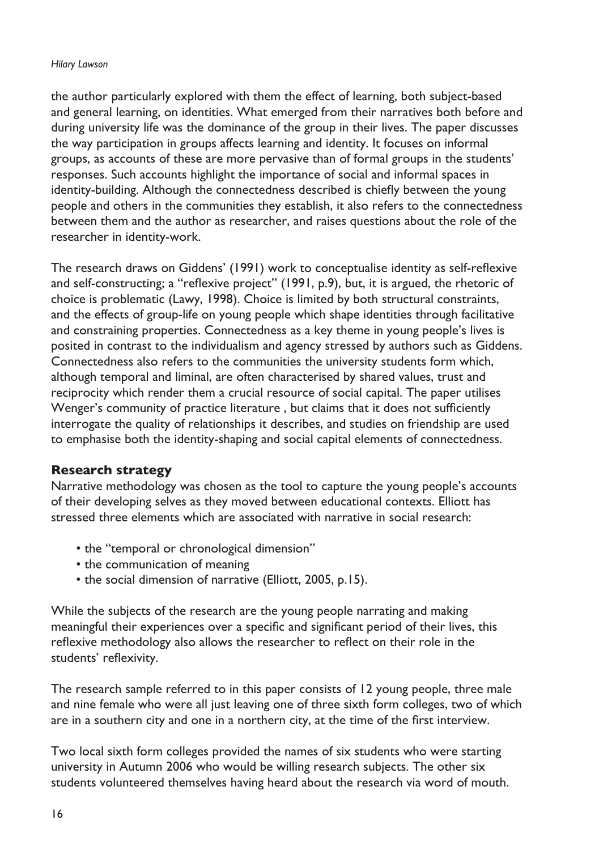#### *Hilary Lawson*

the author particularly explored with them the effect of learning, both subject-based and general learning, on identities. What emerged from their narratives both before and during university life was the dominance of the group in their lives. The paper discusses the way participation in groups affects learning and identity. It focuses on informal groups, as accounts of these are more pervasive than of formal groups in the students' responses. Such accounts highlight the importance of social and informal spaces in identity-building. Although the connectedness described is chiefly between the young people and others in the communities they establish, it also refers to the connectedness between them and the author as researcher, and raises questions about the role of the researcher in identity-work.

The research draws on Giddens' (1991) work to conceptualise identity as self-reflexive and self-constructing; a "reflexive project" (1991, p.9), but, it is argued, the rhetoric of choice is problematic (Lawy, 1998). Choice is limited by both structural constraints, and the effects of group-life on young people which shape identities through facilitative and constraining properties. Connectedness as a key theme in young people's lives is posited in contrast to the individualism and agency stressed by authors such as Giddens. Connectedness also refers to the communities the university students form which, although temporal and liminal, are often characterised by shared values, trust and reciprocity which render them a crucial resource of social capital. The paper utilises Wenger's community of practice literature , but claims that it does not sufficiently interrogate the quality of relationships it describes, and studies on friendship are used to emphasise both the identity-shaping and social capital elements of connectedness.

#### **Research strategy**

Narrative methodology was chosen as the tool to capture the young people's accounts of their developing selves as they moved between educational contexts. Elliott has stressed three elements which are associated with narrative in social research:

- the "temporal or chronological dimension"
- the communication of meaning
- the social dimension of narrative (Elliott, 2005, p.15).

While the subjects of the research are the young people narrating and making meaningful their experiences over a specific and significant period of their lives, this reflexive methodology also allows the researcher to reflect on their role in the students' reflexivity.

The research sample referred to in this paper consists of 12 young people, three male and nine female who were all just leaving one of three sixth form colleges, two of which are in a southern city and one in a northern city, at the time of the first interview.

Two local sixth form colleges provided the names of six students who were starting university in Autumn 2006 who would be willing research subjects. The other six students volunteered themselves having heard about the research via word of mouth.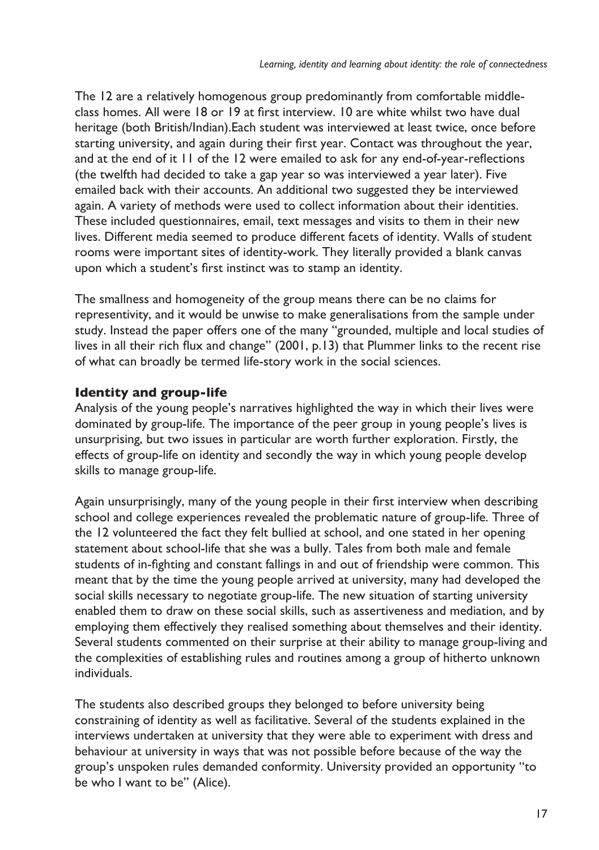The 12 are a relatively homogenous group predominantly from comfortable middleclass homes. All were 18 or 19 at first interview. 10 are white whilst two have dual heritage (both British/Indian).Each student was interviewed at least twice, once before starting university, and again during their first year. Contact was throughout the year, and at the end of it 11 of the 12 were emailed to ask for any end-of-year-reflections (the twelfth had decided to take a gap year so was interviewed a year later). Five emailed back with their accounts. An additional two suggested they be interviewed again. A variety of methods were used to collect information about their identities. These included questionnaires, email, text messages and visits to them in their new lives. Different media seemed to produce different facets of identity. Walls of student rooms were important sites of identity-work. They literally provided a blank canvas upon which a student's first instinct was to stamp an identity.

The smallness and homogeneity of the group means there can be no claims for representivity, and it would be unwise to make generalisations from the sample under study. Instead the paper offers one of the many "grounded, multiple and local studies of lives in all their rich flux and change" (2001, p.13) that Plummer links to the recent rise of what can broadly be termed life-story work in the social sciences.

# **Identity and group-life**

Analysis of the young people's narratives highlighted the way in which their lives were dominated by group-life. The importance of the peer group in young people's lives is unsurprising, but two issues in particular are worth further exploration. Firstly, the effects of group-life on identity and secondly the way in which young people develop skills to manage group-life.

Again unsurprisingly, many of the young people in their first interview when describing school and college experiences revealed the problematic nature of group-life. Three of the 12 volunteered the fact they felt bullied at school, and one stated in her opening statement about school-life that she was a bully. Tales from both male and female students of in-fighting and constant fallings in and out of friendship were common. This meant that by the time the young people arrived at university, many had developed the social skills necessary to negotiate group-life. The new situation of starting university enabled them to draw on these social skills, such as assertiveness and mediation, and by employing them effectively they realised something about themselves and their identity. Several students commented on their surprise at their ability to manage group-living and the complexities of establishing rules and routines among a group of hitherto unknown individuals.

The students also described groups they belonged to before university being constraining of identity as well as facilitative. Several of the students explained in the interviews undertaken at university that they were able to experiment with dress and behaviour at university in ways that was not possible before because of the way the group's unspoken rules demanded conformity. University provided an opportunity "to be who I want to be" (Alice).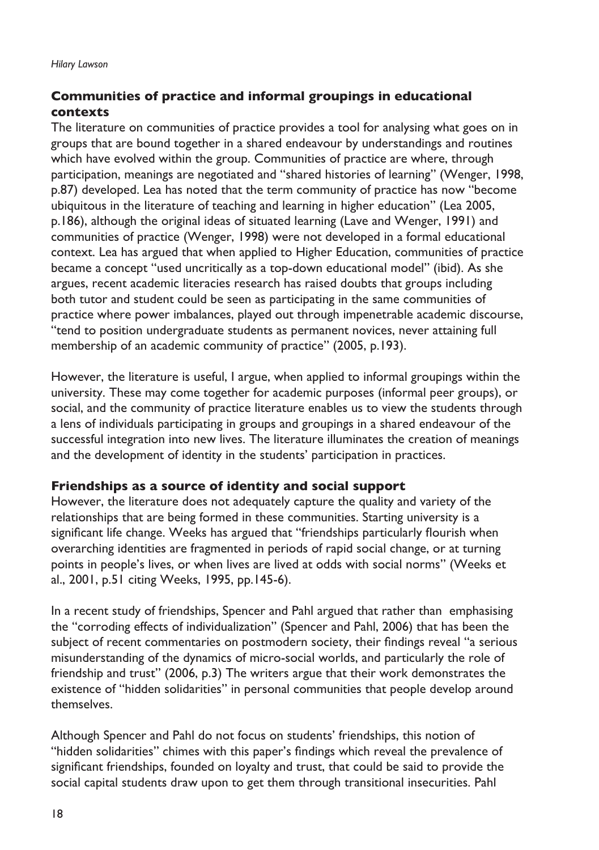#### **Communities of practice and informal groupings in educational contexts**

The literature on communities of practice provides a tool for analysing what goes on in groups that are bound together in a shared endeavour by understandings and routines which have evolved within the group. Communities of practice are where, through participation, meanings are negotiated and "shared histories of learning" (Wenger, 1998, p.87) developed. Lea has noted that the term community of practice has now "become ubiquitous in the literature of teaching and learning in higher education" (Lea 2005, p.186), although the original ideas of situated learning (Lave and Wenger, 1991) and communities of practice (Wenger, 1998) were not developed in a formal educational context. Lea has argued that when applied to Higher Education, communities of practice became a concept "used uncritically as a top-down educational model" (ibid). As she argues, recent academic literacies research has raised doubts that groups including both tutor and student could be seen as participating in the same communities of practice where power imbalances, played out through impenetrable academic discourse, "tend to position undergraduate students as permanent novices, never attaining full membership of an academic community of practice" (2005, p.193).

However, the literature is useful, I argue, when applied to informal groupings within the university. These may come together for academic purposes (informal peer groups), or social, and the community of practice literature enables us to view the students through a lens of individuals participating in groups and groupings in a shared endeavour of the successful integration into new lives. The literature illuminates the creation of meanings and the development of identity in the students' participation in practices.

#### **Friendships as a source of identity and social support**

However, the literature does not adequately capture the quality and variety of the relationships that are being formed in these communities. Starting university is a significant life change. Weeks has argued that "friendships particularly flourish when overarching identities are fragmented in periods of rapid social change, or at turning points in people's lives, or when lives are lived at odds with social norms" (Weeks et al., 2001, p.51 citing Weeks, 1995, pp.145-6).

In a recent study of friendships, Spencer and Pahl argued that rather than emphasising the "corroding effects of individualization" (Spencer and Pahl, 2006) that has been the subject of recent commentaries on postmodern society, their findings reveal "a serious misunderstanding of the dynamics of micro-social worlds, and particularly the role of friendship and trust" (2006, p.3) The writers argue that their work demonstrates the existence of "hidden solidarities" in personal communities that people develop around themselves.

Although Spencer and Pahl do not focus on students' friendships, this notion of "hidden solidarities" chimes with this paper's findings which reveal the prevalence of significant friendships, founded on loyalty and trust, that could be said to provide the social capital students draw upon to get them through transitional insecurities. Pahl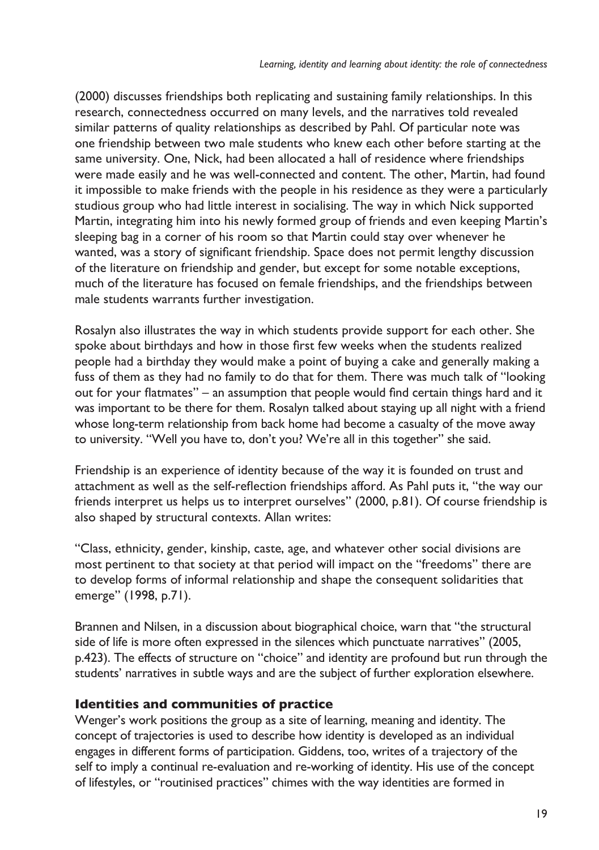(2000) discusses friendships both replicating and sustaining family relationships. In this research, connectedness occurred on many levels, and the narratives told revealed similar patterns of quality relationships as described by Pahl. Of particular note was one friendship between two male students who knew each other before starting at the same university. One, Nick, had been allocated a hall of residence where friendships were made easily and he was well-connected and content. The other, Martin, had found it impossible to make friends with the people in his residence as they were a particularly studious group who had little interest in socialising. The way in which Nick supported Martin, integrating him into his newly formed group of friends and even keeping Martin's sleeping bag in a corner of his room so that Martin could stay over whenever he wanted, was a story of significant friendship. Space does not permit lengthy discussion of the literature on friendship and gender, but except for some notable exceptions, much of the literature has focused on female friendships, and the friendships between male students warrants further investigation.

Rosalyn also illustrates the way in which students provide support for each other. She spoke about birthdays and how in those first few weeks when the students realized people had a birthday they would make a point of buying a cake and generally making a fuss of them as they had no family to do that for them. There was much talk of "looking out for your flatmates" – an assumption that people would find certain things hard and it was important to be there for them. Rosalyn talked about staying up all night with a friend whose long-term relationship from back home had become a casualty of the move away to university. "Well you have to, don't you? We're all in this together" she said.

Friendship is an experience of identity because of the way it is founded on trust and attachment as well as the self-reflection friendships afford. As Pahl puts it, "the way our friends interpret us helps us to interpret ourselves" (2000, p.81). Of course friendship is also shaped by structural contexts. Allan writes:

"Class, ethnicity, gender, kinship, caste, age, and whatever other social divisions are most pertinent to that society at that period will impact on the "freedoms" there are to develop forms of informal relationship and shape the consequent solidarities that emerge" (1998, p.71).

Brannen and Nilsen, in a discussion about biographical choice, warn that "the structural side of life is more often expressed in the silences which punctuate narratives" (2005, p.423). The effects of structure on "choice" and identity are profound but run through the students' narratives in subtle ways and are the subject of further exploration elsewhere.

#### **Identities and communities of practice**

Wenger's work positions the group as a site of learning, meaning and identity. The concept of trajectories is used to describe how identity is developed as an individual engages in different forms of participation. Giddens, too, writes of a trajectory of the self to imply a continual re-evaluation and re-working of identity. His use of the concept of lifestyles, or "routinised practices" chimes with the way identities are formed in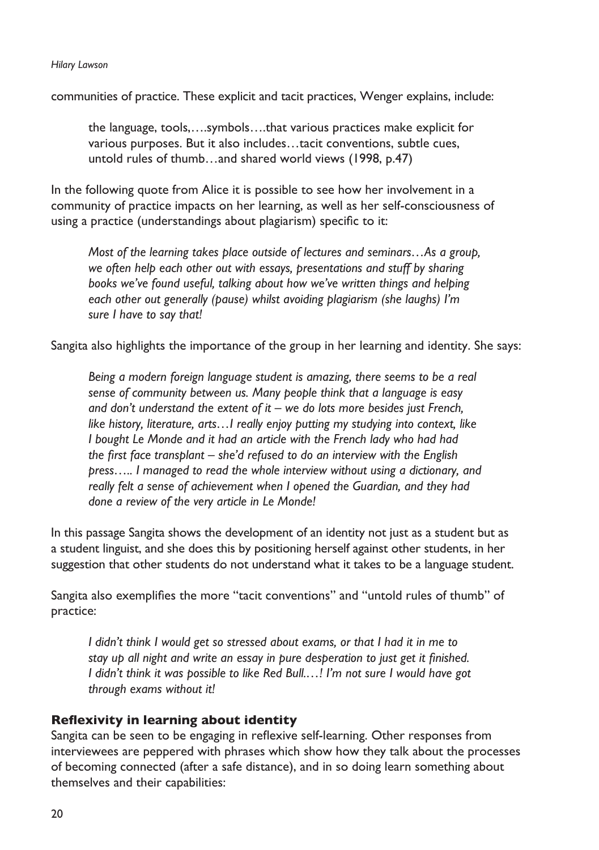#### *Hilary Lawson*

communities of practice. These explicit and tacit practices, Wenger explains, include:

the language, tools,….symbols….that various practices make explicit for various purposes. But it also includes…tacit conventions, subtle cues, untold rules of thumb…and shared world views (1998, p.47)

In the following quote from Alice it is possible to see how her involvement in a community of practice impacts on her learning, as well as her self-consciousness of using a practice (understandings about plagiarism) specific to it:

*Most of the learning takes place outside of lectures and seminars…As a group, we often help each other out with essays, presentations and stuff by sharing books we've found useful, talking about how we've written things and helping each other out generally (pause) whilst avoiding plagiarism (she laughs) I'm sure I have to say that!*

Sangita also highlights the importance of the group in her learning and identity. She says:

*Being a modern foreign language student is amazing, there seems to be a real sense of community between us. Many people think that a language is easy and don't understand the extent of it – we do lots more besides just French, like history, literature, arts…I really enjoy putting my studying into context, like I bought Le Monde and it had an article with the French lady who had had the first face transplant – she'd refused to do an interview with the English press….. I managed to read the whole interview without using a dictionary, and really felt a sense of achievement when I opened the Guardian, and they had done a review of the very article in Le Monde!*

In this passage Sangita shows the development of an identity not just as a student but as a student linguist, and she does this by positioning herself against other students, in her suggestion that other students do not understand what it takes to be a language student.

Sangita also exemplifies the more "tacit conventions" and "untold rules of thumb" of practice:

*I didn't think I would get so stressed about exams, or that I had it in me to stay up all night and write an essay in pure desperation to just get it finished. I didn't think it was possible to like Red Bull.…! I'm not sure I would have got through exams without it!*

#### **Reflexivity in learning about identity**

Sangita can be seen to be engaging in reflexive self-learning. Other responses from interviewees are peppered with phrases which show how they talk about the processes of becoming connected (after a safe distance), and in so doing learn something about themselves and their capabilities: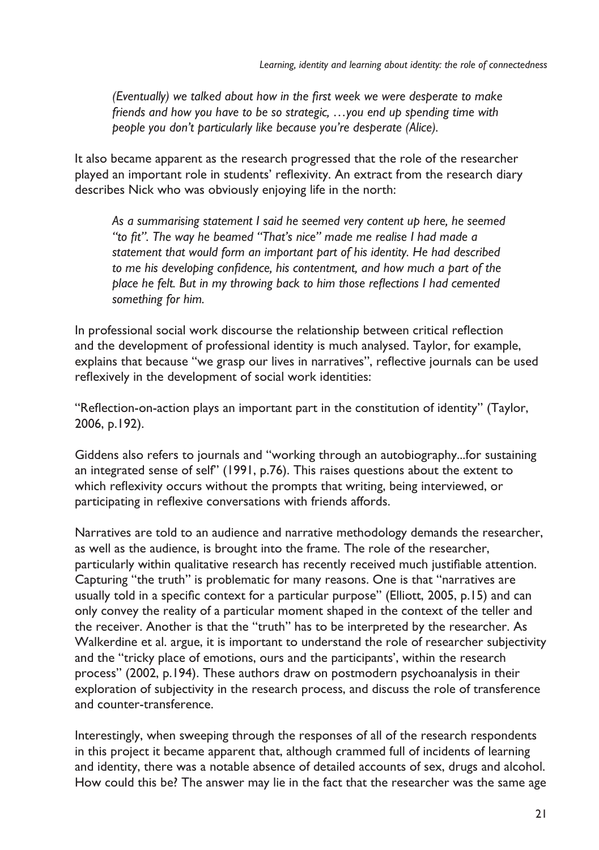*(Eventually) we talked about how in the first week we were desperate to make friends and how you have to be so strategic, …you end up spending time with people you don't particularly like because you're desperate (Alice).*

It also became apparent as the research progressed that the role of the researcher played an important role in students' reflexivity. An extract from the research diary describes Nick who was obviously enjoying life in the north:

*As a summarising statement I said he seemed very content up here, he seemed "to fit". The way he beamed "That's nice" made me realise I had made a statement that would form an important part of his identity. He had described to me his developing confidence, his contentment, and how much a part of the place he felt. But in my throwing back to him those reflections I had cemented something for him.*

In professional social work discourse the relationship between critical reflection and the development of professional identity is much analysed. Taylor, for example, explains that because "we grasp our lives in narratives", reflective journals can be used reflexively in the development of social work identities:

"Reflection-on-action plays an important part in the constitution of identity" (Taylor, 2006, p.192).

Giddens also refers to journals and "working through an autobiography...for sustaining an integrated sense of self" (1991, p.76). This raises questions about the extent to which reflexivity occurs without the prompts that writing, being interviewed, or participating in reflexive conversations with friends affords.

Narratives are told to an audience and narrative methodology demands the researcher, as well as the audience, is brought into the frame. The role of the researcher, particularly within qualitative research has recently received much justifiable attention. Capturing "the truth" is problematic for many reasons. One is that "narratives are usually told in a specific context for a particular purpose" (Elliott, 2005, p.15) and can only convey the reality of a particular moment shaped in the context of the teller and the receiver. Another is that the "truth" has to be interpreted by the researcher. As Walkerdine et al. argue, it is important to understand the role of researcher subjectivity and the "tricky place of emotions, ours and the participants', within the research process" (2002, p.194). These authors draw on postmodern psychoanalysis in their exploration of subjectivity in the research process, and discuss the role of transference and counter-transference.

Interestingly, when sweeping through the responses of all of the research respondents in this project it became apparent that, although crammed full of incidents of learning and identity, there was a notable absence of detailed accounts of sex, drugs and alcohol. How could this be? The answer may lie in the fact that the researcher was the same age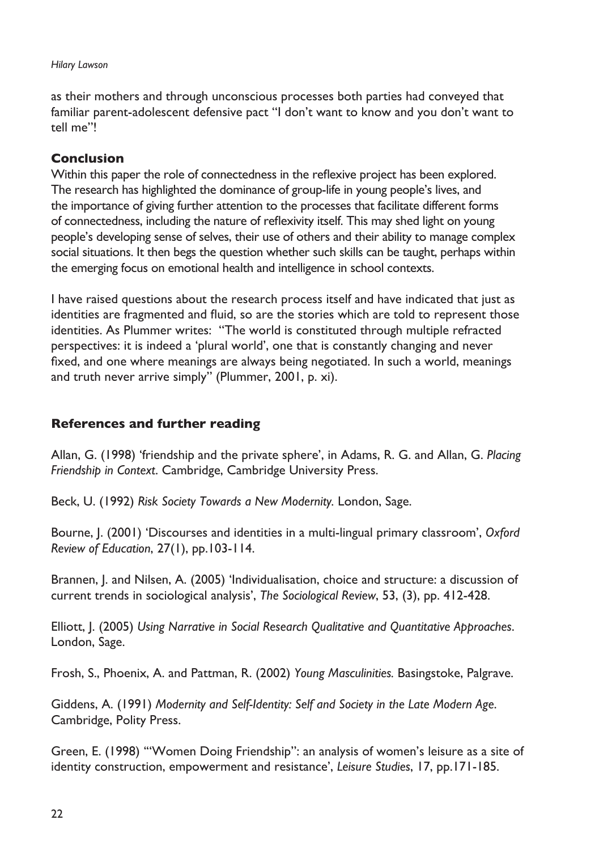#### *Hilary Lawson*

as their mothers and through unconscious processes both parties had conveyed that familiar parent-adolescent defensive pact "I don't want to know and you don't want to tell me"!

#### **Conclusion**

Within this paper the role of connectedness in the reflexive project has been explored. The research has highlighted the dominance of group-life in young people's lives, and the importance of giving further attention to the processes that facilitate different forms of connectedness, including the nature of reflexivity itself. This may shed light on young people's developing sense of selves, their use of others and their ability to manage complex social situations. It then begs the question whether such skills can be taught, perhaps within the emerging focus on emotional health and intelligence in school contexts.

I have raised questions about the research process itself and have indicated that just as identities are fragmented and fluid, so are the stories which are told to represent those identities. As Plummer writes: "The world is constituted through multiple refracted perspectives: it is indeed a 'plural world', one that is constantly changing and never fixed, and one where meanings are always being negotiated. In such a world, meanings and truth never arrive simply" (Plummer, 2001, p. xi).

#### **References and further reading**

Allan, G. (1998) 'friendship and the private sphere', in Adams, R. G. and Allan, G. *Placing Friendship in Context*. Cambridge, Cambridge University Press.

Beck, U. (1992) *Risk Society Towards a New Modernity.* London, Sage.

Bourne, J. (2001) 'Discourses and identities in a multi-lingual primary classroom', *Oxford Review of Education*, 27(1), pp.103-114.

Brannen, J. and Nilsen, A. (2005) 'Individualisation, choice and structure: a discussion of current trends in sociological analysis', *The Sociological Review*, 53, (3), pp. 412-428.

Elliott, J. (2005) *Using Narrative in Social Research Qualitative and Quantitative Approaches*. London, Sage.

Frosh, S., Phoenix, A. and Pattman, R. (2002) *Young Masculinities.* Basingstoke, Palgrave.

Giddens, A. (1991) *Modernity and Self-Identity: Self and Society in the Late Modern Age*. Cambridge, Polity Press.

Green, E. (1998) '"Women Doing Friendship": an analysis of women's leisure as a site of identity construction, empowerment and resistance', *Leisure Studies*, 17, pp.171-185.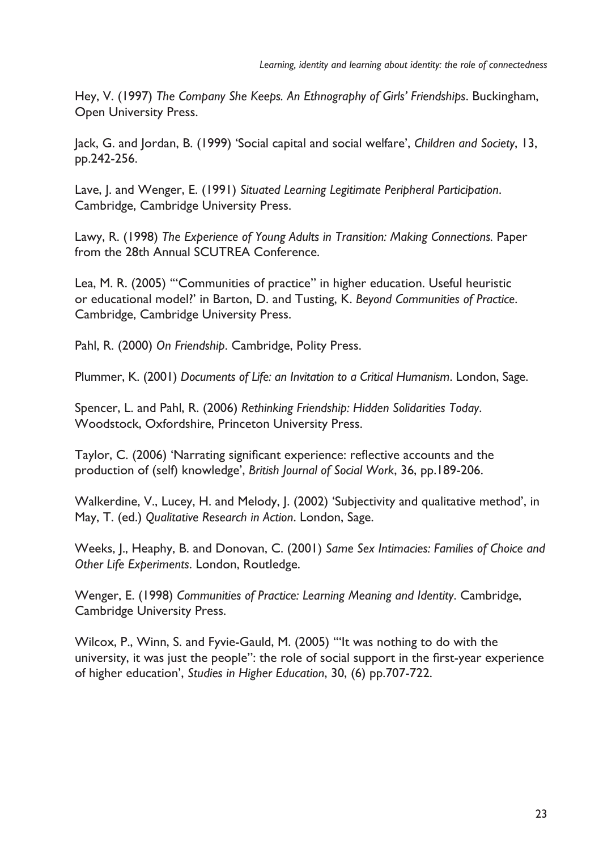Hey, V. (1997) *The Company She Keeps. An Ethnography of Girls' Friendships*. Buckingham, Open University Press.

Jack, G. and Jordan, B. (1999) 'Social capital and social welfare', *Children and Society*, 13, pp.242-256.

Lave, J. and Wenger, E. (1991) *Situated Learning Legitimate Peripheral Participation*. Cambridge, Cambridge University Press.

Lawy, R. (1998) *The Experience of Young Adults in Transition: Making Connections.* Paper from the 28th Annual SCUTREA Conference.

Lea, M. R. (2005) '"Communities of practice" in higher education. Useful heuristic or educational model?' in Barton, D. and Tusting, K. *Beyond Communities of Practice*. Cambridge, Cambridge University Press.

Pahl, R. (2000) *On Friendship*. Cambridge, Polity Press.

Plummer, K. (2001) *Documents of Life: an Invitation to a Critical Humanism*. London, Sage.

Spencer, L. and Pahl, R. (2006) *Rethinking Friendship: Hidden Solidarities Today*. Woodstock, Oxfordshire, Princeton University Press.

Taylor, C. (2006) 'Narrating significant experience: reflective accounts and the production of (self) knowledge', *British Journal of Social Work*, 36, pp.189-206.

Walkerdine, V., Lucey, H. and Melody, J. (2002) 'Subjectivity and qualitative method', in May, T. (ed.) *Qualitative Research in Action*. London, Sage.

Weeks, J., Heaphy, B. and Donovan, C. (2001) *Same Sex Intimacies: Families of Choice and Other Life Experiments*. London, Routledge.

Wenger, E. (1998) *Communities of Practice: Learning Meaning and Identity*. Cambridge, Cambridge University Press.

Wilcox, P., Winn, S. and Fyvie-Gauld, M. (2005) '"It was nothing to do with the university, it was just the people": the role of social support in the first-year experience of higher education', *Studies in Higher Education*, 30, (6) pp.707-722.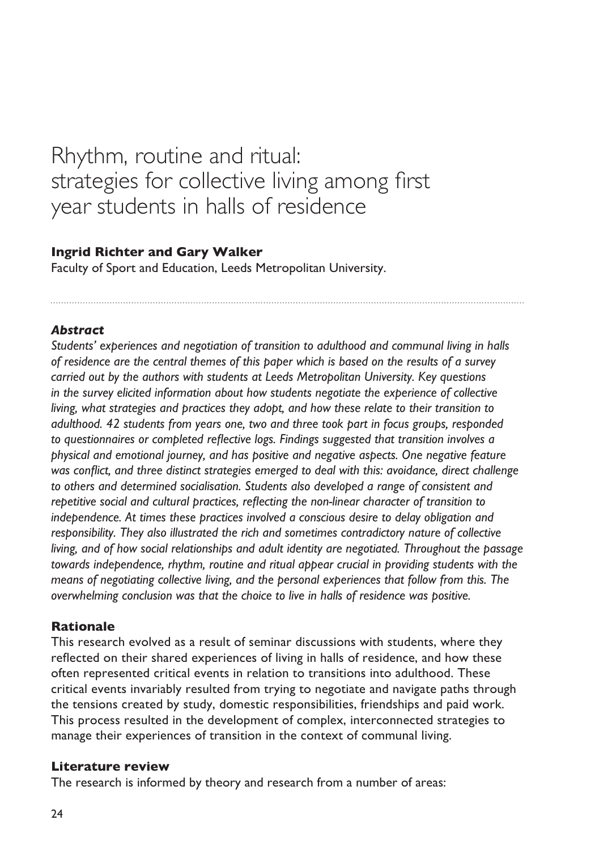# <span id="page-25-0"></span>Rhythm, routine and ritual: strategies for collective living among first year students in halls of residence

#### **Ingrid Richter and Gary Walker**

Faculty of Sport and Education, Leeds Metropolitan University.

#### *Abstract*

*Students' experiences and negotiation of transition to adulthood and communal living in halls of residence are the central themes of this paper which is based on the results of a survey carried out by the authors with students at Leeds Metropolitan University. Key questions in the survey elicited information about how students negotiate the experience of collective living, what strategies and practices they adopt, and how these relate to their transition to adulthood. 42 students from years one, two and three took part in focus groups, responded to questionnaires or completed reflective logs. Findings suggested that transition involves a physical and emotional journey, and has positive and negative aspects. One negative feature was conflict, and three distinct strategies emerged to deal with this: avoidance, direct challenge to others and determined socialisation. Students also developed a range of consistent and repetitive social and cultural practices, reflecting the non-linear character of transition to independence. At times these practices involved a conscious desire to delay obligation and responsibility. They also illustrated the rich and sometimes contradictory nature of collective living, and of how social relationships and adult identity are negotiated. Throughout the passage towards independence, rhythm, routine and ritual appear crucial in providing students with the means of negotiating collective living, and the personal experiences that follow from this. The overwhelming conclusion was that the choice to live in halls of residence was positive.*

#### **Rationale**

This research evolved as a result of seminar discussions with students, where they reflected on their shared experiences of living in halls of residence, and how these often represented critical events in relation to transitions into adulthood. These critical events invariably resulted from trying to negotiate and navigate paths through the tensions created by study, domestic responsibilities, friendships and paid work. This process resulted in the development of complex, interconnected strategies to manage their experiences of transition in the context of communal living.

#### **Literature review**

The research is informed by theory and research from a number of areas: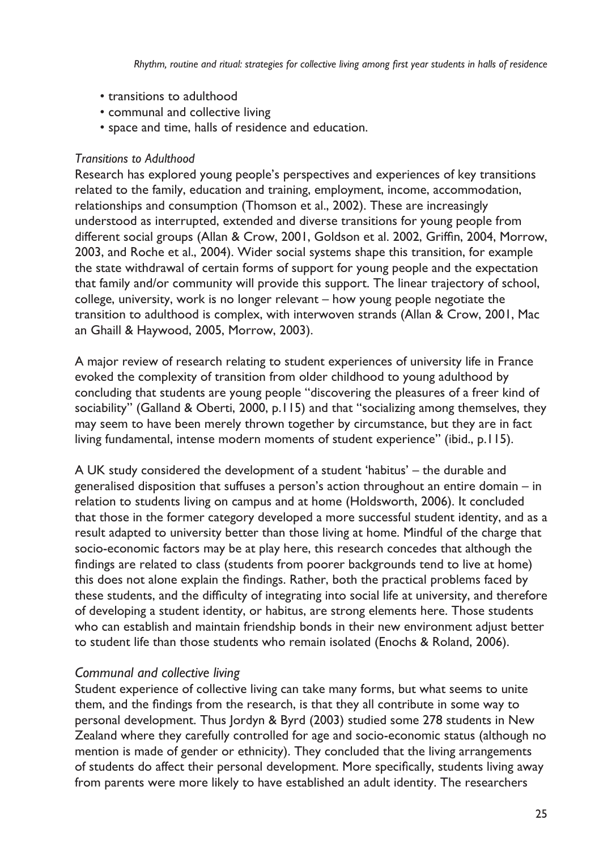- transitions to adulthood
- communal and collective living
- space and time, halls of residence and education.

#### *Transitions to Adulthood*

Research has explored young people's perspectives and experiences of key transitions related to the family, education and training, employment, income, accommodation, relationships and consumption (Thomson et al., 2002). These are increasingly understood as interrupted, extended and diverse transitions for young people from different social groups (Allan & Crow, 2001, Goldson et al. 2002, Griffin, 2004, Morrow, 2003, and Roche et al., 2004). Wider social systems shape this transition, for example the state withdrawal of certain forms of support for young people and the expectation that family and/or community will provide this support. The linear trajectory of school, college, university, work is no longer relevant – how young people negotiate the transition to adulthood is complex, with interwoven strands (Allan & Crow, 2001, Mac an Ghaill & Haywood, 2005, Morrow, 2003).

A major review of research relating to student experiences of university life in France evoked the complexity of transition from older childhood to young adulthood by concluding that students are young people "discovering the pleasures of a freer kind of sociability" (Galland & Oberti, 2000, p.115) and that "socializing among themselves, they may seem to have been merely thrown together by circumstance, but they are in fact living fundamental, intense modern moments of student experience" (ibid., p.115).

A UK study considered the development of a student 'habitus' – the durable and generalised disposition that suffuses a person's action throughout an entire domain – in relation to students living on campus and at home (Holdsworth, 2006). It concluded that those in the former category developed a more successful student identity, and as a result adapted to university better than those living at home. Mindful of the charge that socio-economic factors may be at play here, this research concedes that although the findings are related to class (students from poorer backgrounds tend to live at home) this does not alone explain the findings. Rather, both the practical problems faced by these students, and the difficulty of integrating into social life at university, and therefore of developing a student identity, or habitus, are strong elements here. Those students who can establish and maintain friendship bonds in their new environment adjust better to student life than those students who remain isolated (Enochs & Roland, 2006).

#### *Communal and collective living*

Student experience of collective living can take many forms, but what seems to unite them, and the findings from the research, is that they all contribute in some way to personal development. Thus Jordyn & Byrd (2003) studied some 278 students in New Zealand where they carefully controlled for age and socio-economic status (although no mention is made of gender or ethnicity). They concluded that the living arrangements of students do affect their personal development. More specifically, students living away from parents were more likely to have established an adult identity. The researchers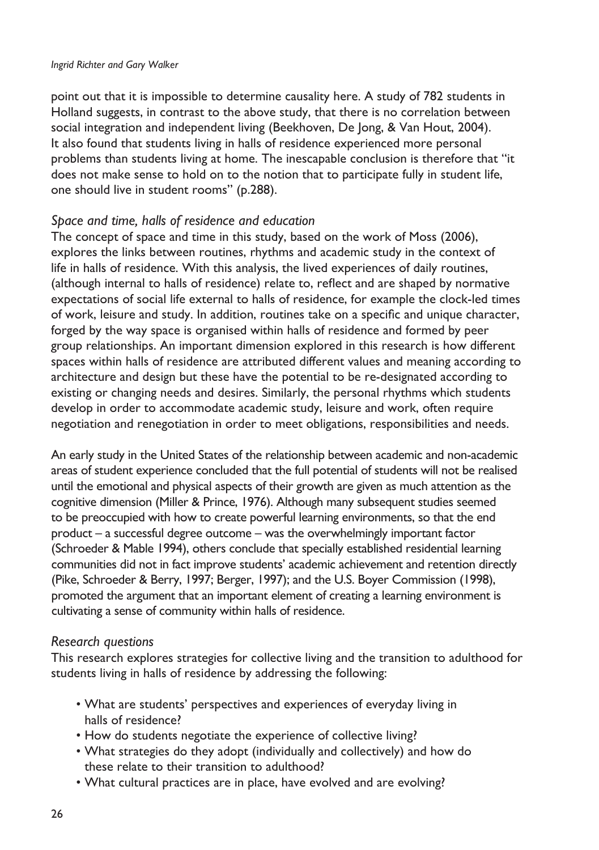#### *Ingrid Richter and Gary Walker*

point out that it is impossible to determine causality here. A study of 782 students in Holland suggests, in contrast to the above study, that there is no correlation between social integration and independent living (Beekhoven, De Jong, & Van Hout, 2004). It also found that students living in halls of residence experienced more personal problems than students living at home. The inescapable conclusion is therefore that "it does not make sense to hold on to the notion that to participate fully in student life, one should live in student rooms" (p.288).

#### *Space and time, halls of residence and education*

The concept of space and time in this study, based on the work of Moss (2006), explores the links between routines, rhythms and academic study in the context of life in halls of residence. With this analysis, the lived experiences of daily routines, (although internal to halls of residence) relate to, reflect and are shaped by normative expectations of social life external to halls of residence, for example the clock-led times of work, leisure and study. In addition, routines take on a specific and unique character, forged by the way space is organised within halls of residence and formed by peer group relationships. An important dimension explored in this research is how different spaces within halls of residence are attributed different values and meaning according to architecture and design but these have the potential to be re-designated according to existing or changing needs and desires. Similarly, the personal rhythms which students develop in order to accommodate academic study, leisure and work, often require negotiation and renegotiation in order to meet obligations, responsibilities and needs.

An early study in the United States of the relationship between academic and non-academic areas of student experience concluded that the full potential of students will not be realised until the emotional and physical aspects of their growth are given as much attention as the cognitive dimension (Miller & Prince, 1976). Although many subsequent studies seemed to be preoccupied with how to create powerful learning environments, so that the end product – a successful degree outcome – was the overwhelmingly important factor (Schroeder & Mable 1994), others conclude that specially established residential learning communities did not in fact improve students' academic achievement and retention directly (Pike, Schroeder & Berry, 1997; Berger, 1997); and the U.S. Boyer Commission (1998), promoted the argument that an important element of creating a learning environment is cultivating a sense of community within halls of residence.

#### *Research questions*

This research explores strategies for collective living and the transition to adulthood for students living in halls of residence by addressing the following:

- What are students' perspectives and experiences of everyday living in halls of residence?
- How do students negotiate the experience of collective living?
- What strategies do they adopt (individually and collectively) and how do these relate to their transition to adulthood?
- What cultural practices are in place, have evolved and are evolving? •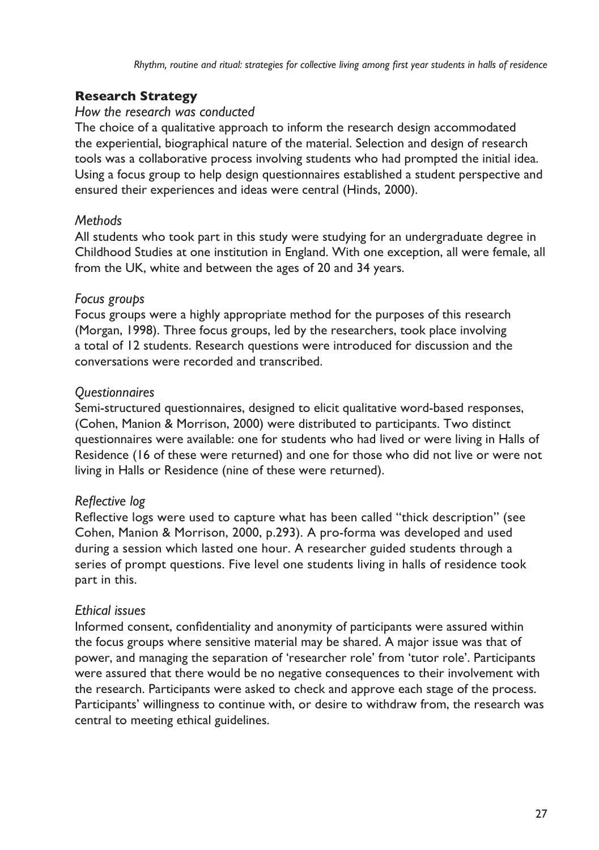*Rhythm, routine and ritual: strategies for collective living among first year students in halls of residence*

### **Research Strategy**

#### *How the research was conducted*

The choice of a qualitative approach to inform the research design accommodated the experiential, biographical nature of the material. Selection and design of research tools was a collaborative process involving students who had prompted the initial idea. Using a focus group to help design questionnaires established a student perspective and ensured their experiences and ideas were central (Hinds, 2000).

### *Methods*

All students who took part in this study were studying for an undergraduate degree in Childhood Studies at one institution in England. With one exception, all were female, all from the UK, white and between the ages of 20 and 34 years.

# *Focus groups*

Focus groups were a highly appropriate method for the purposes of this research (Morgan, 1998). Three focus groups, led by the researchers, took place involving a total of 12 students. Research questions were introduced for discussion and the conversations were recorded and transcribed.

# *Questionnaires*

Semi-structured questionnaires, designed to elicit qualitative word-based responses, (Cohen, Manion & Morrison, 2000) were distributed to participants. Two distinct questionnaires were available: one for students who had lived or were living in Halls of Residence (16 of these were returned) and one for those who did not live or were not living in Halls or Residence (nine of these were returned).

# *Reflective log*

Reflective logs were used to capture what has been called "thick description" (see Cohen, Manion & Morrison, 2000, p.293). A pro-forma was developed and used during a session which lasted one hour. A researcher guided students through a series of prompt questions. Five level one students living in halls of residence took part in this.

# *Ethical issues*

Informed consent, confidentiality and anonymity of participants were assured within the focus groups where sensitive material may be shared. A major issue was that of power, and managing the separation of 'researcher role' from 'tutor role'. Participants were assured that there would be no negative consequences to their involvement with the research. Participants were asked to check and approve each stage of the process. Participants' willingness to continue with, or desire to withdraw from, the research was central to meeting ethical guidelines.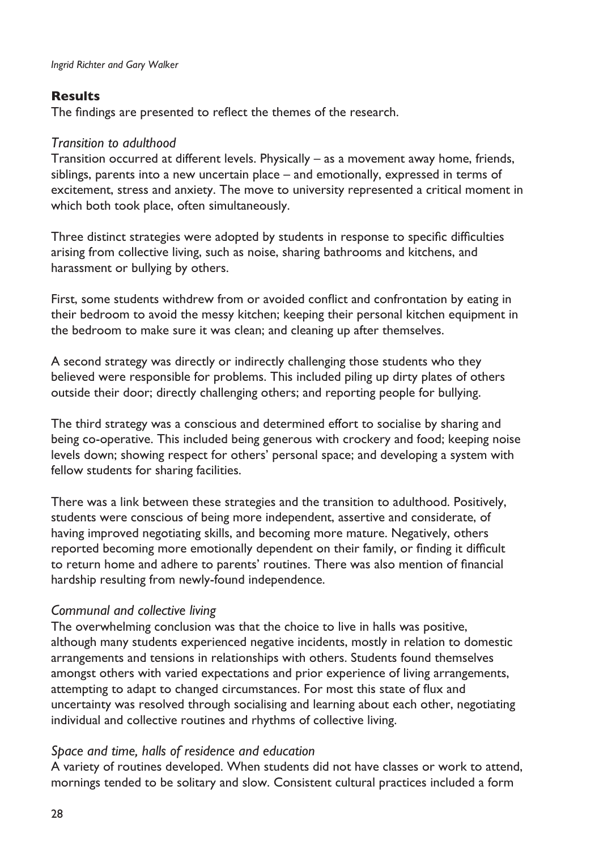#### **Results**

The findings are presented to reflect the themes of the research.

#### *Transition to adulthood*

Transition occurred at different levels. Physically – as a movement away home, friends, siblings, parents into a new uncertain place – and emotionally, expressed in terms of excitement, stress and anxiety. The move to university represented a critical moment in which both took place, often simultaneously.

Three distinct strategies were adopted by students in response to specific difficulties arising from collective living, such as noise, sharing bathrooms and kitchens, and harassment or bullying by others.

First, some students withdrew from or avoided conflict and confrontation by eating in their bedroom to avoid the messy kitchen; keeping their personal kitchen equipment in the bedroom to make sure it was clean; and cleaning up after themselves.

A second strategy was directly or indirectly challenging those students who they believed were responsible for problems. This included piling up dirty plates of others outside their door; directly challenging others; and reporting people for bullying.

The third strategy was a conscious and determined effort to socialise by sharing and being co-operative. This included being generous with crockery and food; keeping noise levels down; showing respect for others' personal space; and developing a system with fellow students for sharing facilities.

There was a link between these strategies and the transition to adulthood. Positively, students were conscious of being more independent, assertive and considerate, of having improved negotiating skills, and becoming more mature. Negatively, others reported becoming more emotionally dependent on their family, or finding it difficult to return home and adhere to parents' routines. There was also mention of financial hardship resulting from newly-found independence.

#### *Communal and collective living*

The overwhelming conclusion was that the choice to live in halls was positive, although many students experienced negative incidents, mostly in relation to domestic arrangements and tensions in relationships with others. Students found themselves amongst others with varied expectations and prior experience of living arrangements, attempting to adapt to changed circumstances. For most this state of flux and uncertainty was resolved through socialising and learning about each other, negotiating individual and collective routines and rhythms of collective living.

#### *Space and time, halls of residence and education*

A variety of routines developed. When students did not have classes or work to attend, mornings tended to be solitary and slow. Consistent cultural practices included a form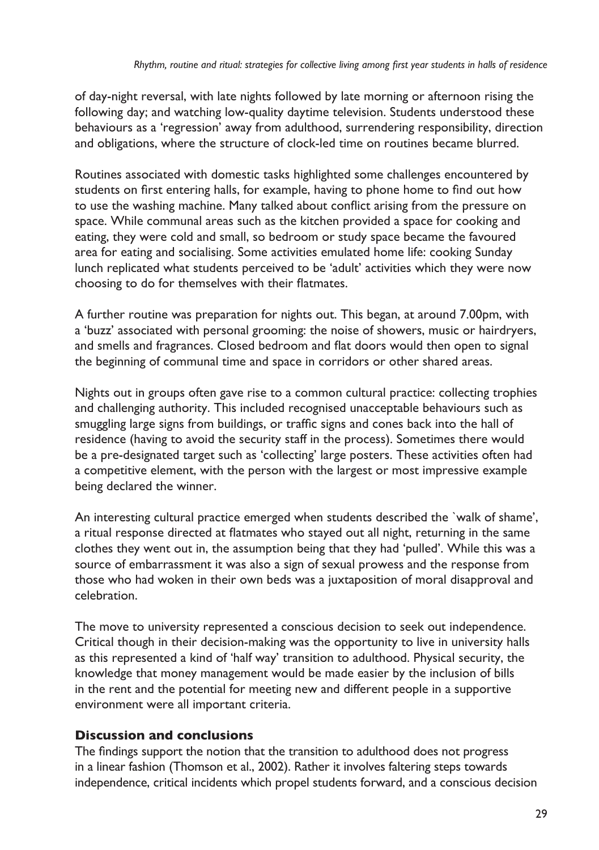of day-night reversal, with late nights followed by late morning or afternoon rising the following day; and watching low-quality daytime television. Students understood these behaviours as a 'regression' away from adulthood, surrendering responsibility, direction and obligations, where the structure of clock-led time on routines became blurred.

Routines associated with domestic tasks highlighted some challenges encountered by students on first entering halls, for example, having to phone home to find out how to use the washing machine. Many talked about conflict arising from the pressure on space. While communal areas such as the kitchen provided a space for cooking and eating, they were cold and small, so bedroom or study space became the favoured area for eating and socialising. Some activities emulated home life: cooking Sunday lunch replicated what students perceived to be 'adult' activities which they were now choosing to do for themselves with their flatmates.

A further routine was preparation for nights out. This began, at around 7.00pm, with a 'buzz' associated with personal grooming: the noise of showers, music or hairdryers, and smells and fragrances. Closed bedroom and flat doors would then open to signal the beginning of communal time and space in corridors or other shared areas.

Nights out in groups often gave rise to a common cultural practice: collecting trophies and challenging authority. This included recognised unacceptable behaviours such as smuggling large signs from buildings, or traffic signs and cones back into the hall of residence (having to avoid the security staff in the process). Sometimes there would be a pre-designated target such as 'collecting' large posters. These activities often had a competitive element, with the person with the largest or most impressive example being declared the winner.

An interesting cultural practice emerged when students described the `walk of shame', a ritual response directed at flatmates who stayed out all night, returning in the same clothes they went out in, the assumption being that they had 'pulled'. While this was a source of embarrassment it was also a sign of sexual prowess and the response from those who had woken in their own beds was a juxtaposition of moral disapproval and celebration.

The move to university represented a conscious decision to seek out independence. Critical though in their decision-making was the opportunity to live in university halls as this represented a kind of 'half way' transition to adulthood. Physical security, the knowledge that money management would be made easier by the inclusion of bills in the rent and the potential for meeting new and different people in a supportive environment were all important criteria.

#### **Discussion and conclusions**

The findings support the notion that the transition to adulthood does not progress in a linear fashion (Thomson et al., 2002). Rather it involves faltering steps towards independence, critical incidents which propel students forward, and a conscious decision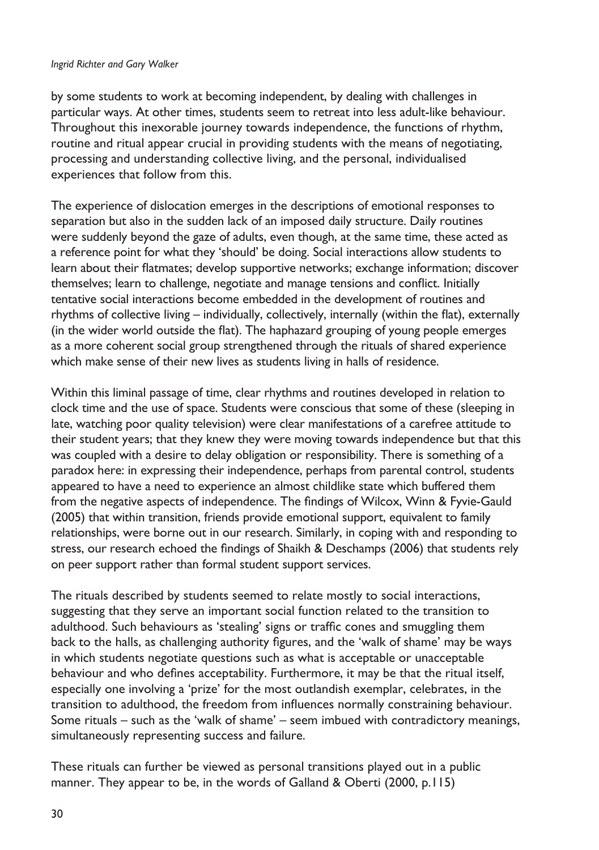#### *Ingrid Richter and Gary Walker*

by some students to work at becoming independent, by dealing with challenges in particular ways. At other times, students seem to retreat into less adult-like behaviour. Throughout this inexorable journey towards independence, the functions of rhythm, routine and ritual appear crucial in providing students with the means of negotiating, processing and understanding collective living, and the personal, individualised experiences that follow from this.

The experience of dislocation emerges in the descriptions of emotional responses to separation but also in the sudden lack of an imposed daily structure. Daily routines were suddenly beyond the gaze of adults, even though, at the same time, these acted as a reference point for what they 'should' be doing. Social interactions allow students to learn about their flatmates; develop supportive networks; exchange information; discover themselves; learn to challenge, negotiate and manage tensions and conflict. Initially tentative social interactions become embedded in the development of routines and rhythms of collective living – individually, collectively, internally (within the flat), externally (in the wider world outside the flat). The haphazard grouping of young people emerges as a more coherent social group strengthened through the rituals of shared experience which make sense of their new lives as students living in halls of residence.

Within this liminal passage of time, clear rhythms and routines developed in relation to clock time and the use of space. Students were conscious that some of these (sleeping in late, watching poor quality television) were clear manifestations of a carefree attitude to their student years; that they knew they were moving towards independence but that this was coupled with a desire to delay obligation or responsibility. There is something of a paradox here: in expressing their independence, perhaps from parental control, students appeared to have a need to experience an almost childlike state which buffered them from the negative aspects of independence. The findings of Wilcox, Winn & Fyvie-Gauld (2005) that within transition, friends provide emotional support, equivalent to family relationships, were borne out in our research. Similarly, in coping with and responding to stress, our research echoed the findings of Shaikh & Deschamps (2006) that students rely on peer support rather than formal student support services.

The rituals described by students seemed to relate mostly to social interactions, suggesting that they serve an important social function related to the transition to adulthood. Such behaviours as 'stealing' signs or traffic cones and smuggling them back to the halls, as challenging authority figures, and the 'walk of shame' may be ways in which students negotiate questions such as what is acceptable or unacceptable behaviour and who defines acceptability. Furthermore, it may be that the ritual itself, especially one involving a 'prize' for the most outlandish exemplar, celebrates, in the transition to adulthood, the freedom from influences normally constraining behaviour. Some rituals – such as the 'walk of shame' – seem imbued with contradictory meanings, simultaneously representing success and failure.

These rituals can further be viewed as personal transitions played out in a public manner. They appear to be, in the words of Galland & Oberti (2000, p.115)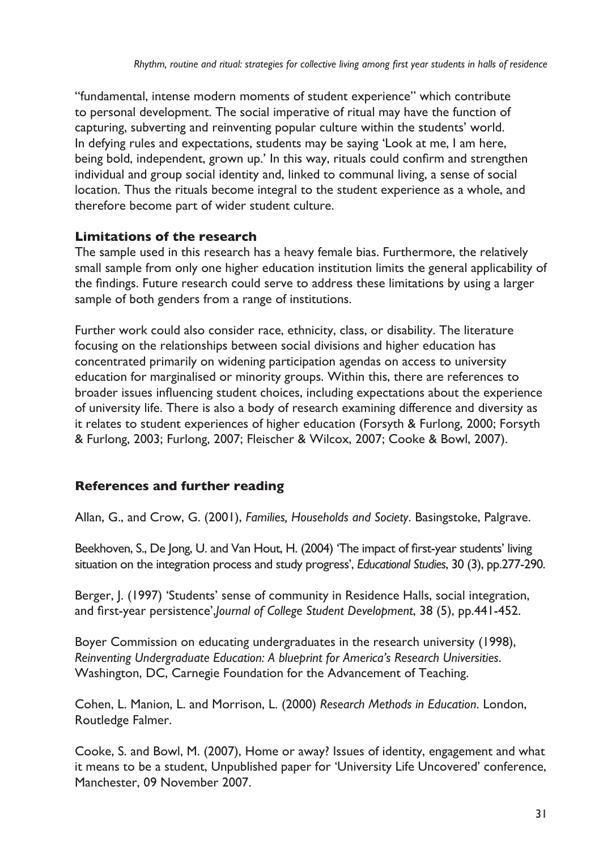"fundamental, intense modern moments of student experience" which contribute to personal development. The social imperative of ritual may have the function of capturing, subverting and reinventing popular culture within the students' world. In defying rules and expectations, students may be saying 'Look at me, I am here, being bold, independent, grown up.' In this way, rituals could confirm and strengthen individual and group social identity and, linked to communal living, a sense of social location. Thus the rituals become integral to the student experience as a whole, and therefore become part of wider student culture.

#### **Limitations of the research**

The sample used in this research has a heavy female bias. Furthermore, the relatively small sample from only one higher education institution limits the general applicability of the findings. Future research could serve to address these limitations by using a larger sample of both genders from a range of institutions.

Further work could also consider race, ethnicity, class, or disability. The literature focusing on the relationships between social divisions and higher education has concentrated primarily on widening participation agendas on access to university education for marginalised or minority groups. Within this, there are references to broader issues influencing student choices, including expectations about the experience of university life. There is also a body of research examining difference and diversity as it relates to student experiences of higher education (Forsyth & Furlong, 2000; Forsyth & Furlong, 2003; Furlong, 2007; Fleischer & Wilcox, 2007; Cooke & Bowl, 2007).

# **References and further reading**

Allan, G., and Crow, G. (2001), *Families, Households and Society*. Basingstoke, Palgrave.

Beekhoven, S., De Jong, U. and Van Hout, H. (2004) 'The impact of first-year students' living situation on the integration process and study progress', *Educational Studies*, 30 (3), pp.277-290.

Berger, J. (1997) 'Students' sense of community in Residence Halls, social integration, and first-year persistence',*Journal of College Student Development*, 38 (5), pp.441-452.

Boyer Commission on educating undergraduates in the research university (1998), *Reinventing Undergraduate Education: A blueprint for America's Research Universities*. Washington, DC, Carnegie Foundation for the Advancement of Teaching.

Cohen, L. Manion, L. and Morrison, L. (2000) *Research Methods in Education*. London, Routledge Falmer.

Cooke, S. and Bowl, M. (2007), Home or away? Issues of identity, engagement and what it means to be a student, Unpublished paper for 'University Life Uncovered' conference, Manchester, 09 November 2007.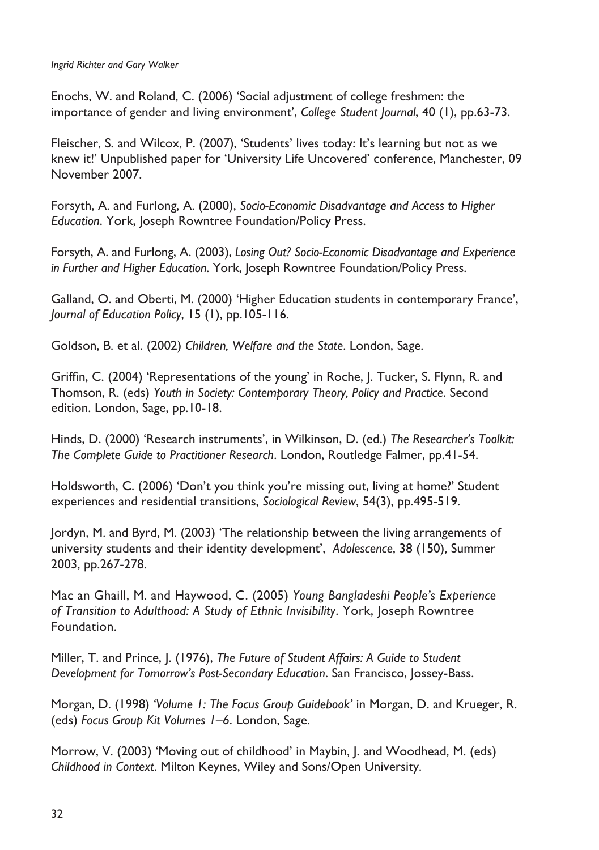Enochs, W. and Roland, C. (2006) 'Social adjustment of college freshmen: the importance of gender and living environment', *College Student Journal*, 40 (1), pp.63-73.

Fleischer, S. and Wilcox, P. (2007), 'Students' lives today: It's learning but not as we knew it!' Unpublished paper for 'University Life Uncovered' conference, Manchester, 09 November 2007.

Forsyth, A. and Furlong, A. (2000), *Socio-Economic Disadvantage and Access to Higher Education*. York, Joseph Rowntree Foundation/Policy Press.

Forsyth, A. and Furlong, A. (2003), *Losing Out? Socio-Economic Disadvantage and Experience in Further and Higher Education*. York, Joseph Rowntree Foundation/Policy Press.

Galland, O. and Oberti, M. (2000) 'Higher Education students in contemporary France', *Journal of Education Policy*, 15 (1), pp.105-116.

Goldson, B. et al. (2002) *Children, Welfare and the State*. London, Sage.

Griffin, C. (2004) 'Representations of the young' in Roche, J. Tucker, S. Flynn, R. and Thomson, R. (eds) *Youth in Society: Contemporary Theory, Policy and Practice*. Second edition. London, Sage, pp.10-18.

Hinds, D. (2000) 'Research instruments', in Wilkinson, D. (ed.) *The Researcher's Toolkit: The Complete Guide to Practitioner Research*. London, Routledge Falmer, pp.41-54.

Holdsworth, C. (2006) 'Don't you think you're missing out, living at home?' Student experiences and residential transitions, *Sociological Review*, 54(3), pp.495-519.

Jordyn, M. and Byrd, M. (2003) 'The relationship between the living arrangements of university students and their identity development', *Adolescence*, 38 (150), Summer 2003, pp.267-278.

Mac an Ghaill, M. and Haywood, C. (2005) *Young Bangladeshi People's Experience of Transition to Adulthood: A Study of Ethnic Invisibility*. York, Joseph Rowntree Foundation.

Miller, T. and Prince, J. (1976), *The Future of Student Affairs: A Guide to Student Development for Tomorrow's Post-Secondary Education*. San Francisco, Jossey-Bass.

Morgan, D. (1998) *'Volume 1: The Focus Group Guidebook'* in Morgan, D. and Krueger, R. (eds) *Focus Group Kit Volumes 1–6*. London, Sage.

Morrow, V. (2003) 'Moving out of childhood' in Maybin, J. and Woodhead, M. (eds) *Childhood in Context*. Milton Keynes, Wiley and Sons/Open University.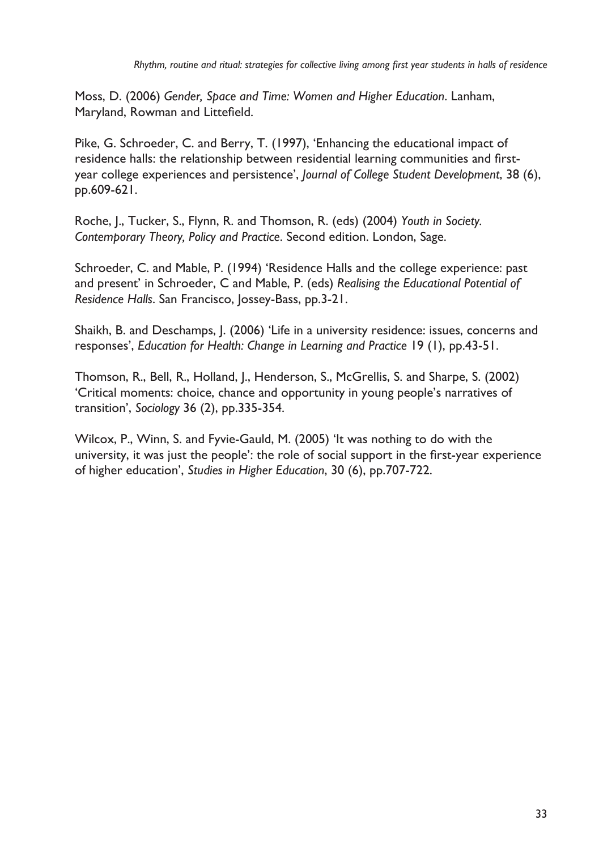Moss, D. (2006) *Gender, Space and Time: Women and Higher Education*. Lanham, Maryland, Rowman and Littefield.

Pike, G. Schroeder, C. and Berry, T. (1997), 'Enhancing the educational impact of residence halls: the relationship between residential learning communities and firstyear college experiences and persistence', *Journal of College Student Development*, 38 (6), pp.609-621.

Roche, J., Tucker, S., Flynn, R. and Thomson, R. (eds) (2004) *Youth in Society. Contemporary Theory, Policy and Practice*. Second edition. London, Sage.

Schroeder, C. and Mable, P. (1994) 'Residence Halls and the college experience: past and present' in Schroeder, C and Mable, P. (eds) *Realising the Educational Potential of Residence Halls*. San Francisco, Jossey-Bass, pp.3-21.

Shaikh, B. and Deschamps, J. (2006) 'Life in a university residence: issues, concerns and responses', *Education for Health: Change in Learning and Practice* 19 (1), pp.43-51.

Thomson, R., Bell, R., Holland, J., Henderson, S., McGrellis, S. and Sharpe, S. (2002) 'Critical moments: choice, chance and opportunity in young people's narratives of transition', *Sociology* 36 (2), pp.335-354.

Wilcox, P., Winn, S. and Fyvie-Gauld, M. (2005) 'It was nothing to do with the university, it was just the people': the role of social support in the first-year experience of higher education', *Studies in Higher Education*, 30 (6), pp.707-722.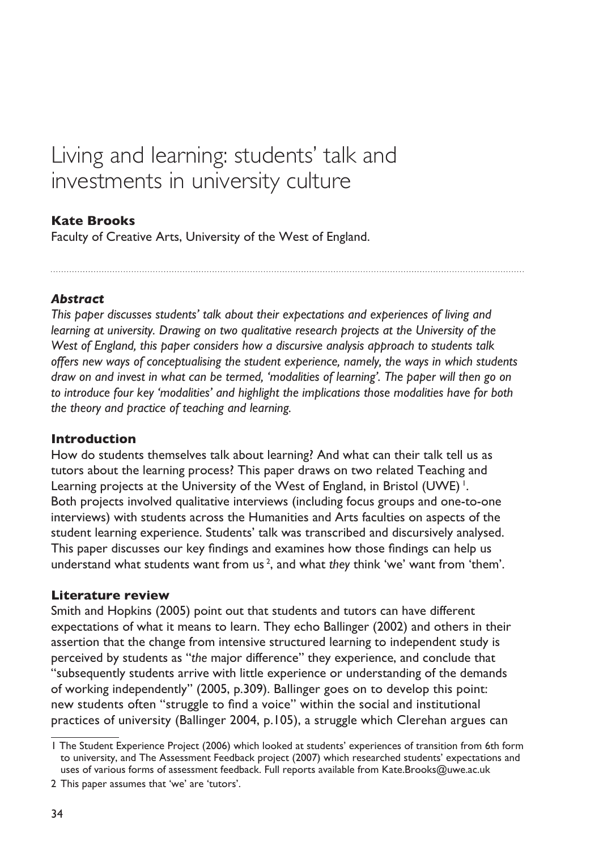# <span id="page-35-0"></span>Living and learning: students' talk and investments in university culture

#### **Kate Brooks**

Faculty of Creative Arts, University of the West of England.

#### *Abstract*

*This paper discusses students' talk about their expectations and experiences of living and learning at university. Drawing on two qualitative research projects at the University of the West of England, this paper considers how a discursive analysis approach to students talk offers new ways of conceptualising the student experience, namely, the ways in which students draw on and invest in what can be termed, 'modalities of learning'. The paper will then go on to introduce four key 'modalities' and highlight the implications those modalities have for both the theory and practice of teaching and learning.*

#### **Introduction**

How do students themselves talk about learning? And what can their talk tell us as tutors about the learning process? This paper draws on two related Teaching and Learning projects at the University of the West of England, in Bristol (UWE)<sup>1</sup>. Both projects involved qualitative interviews (including focus groups and one-to-one interviews) with students across the Humanities and Arts faculties on aspects of the student learning experience. Students' talk was transcribed and discursively analysed. This paper discusses our key findings and examines how those findings can help us understand what students want from us <sup>2</sup> , and what *they* think 'we' want from 'them'.

#### **Literature review**

Smith and Hopkins (2005) point out that students and tutors can have different expectations of what it means to learn. They echo Ballinger (2002) and others in their assertion that the change from intensive structured learning to independent study is perceived by students as "*the* major difference" they experience, and conclude that "subsequently students arrive with little experience or understanding of the demands of working independently" (2005, p.309). Ballinger goes on to develop this point: new students often "struggle to find a voice" within the social and institutional practices of university (Ballinger 2004, p.105), a struggle which Clerehan argues can

The Student Experience Project (2006) which looked at students' experiences of transition from 6th form to university, and The Assessment Feedback project (2007) which researched students' expectations and uses of various forms of assessment feedback. Full reports available from Kate.Brooks@uwe.ac.uk

<sup>2</sup> This paper assumes that 'we' are 'tutors'.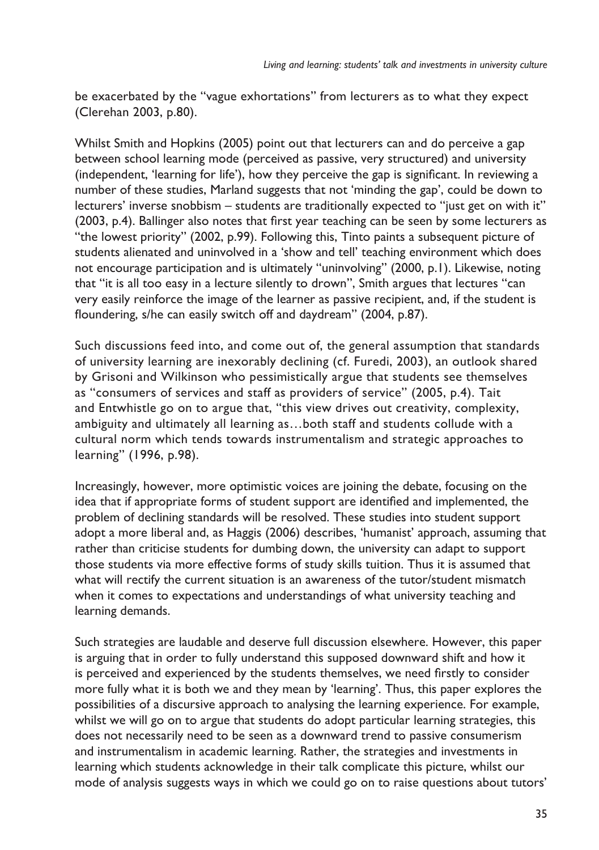be exacerbated by the "vague exhortations" from lecturers as to what they expect (Clerehan 2003, p.80).

Whilst Smith and Hopkins (2005) point out that lecturers can and do perceive a gap between school learning mode (perceived as passive, very structured) and university (independent, 'learning for life'), how they perceive the gap is significant. In reviewing a number of these studies, Marland suggests that not 'minding the gap', could be down to lecturers' inverse snobbism – students are traditionally expected to "just get on with it" (2003, p.4). Ballinger also notes that first year teaching can be seen by some lecturers as "the lowest priority" (2002, p.99). Following this, Tinto paints a subsequent picture of students alienated and uninvolved in a 'show and tell' teaching environment which does not encourage participation and is ultimately "uninvolving" (2000, p.1). Likewise, noting that "it is all too easy in a lecture silently to drown", Smith argues that lectures "can very easily reinforce the image of the learner as passive recipient, and, if the student is floundering, s/he can easily switch off and daydream" (2004, p.87).

Such discussions feed into, and come out of, the general assumption that standards of university learning are inexorably declining (cf. Furedi, 2003), an outlook shared by Grisoni and Wilkinson who pessimistically argue that students see themselves as "consumers of services and staff as providers of service" (2005, p.4). Tait and Entwhistle go on to argue that, "this view drives out creativity, complexity, ambiguity and ultimately all learning as…both staff and students collude with a cultural norm which tends towards instrumentalism and strategic approaches to learning" (1996, p.98).

Increasingly, however, more optimistic voices are joining the debate, focusing on the idea that if appropriate forms of student support are identified and implemented, the problem of declining standards will be resolved. These studies into student support adopt a more liberal and, as Haggis (2006) describes, 'humanist' approach, assuming that rather than criticise students for dumbing down, the university can adapt to support those students via more effective forms of study skills tuition. Thus it is assumed that what will rectify the current situation is an awareness of the tutor/student mismatch when it comes to expectations and understandings of what university teaching and learning demands.

Such strategies are laudable and deserve full discussion elsewhere. However, this paper is arguing that in order to fully understand this supposed downward shift and how it is perceived and experienced by the students themselves, we need firstly to consider more fully what it is both we and they mean by 'learning'. Thus, this paper explores the possibilities of a discursive approach to analysing the learning experience. For example, whilst we will go on to argue that students do adopt particular learning strategies, this does not necessarily need to be seen as a downward trend to passive consumerism and instrumentalism in academic learning. Rather, the strategies and investments in learning which students acknowledge in their talk complicate this picture, whilst our mode of analysis suggests ways in which we could go on to raise questions about tutors'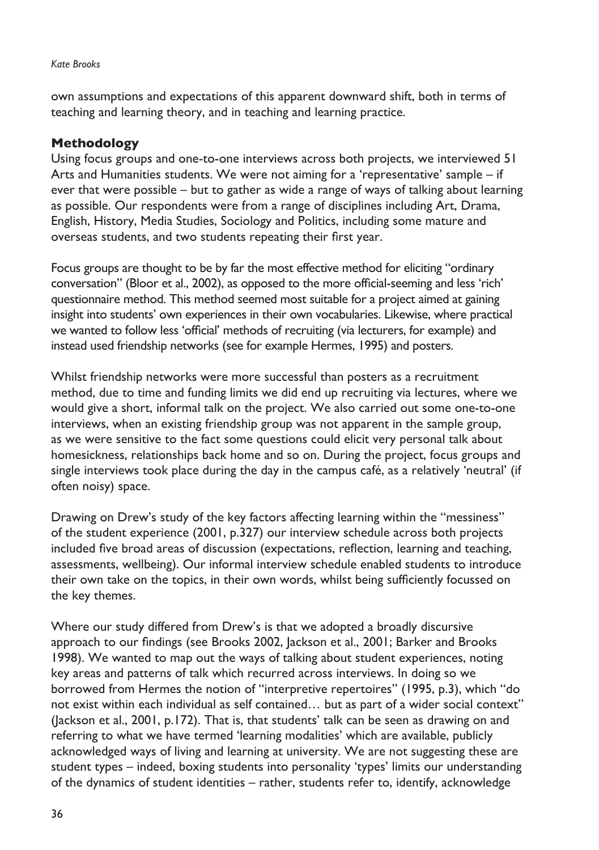#### *Kate Brooks*

own assumptions and expectations of this apparent downward shift, both in terms of teaching and learning theory, and in teaching and learning practice.

## **Methodology**

Using focus groups and one-to-one interviews across both projects, we interviewed 51 Arts and Humanities students. We were not aiming for a 'representative' sample – if ever that were possible – but to gather as wide a range of ways of talking about learning as possible. Our respondents were from a range of disciplines including Art, Drama, English, History, Media Studies, Sociology and Politics, including some mature and overseas students, and two students repeating their first year.

Focus groups are thought to be by far the most effective method for eliciting "ordinary conversation" (Bloor et al., 2002), as opposed to the more official-seeming and less 'rich' questionnaire method. This method seemed most suitable for a project aimed at gaining insight into students' own experiences in their own vocabularies. Likewise, where practical we wanted to follow less 'official' methods of recruiting (via lecturers, for example) and instead used friendship networks (see for example Hermes, 1995) and posters.

Whilst friendship networks were more successful than posters as a recruitment method, due to time and funding limits we did end up recruiting via lectures, where we would give a short, informal talk on the project. We also carried out some one-to-one interviews, when an existing friendship group was not apparent in the sample group, as we were sensitive to the fact some questions could elicit very personal talk about homesickness, relationships back home and so on. During the project, focus groups and single interviews took place during the day in the campus café, as a relatively 'neutral' (if often noisy) space.

Drawing on Drew's study of the key factors affecting learning within the "messiness" of the student experience (2001, p.327) our interview schedule across both projects included five broad areas of discussion (expectations, reflection, learning and teaching, assessments, wellbeing). Our informal interview schedule enabled students to introduce their own take on the topics, in their own words, whilst being sufficiently focussed on the key themes.

Where our study differed from Drew's is that we adopted a broadly discursive approach to our findings (see Brooks 2002, Jackson et al., 2001; Barker and Brooks 1998). We wanted to map out the ways of talking about student experiences, noting key areas and patterns of talk which recurred across interviews. In doing so we borrowed from Hermes the notion of "interpretive repertoires" (1995, p.3), which "do not exist within each individual as self contained… but as part of a wider social context" (Jackson et al., 2001, p.172). That is, that students' talk can be seen as drawing on and referring to what we have termed 'learning modalities' which are available, publicly acknowledged ways of living and learning at university. We are not suggesting these are student types – indeed, boxing students into personality 'types' limits our understanding of the dynamics of student identities – rather, students refer to, identify, acknowledge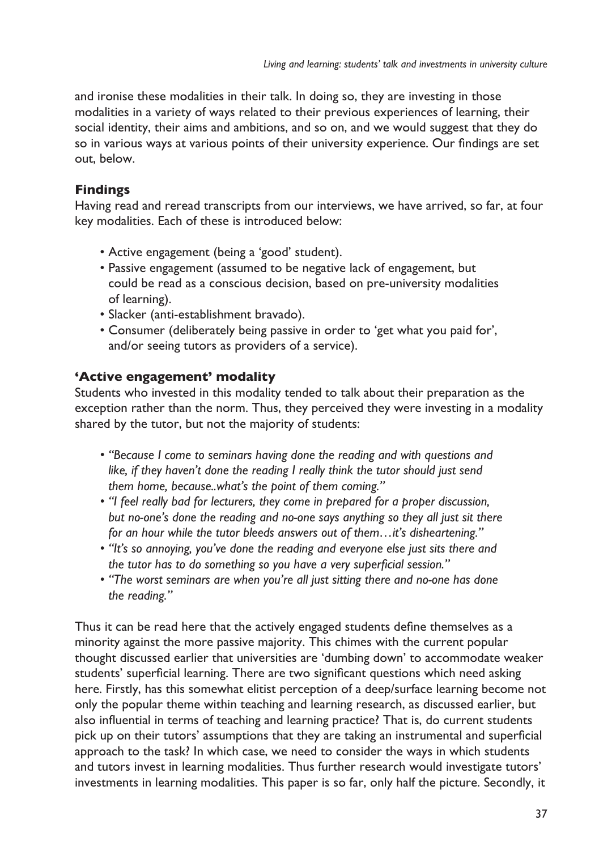and ironise these modalities in their talk. In doing so, they are investing in those modalities in a variety of ways related to their previous experiences of learning, their social identity, their aims and ambitions, and so on, and we would suggest that they do so in various ways at various points of their university experience. Our findings are set out, below.

# **Findings**

Having read and reread transcripts from our interviews, we have arrived, so far, at four key modalities. Each of these is introduced below:

- Active engagement (being a 'good' student). •
- Passive engagement (assumed to be negative lack of engagement, but could be read as a conscious decision, based on pre-university modalities of learning).
- Slacker (anti-establishment bravado).
- Consumer (deliberately being passive in order to 'get what you paid for', and/or seeing tutors as providers of a service).

# **'Active engagement' modality**

Students who invested in this modality tended to talk about their preparation as the exception rather than the norm. Thus, they perceived they were investing in a modality shared by the tutor, but not the majority of students:

- *"Because I come to seminars having done the reading and with questions and • like, if they haven't done the reading I really think the tutor should just send them home, because..what's the point of them coming."*
- "I feel really bad for lecturers, they come in prepared for a proper discussion, *but no-one's done the reading and no-one says anything so they all just sit there for an hour while the tutor bleeds answers out of them…it's disheartening."*
- *"It's so annoying, you've done the reading and everyone else just sits there and • the tutor has to do something so you have a very superficial session."*
- "The worst seminars are when you're all just sitting there and no-one has done *the reading."*

Thus it can be read here that the actively engaged students define themselves as a minority against the more passive majority. This chimes with the current popular thought discussed earlier that universities are 'dumbing down' to accommodate weaker students' superficial learning. There are two significant questions which need asking here. Firstly, has this somewhat elitist perception of a deep/surface learning become not only the popular theme within teaching and learning research, as discussed earlier, but also influential in terms of teaching and learning practice? That is, do current students pick up on their tutors' assumptions that they are taking an instrumental and superficial approach to the task? In which case, we need to consider the ways in which students and tutors invest in learning modalities. Thus further research would investigate tutors' investments in learning modalities. This paper is so far, only half the picture. Secondly, it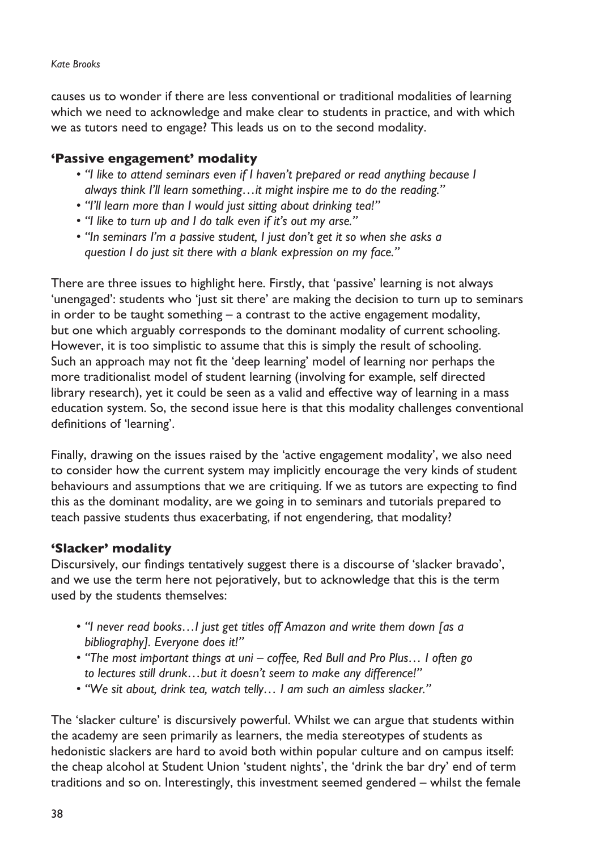#### *Kate Brooks*

causes us to wonder if there are less conventional or traditional modalities of learning which we need to acknowledge and make clear to students in practice, and with which we as tutors need to engage? This leads us on to the second modality.

### **'Passive engagement' modality**

- *"I like to attend seminars even if I haven't prepared or read anything because I • always think I'll learn something…it might inspire me to do the reading."*
- *"I'll learn more than I would just sitting about drinking tea!" •*
- *"I like to turn up and I do talk even if it's out my arse." •*
- "In seminars I'm a passive student, I just don't get it so when she asks a *question I do just sit there with a blank expression on my face."*

There are three issues to highlight here. Firstly, that 'passive' learning is not always 'unengaged': students who 'just sit there' are making the decision to turn up to seminars in order to be taught something – a contrast to the active engagement modality, but one which arguably corresponds to the dominant modality of current schooling. However, it is too simplistic to assume that this is simply the result of schooling. Such an approach may not fit the 'deep learning' model of learning nor perhaps the more traditionalist model of student learning (involving for example, self directed library research), yet it could be seen as a valid and effective way of learning in a mass education system. So, the second issue here is that this modality challenges conventional definitions of 'learning'.

Finally, drawing on the issues raised by the 'active engagement modality', we also need to consider how the current system may implicitly encourage the very kinds of student behaviours and assumptions that we are critiquing. If we as tutors are expecting to find this as the dominant modality, are we going in to seminars and tutorials prepared to teach passive students thus exacerbating, if not engendering, that modality?

## **'Slacker' modality**

Discursively, our findings tentatively suggest there is a discourse of 'slacker bravado', and we use the term here not pejoratively, but to acknowledge that this is the term used by the students themselves:

- "I never read books...I just get titles off Amazon and write them down [as a *bibliography]. Everyone does it!"*
- "The most important things at uni coffee, Red Bull and Pro Plus... I often go *to lectures still drunk…but it doesn't seem to make any difference!"*
- *"We sit about, drink tea, watch telly… I am such an aimless slacker." •*

The 'slacker culture' is discursively powerful. Whilst we can argue that students within the academy are seen primarily as learners, the media stereotypes of students as hedonistic slackers are hard to avoid both within popular culture and on campus itself: the cheap alcohol at Student Union 'student nights', the 'drink the bar dry' end of term traditions and so on. Interestingly, this investment seemed gendered – whilst the female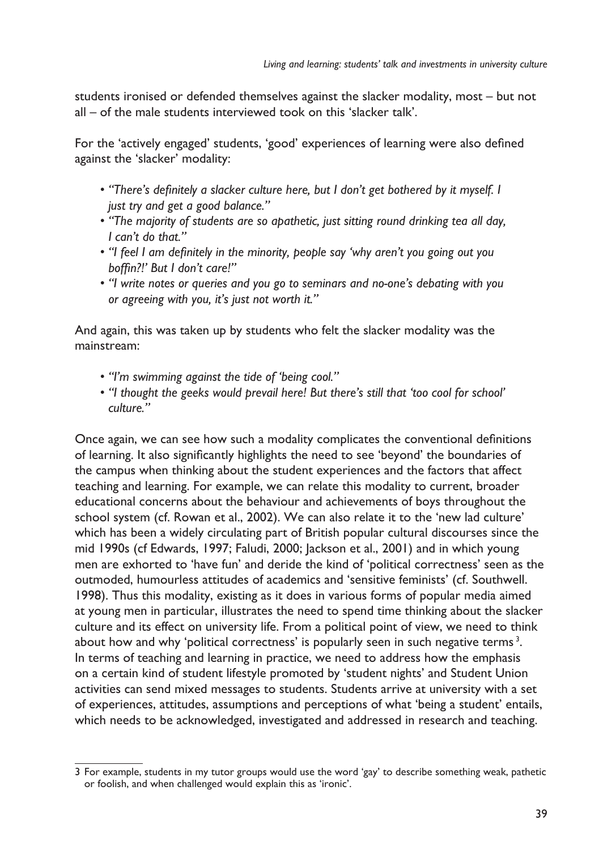students ironised or defended themselves against the slacker modality, most – but not all – of the male students interviewed took on this 'slacker talk'.

For the 'actively engaged' students, 'good' experiences of learning were also defined against the 'slacker' modality:

- *"There's definitely a slacker culture here, but I don't get bothered by it myself. I • just try and get a good balance."*
- "The majority of students are so apathetic, just sitting round drinking tea all day, *I can't do that."*
- "I feel I am definitely in the minority, people say 'why aren't you going out you *boffin?!' But I don't care!"*
- *"I write notes or queries and you go to seminars and no-one's debating with you • or agreeing with you, it's just not worth it."*

And again, this was taken up by students who felt the slacker modality was the mainstream:

- *"I'm swimming against the tide of 'being cool." •*
- *"I thought the geeks would prevail here! But there's still that 'too cool for school' • culture."*

Once again, we can see how such a modality complicates the conventional definitions of learning. It also significantly highlights the need to see 'beyond' the boundaries of the campus when thinking about the student experiences and the factors that affect teaching and learning. For example, we can relate this modality to current, broader educational concerns about the behaviour and achievements of boys throughout the school system (cf. Rowan et al., 2002). We can also relate it to the 'new lad culture' which has been a widely circulating part of British popular cultural discourses since the mid 1990s (cf Edwards, 1997; Faludi, 2000; Jackson et al., 2001) and in which young men are exhorted to 'have fun' and deride the kind of 'political correctness' seen as the outmoded, humourless attitudes of academics and 'sensitive feminists' (cf. Southwell. 1998). Thus this modality, existing as it does in various forms of popular media aimed at young men in particular, illustrates the need to spend time thinking about the slacker culture and its effect on university life. From a political point of view, we need to think about how and why 'political correctness' is popularly seen in such negative terms<sup>3</sup>. In terms of teaching and learning in practice, we need to address how the emphasis on a certain kind of student lifestyle promoted by 'student nights' and Student Union activities can send mixed messages to students. Students arrive at university with a set of experiences, attitudes, assumptions and perceptions of what 'being a student' entails, which needs to be acknowledged, investigated and addressed in research and teaching.

For example, students in my tutor groups would use the word 'gay' to describe something weak, pathetic or foolish, and when challenged would explain this as 'ironic'.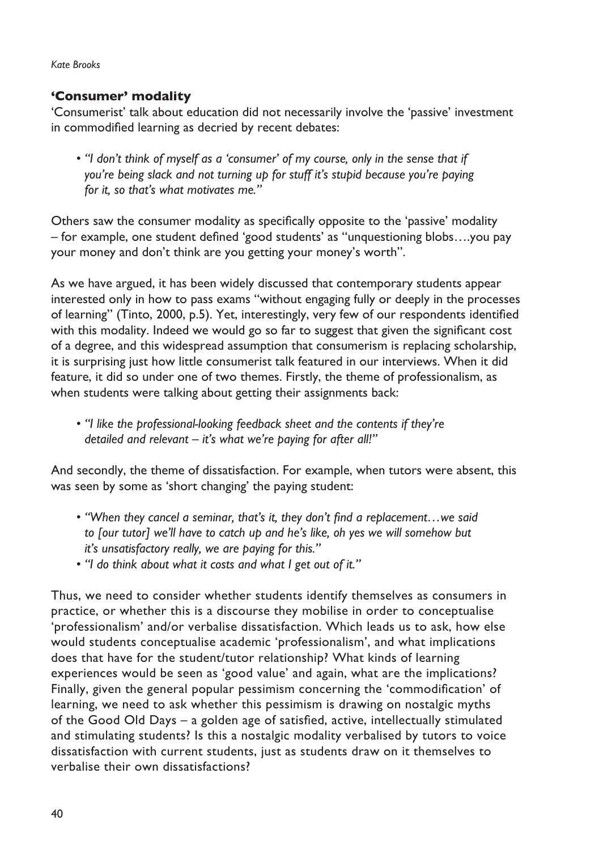*Kate Brooks*

## **'Consumer' modality**

'Consumerist' talk about education did not necessarily involve the 'passive' investment in commodified learning as decried by recent debates:

*"I don't think of myself as a 'consumer' of my course, only in the sense that if • you're being slack and not turning up for stuff it's stupid because you're paying for it, so that's what motivates me."* 

Others saw the consumer modality as specifically opposite to the 'passive' modality – for example, one student defined 'good students' as "unquestioning blobs….you pay your money and don't think are you getting your money's worth".

As we have argued, it has been widely discussed that contemporary students appear interested only in how to pass exams "without engaging fully or deeply in the processes of learning" (Tinto, 2000, p.5). Yet, interestingly, very few of our respondents identified with this modality. Indeed we would go so far to suggest that given the significant cost of a degree, and this widespread assumption that consumerism is replacing scholarship, it is surprising just how little consumerist talk featured in our interviews. When it did feature, it did so under one of two themes. Firstly, the theme of professionalism, as when students were talking about getting their assignments back:

*"I like the professional-looking feedback sheet and the contents if they're • detailed and relevant – it's what we're paying for after all!"*

And secondly, the theme of dissatisfaction. For example, when tutors were absent, this was seen by some as 'short changing' the paying student:

- *"When they cancel a seminar, that's it, they don't find a replacement…we said • to [our tutor] we'll have to catch up and he's like, oh yes we will somehow but it's unsatisfactory really, we are paying for this."*
- *"I do think about what it costs and what I get out of it." •*

Thus, we need to consider whether students identify themselves as consumers in practice, or whether this is a discourse they mobilise in order to conceptualise 'professionalism' and/or verbalise dissatisfaction. Which leads us to ask, how else would students conceptualise academic 'professionalism', and what implications does that have for the student/tutor relationship? What kinds of learning experiences would be seen as 'good value' and again, what are the implications? Finally, given the general popular pessimism concerning the 'commodification' of learning, we need to ask whether this pessimism is drawing on nostalgic myths of the Good Old Days – a golden age of satisfied, active, intellectually stimulated and stimulating students? Is this a nostalgic modality verbalised by tutors to voice dissatisfaction with current students, just as students draw on it themselves to verbalise their own dissatisfactions?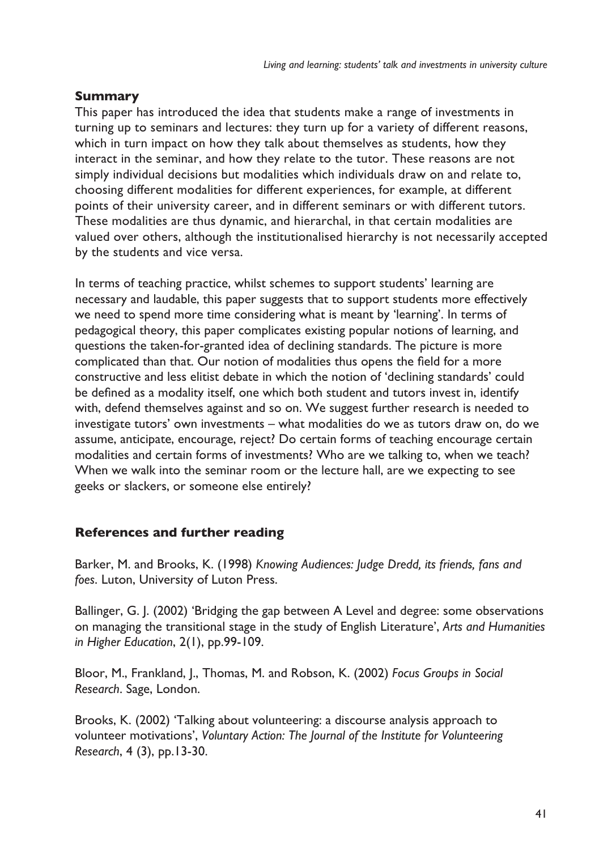# **Summary**

This paper has introduced the idea that students make a range of investments in turning up to seminars and lectures: they turn up for a variety of different reasons, which in turn impact on how they talk about themselves as students, how they interact in the seminar, and how they relate to the tutor. These reasons are not simply individual decisions but modalities which individuals draw on and relate to, choosing different modalities for different experiences, for example, at different points of their university career, and in different seminars or with different tutors. These modalities are thus dynamic, and hierarchal, in that certain modalities are valued over others, although the institutionalised hierarchy is not necessarily accepted by the students and vice versa.

In terms of teaching practice, whilst schemes to support students' learning are necessary and laudable, this paper suggests that to support students more effectively we need to spend more time considering what is meant by 'learning'. In terms of pedagogical theory, this paper complicates existing popular notions of learning, and questions the taken-for-granted idea of declining standards. The picture is more complicated than that. Our notion of modalities thus opens the field for a more constructive and less elitist debate in which the notion of 'declining standards' could be defined as a modality itself, one which both student and tutors invest in, identify with, defend themselves against and so on. We suggest further research is needed to investigate tutors' own investments – what modalities do we as tutors draw on, do we assume, anticipate, encourage, reject? Do certain forms of teaching encourage certain modalities and certain forms of investments? Who are we talking to, when we teach? When we walk into the seminar room or the lecture hall, are we expecting to see geeks or slackers, or someone else entirely?

## **References and further reading**

Barker, M. and Brooks, K. (1998) *Knowing Audiences: Judge Dredd, its friends, fans and foes*. Luton, University of Luton Press.

Ballinger, G. J. (2002) 'Bridging the gap between A Level and degree: some observations on managing the transitional stage in the study of English Literature', *Arts and Humanities in Higher Education*, 2(1), pp.99-109.

Bloor, M., Frankland, J., Thomas, M. and Robson, K. (2002) *Focus Groups in Social Research*. Sage, London.

Brooks, K. (2002) 'Talking about volunteering: a discourse analysis approach to volunteer motivations', *Voluntary Action: The Journal of the Institute for Volunteering Research*, 4 (3), pp.13-30.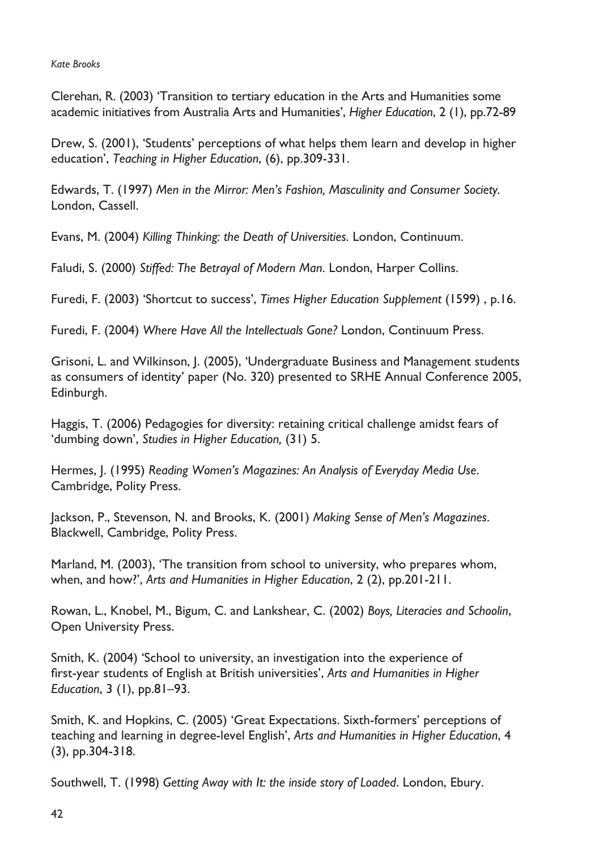*Kate Brooks*

Clerehan, R. (2003) 'Transition to tertiary education in the Arts and Humanities some academic initiatives from Australia Arts and Humanities', *Higher Education*, 2 (1), pp.72-89

Drew, S. (2001), 'Students' perceptions of what helps them learn and develop in higher education', *Teaching in Higher Education*, (6), pp.309-331.

Edwards, T. (1997) *Men in the Mirror: Men's Fashion, Masculinity and Consumer Society.* London, Cassell.

Evans, M. (2004) *Killing Thinking: the Death of Universities*. London, Continuum.

Faludi, S. (2000) *Stiffed: The Betrayal of Modern Man*. London, Harper Collins.

Furedi, F. (2003) 'Shortcut to success', *Times Higher Education Supplement* (1599) , p.16.

Furedi, F. (2004) *Where Have All the Intellectuals Gone?* London, Continuum Press.

Grisoni, L. and Wilkinson, J. (2005), 'Undergraduate Business and Management students as consumers of identity' paper (No. 320) presented to SRHE Annual Conference 2005, Edinburgh.

Haggis, T. (2006) Pedagogies for diversity: retaining critical challenge amidst fears of 'dumbing down', *Studies in Higher Education,* (31) 5.

Hermes, J. (1995) *Reading Women's Magazines: An Analysis of Everyday Media Use*. Cambridge, Polity Press.

Jackson, P., Stevenson, N. and Brooks, K. (2001) *Making Sense of Men's Magazines*. Blackwell, Cambridge, Polity Press.

Marland, M. (2003), 'The transition from school to university, who prepares whom, when, and how?', *Arts and Humanities in Higher Education*, 2 (2), pp.201-211.

Rowan, L., Knobel, M., Bigum, C. and Lankshear, C. (2002) *Boys, Literacies and Schoolin*, Open University Press.

Smith, K. (2004) 'School to university, an investigation into the experience of first-year students of English at British universities', *Arts and Humanities in Higher Education*, 3 (1), pp.81–93.

Smith, K. and Hopkins, C. (2005) 'Great Expectations. Sixth-formers' perceptions of teaching and learning in degree-level English', *Arts and Humanities in Higher Education*, 4 (3), pp.304-318.

Southwell, T. (1998) *Getting Away with It: the inside story of Loaded*. London, Ebury.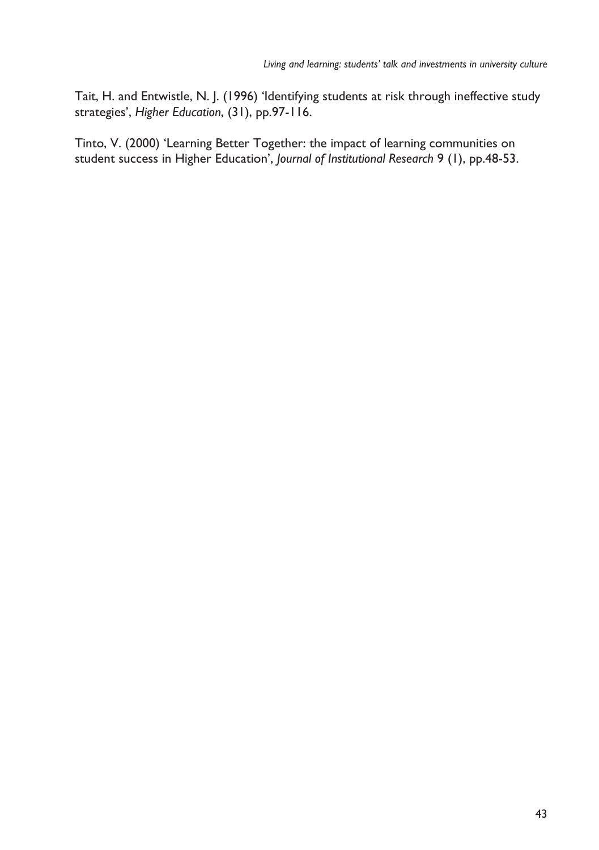Tait, H. and Entwistle, N. J. (1996) 'Identifying students at risk through ineffective study strategies', *Higher Education*, (31), pp.97-116.

Tinto, V. (2000) 'Learning Better Together: the impact of learning communities on student success in Higher Education', *Journal of Institutional Research* 9 (1), pp.48-53.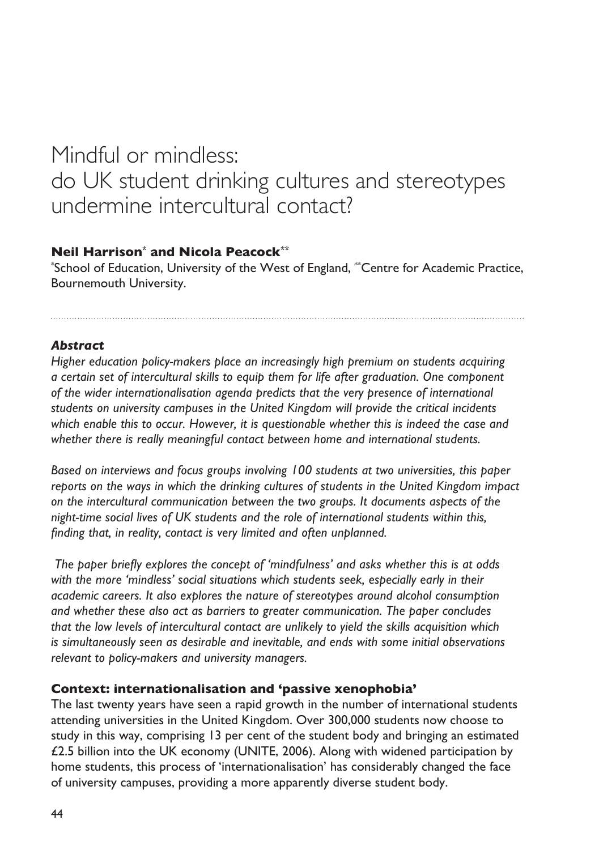# Mindful or mindless: do UK student drinking cultures and stereotypes undermine intercultural contact?

## **Neil Harrison\* and Nicola Peacock\*\***

\* School of Education, University of the West of England, \*\*Centre for Academic Practice, Bournemouth University.

## *Abstract*

*Higher education policy-makers place an increasingly high premium on students acquiring a certain set of intercultural skills to equip them for life after graduation. One component of the wider internationalisation agenda predicts that the very presence of international students on university campuses in the United Kingdom will provide the critical incidents which enable this to occur. However, it is questionable whether this is indeed the case and whether there is really meaningful contact between home and international students.*

*Based on interviews and focus groups involving 100 students at two universities, this paper reports on the ways in which the drinking cultures of students in the United Kingdom impact on the intercultural communication between the two groups. It documents aspects of the night-time social lives of UK students and the role of international students within this, finding that, in reality, contact is very limited and often unplanned.*

 *The paper briefly explores the concept of 'mindfulness' and asks whether this is at odds with the more 'mindless' social situations which students seek, especially early in their academic careers. It also explores the nature of stereotypes around alcohol consumption and whether these also act as barriers to greater communication. The paper concludes that the low levels of intercultural contact are unlikely to yield the skills acquisition which is simultaneously seen as desirable and inevitable, and ends with some initial observations relevant to policy-makers and university managers.*

#### **Context: internationalisation and 'passive xenophobia'**

The last twenty years have seen a rapid growth in the number of international students attending universities in the United Kingdom. Over 300,000 students now choose to study in this way, comprising 13 per cent of the student body and bringing an estimated £2.5 billion into the UK economy (UNITE, 2006). Along with widened participation by home students, this process of 'internationalisation' has considerably changed the face of university campuses, providing a more apparently diverse student body.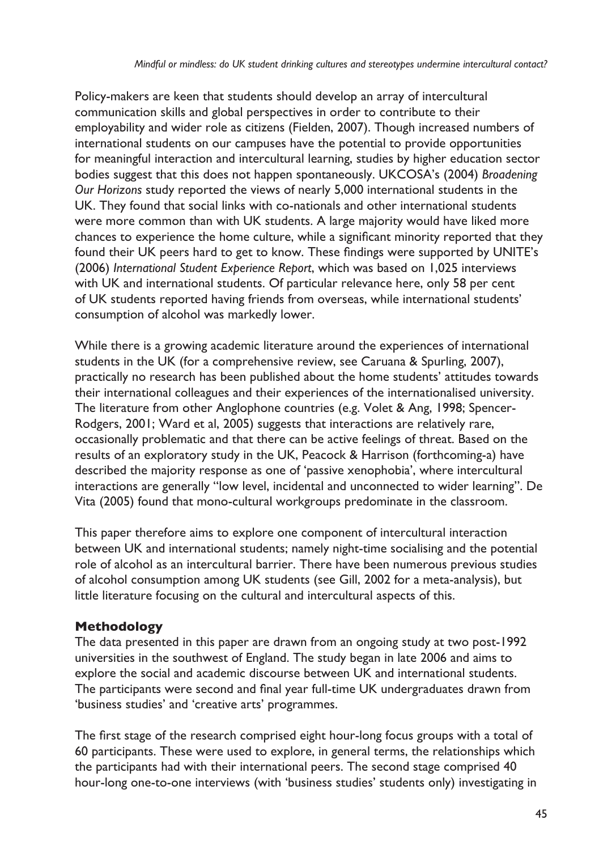Policy-makers are keen that students should develop an array of intercultural communication skills and global perspectives in order to contribute to their employability and wider role as citizens (Fielden, 2007). Though increased numbers of international students on our campuses have the potential to provide opportunities for meaningful interaction and intercultural learning, studies by higher education sector bodies suggest that this does not happen spontaneously. UKCOSA's (2004) *Broadening Our Horizons* study reported the views of nearly 5,000 international students in the UK. They found that social links with co-nationals and other international students were more common than with UK students. A large majority would have liked more chances to experience the home culture, while a significant minority reported that they found their UK peers hard to get to know. These findings were supported by UNITE's (2006) *International Student Experience Report*, which was based on 1,025 interviews with UK and international students. Of particular relevance here, only 58 per cent of UK students reported having friends from overseas, while international students' consumption of alcohol was markedly lower.

While there is a growing academic literature around the experiences of international students in the UK (for a comprehensive review, see Caruana & Spurling, 2007), practically no research has been published about the home students' attitudes towards their international colleagues and their experiences of the internationalised university. The literature from other Anglophone countries (e.g. Volet & Ang, 1998; Spencer-Rodgers, 2001; Ward et al, 2005) suggests that interactions are relatively rare, occasionally problematic and that there can be active feelings of threat. Based on the results of an exploratory study in the UK, Peacock & Harrison (forthcoming-a) have described the majority response as one of 'passive xenophobia', where intercultural interactions are generally "low level, incidental and unconnected to wider learning". De Vita (2005) found that mono-cultural workgroups predominate in the classroom.

This paper therefore aims to explore one component of intercultural interaction between UK and international students; namely night-time socialising and the potential role of alcohol as an intercultural barrier. There have been numerous previous studies of alcohol consumption among UK students (see Gill, 2002 for a meta-analysis), but little literature focusing on the cultural and intercultural aspects of this.

# **Methodology**

The data presented in this paper are drawn from an ongoing study at two post-1992 universities in the southwest of England. The study began in late 2006 and aims to explore the social and academic discourse between UK and international students. The participants were second and final year full-time UK undergraduates drawn from 'business studies' and 'creative arts' programmes.

The first stage of the research comprised eight hour-long focus groups with a total of 60 participants. These were used to explore, in general terms, the relationships which the participants had with their international peers. The second stage comprised 40 hour-long one-to-one interviews (with 'business studies' students only) investigating in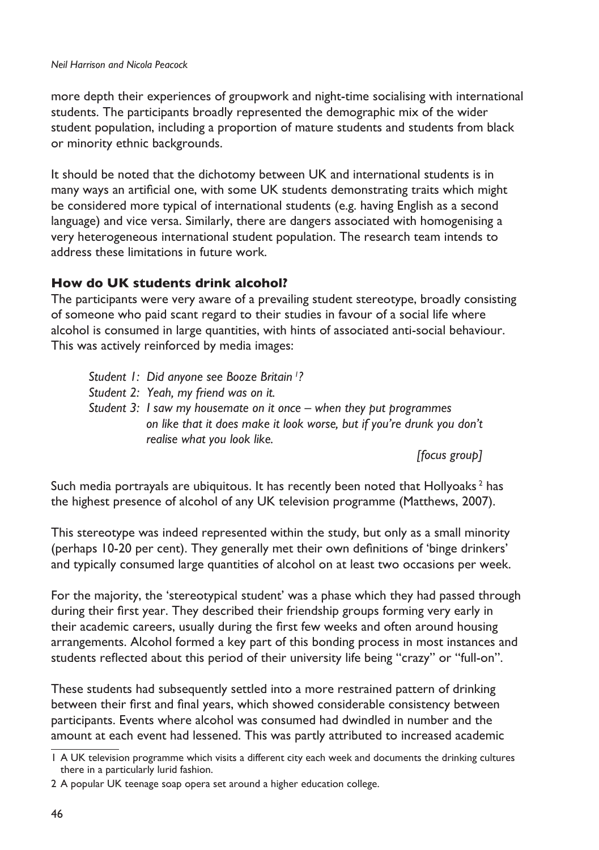more depth their experiences of groupwork and night-time socialising with international students. The participants broadly represented the demographic mix of the wider student population, including a proportion of mature students and students from black or minority ethnic backgrounds.

It should be noted that the dichotomy between UK and international students is in many ways an artificial one, with some UK students demonstrating traits which might be considered more typical of international students (e.g. having English as a second language) and vice versa. Similarly, there are dangers associated with homogenising a very heterogeneous international student population. The research team intends to address these limitations in future work.

## **How do UK students drink alcohol?**

The participants were very aware of a prevailing student stereotype, broadly consisting of someone who paid scant regard to their studies in favour of a social life where alcohol is consumed in large quantities, with hints of associated anti-social behaviour. This was actively reinforced by media images:

- *Student 1: Did anyone see Booze Britain <sup>1</sup> ?*
- *Student 2: Yeah, my friend was on it.*
- *Student 3: I saw my housemate on it once when they put programmes on like that it does make it look worse, but if you're drunk you don't realise what you look like.*

*[focus group]*

Such media portrayals are ubiquitous. It has recently been noted that Hollyoaks<sup>2</sup> has the highest presence of alcohol of any UK television programme (Matthews, 2007).

This stereotype was indeed represented within the study, but only as a small minority (perhaps 10-20 per cent). They generally met their own definitions of 'binge drinkers' and typically consumed large quantities of alcohol on at least two occasions per week.

For the majority, the 'stereotypical student' was a phase which they had passed through during their first year. They described their friendship groups forming very early in their academic careers, usually during the first few weeks and often around housing arrangements. Alcohol formed a key part of this bonding process in most instances and students reflected about this period of their university life being "crazy" or "full-on".

These students had subsequently settled into a more restrained pattern of drinking between their first and final years, which showed considerable consistency between participants. Events where alcohol was consumed had dwindled in number and the amount at each event had lessened. This was partly attributed to increased academic

A UK television programme which visits a different city each week and documents the drinking cultures there in a particularly lurid fashion.

<sup>2</sup> A popular UK teenage soap opera set around a higher education college.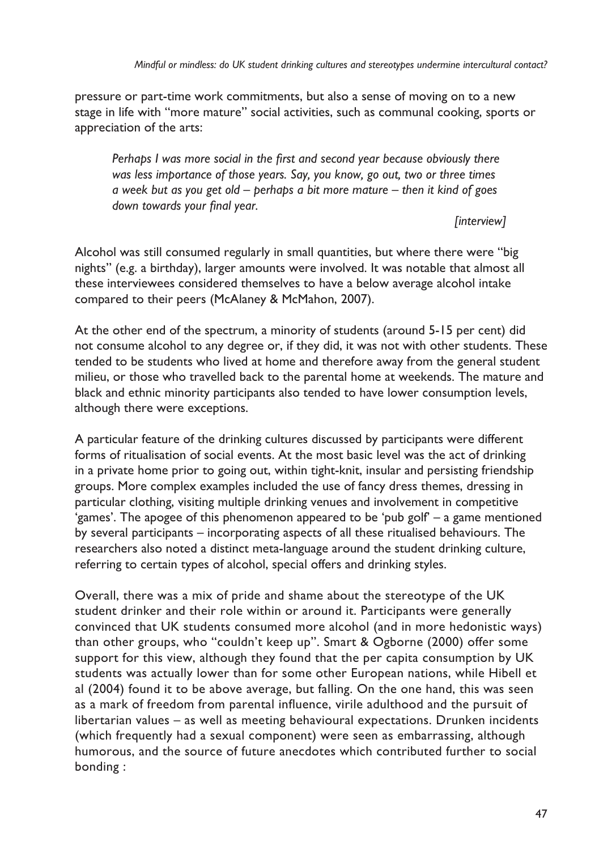pressure or part-time work commitments, but also a sense of moving on to a new stage in life with "more mature" social activities, such as communal cooking, sports or appreciation of the arts:

*Perhaps I was more social in the first and second year because obviously there was less importance of those years. Say, you know, go out, two or three times a week but as you get old – perhaps a bit more mature – then it kind of goes down towards your final year.*

## *[interview]*

Alcohol was still consumed regularly in small quantities, but where there were "big nights" (e.g. a birthday), larger amounts were involved. It was notable that almost all these interviewees considered themselves to have a below average alcohol intake compared to their peers (McAlaney & McMahon, 2007).

At the other end of the spectrum, a minority of students (around 5-15 per cent) did not consume alcohol to any degree or, if they did, it was not with other students. These tended to be students who lived at home and therefore away from the general student milieu, or those who travelled back to the parental home at weekends. The mature and black and ethnic minority participants also tended to have lower consumption levels, although there were exceptions.

A particular feature of the drinking cultures discussed by participants were different forms of ritualisation of social events. At the most basic level was the act of drinking in a private home prior to going out, within tight-knit, insular and persisting friendship groups. More complex examples included the use of fancy dress themes, dressing in particular clothing, visiting multiple drinking venues and involvement in competitive 'games'. The apogee of this phenomenon appeared to be 'pub golf' – a game mentioned by several participants – incorporating aspects of all these ritualised behaviours. The researchers also noted a distinct meta-language around the student drinking culture, referring to certain types of alcohol, special offers and drinking styles.

Overall, there was a mix of pride and shame about the stereotype of the UK student drinker and their role within or around it. Participants were generally convinced that UK students consumed more alcohol (and in more hedonistic ways) than other groups, who "couldn't keep up". Smart & Ogborne (2000) offer some support for this view, although they found that the per capita consumption by UK students was actually lower than for some other European nations, while Hibell et al (2004) found it to be above average, but falling. On the one hand, this was seen as a mark of freedom from parental influence, virile adulthood and the pursuit of libertarian values – as well as meeting behavioural expectations. Drunken incidents (which frequently had a sexual component) were seen as embarrassing, although humorous, and the source of future anecdotes which contributed further to social bonding :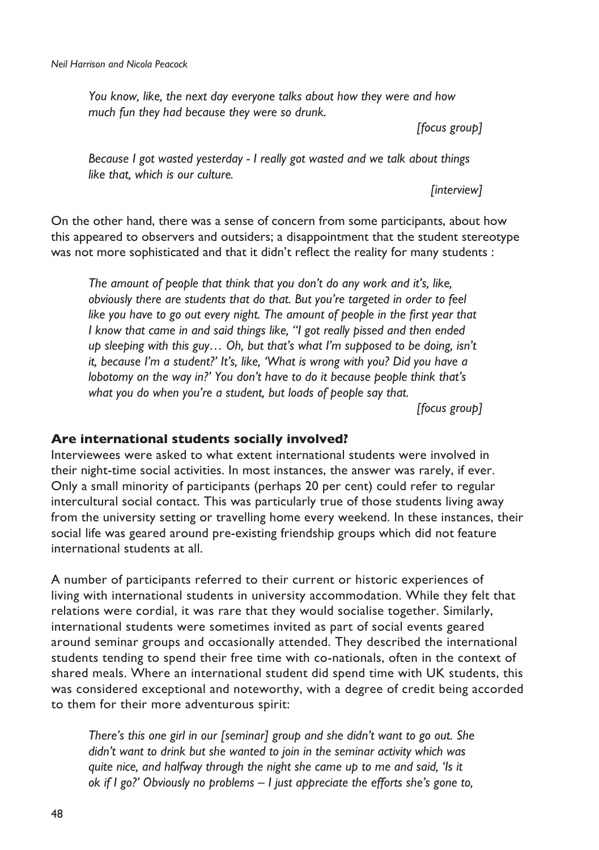*You know, like, the next day everyone talks about how they were and how much fun they had because they were so drunk.*

*[focus group]*

*Because I got wasted yesterday - I really got wasted and we talk about things like that, which is our culture.*

*[interview]*

On the other hand, there was a sense of concern from some participants, about how this appeared to observers and outsiders; a disappointment that the student stereotype was not more sophisticated and that it didn't reflect the reality for many students :

*The amount of people that think that you don't do any work and it's, like, obviously there are students that do that. But you're targeted in order to feel*  like you have to go out every night. The amount of people in the first year that *I know that came in and said things like, "I got really pissed and then ended up sleeping with this guy… Oh, but that's what I'm supposed to be doing, isn't it, because I'm a student?' It's, like, 'What is wrong with you? Did you have a lobotomy on the way in?' You don't have to do it because people think that's what you do when you're a student, but loads of people say that.*

*[focus group]*

#### **Are international students socially involved?**

Interviewees were asked to what extent international students were involved in their night-time social activities. In most instances, the answer was rarely, if ever. Only a small minority of participants (perhaps 20 per cent) could refer to regular intercultural social contact. This was particularly true of those students living away from the university setting or travelling home every weekend. In these instances, their social life was geared around pre-existing friendship groups which did not feature international students at all.

A number of participants referred to their current or historic experiences of living with international students in university accommodation. While they felt that relations were cordial, it was rare that they would socialise together. Similarly, international students were sometimes invited as part of social events geared around seminar groups and occasionally attended. They described the international students tending to spend their free time with co-nationals, often in the context of shared meals. Where an international student did spend time with UK students, this was considered exceptional and noteworthy, with a degree of credit being accorded to them for their more adventurous spirit:

*There's this one girl in our [seminar] group and she didn't want to go out. She didn't want to drink but she wanted to join in the seminar activity which was quite nice, and halfway through the night she came up to me and said, 'Is it ok if I go?' Obviously no problems – I just appreciate the efforts she's gone to,*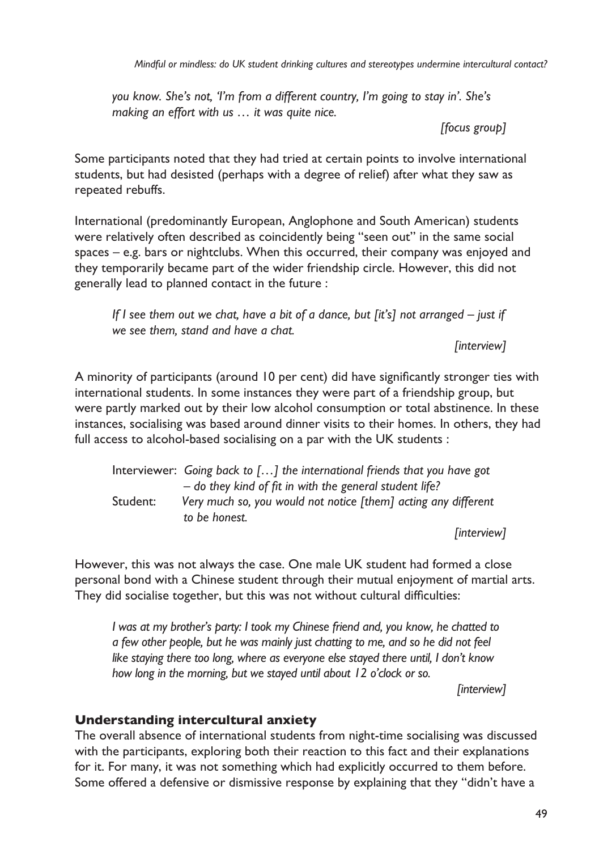*Mindful or mindless: do UK student drinking cultures and stereotypes undermine intercultural contact?*

*you know. She's not, 'I'm from a different country, I'm going to stay in'. She's making an effort with us … it was quite nice.*

*[focus group]*

Some participants noted that they had tried at certain points to involve international students, but had desisted (perhaps with a degree of relief) after what they saw as repeated rebuffs.

International (predominantly European, Anglophone and South American) students were relatively often described as coincidently being "seen out" in the same social spaces – e.g. bars or nightclubs. When this occurred, their company was enjoyed and they temporarily became part of the wider friendship circle. However, this did not generally lead to planned contact in the future :

*If I see them out we chat, have a bit of a dance, but [it's] not arranged – just if we see them, stand and have a chat.*

*[interview]*

A minority of participants (around 10 per cent) did have significantly stronger ties with international students. In some instances they were part of a friendship group, but were partly marked out by their low alcohol consumption or total abstinence. In these instances, socialising was based around dinner visits to their homes. In others, they had full access to alcohol-based socialising on a par with the UK students :

Interviewer: *Going back to […] the international friends that you have got – do they kind of fit in with the general student life?* Student: *Very much so, you would not notice [them] acting any different to be honest.*

*[interview]*

However, this was not always the case. One male UK student had formed a close personal bond with a Chinese student through their mutual enjoyment of martial arts. They did socialise together, but this was not without cultural difficulties:

*I was at my brother's party: I took my Chinese friend and, you know, he chatted to a few other people, but he was mainly just chatting to me, and so he did not feel like staying there too long, where as everyone else stayed there until, I don't know how long in the morning, but we stayed until about 12 o'clock or so.*

*[interview]*

## **Understanding intercultural anxiety**

The overall absence of international students from night-time socialising was discussed with the participants, exploring both their reaction to this fact and their explanations for it. For many, it was not something which had explicitly occurred to them before. Some offered a defensive or dismissive response by explaining that they "didn't have a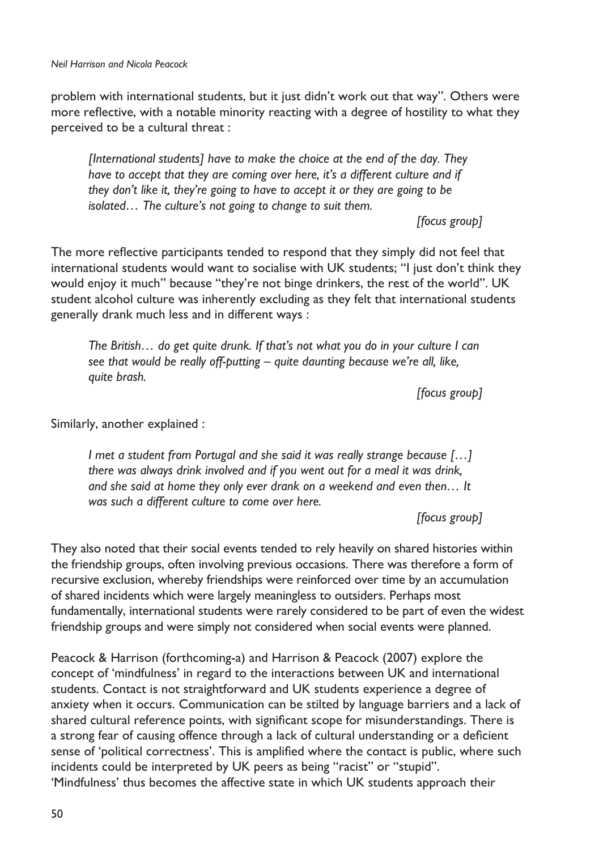problem with international students, but it just didn't work out that way". Others were more reflective, with a notable minority reacting with a degree of hostility to what they perceived to be a cultural threat :

*[International students] have to make the choice at the end of the day. They have to accept that they are coming over here, it's a different culture and if they don't like it, they're going to have to accept it or they are going to be isolated… The culture's not going to change to suit them.*

*[focus group]*

The more reflective participants tended to respond that they simply did not feel that international students would want to socialise with UK students; "I just don't think they would enjoy it much" because "they're not binge drinkers, the rest of the world". UK student alcohol culture was inherently excluding as they felt that international students generally drank much less and in different ways :

*The British… do get quite drunk. If that's not what you do in your culture I can see that would be really off-putting – quite daunting because we're all, like, quite brash.*

*[focus group]*

Similarly, another explained :

*I met a student from Portugal and she said it was really strange because […] there was always drink involved and if you went out for a meal it was drink, and she said at home they only ever drank on a weekend and even then… It was such a different culture to come over here.*

*[focus group]*

They also noted that their social events tended to rely heavily on shared histories within the friendship groups, often involving previous occasions. There was therefore a form of recursive exclusion, whereby friendships were reinforced over time by an accumulation of shared incidents which were largely meaningless to outsiders. Perhaps most fundamentally, international students were rarely considered to be part of even the widest friendship groups and were simply not considered when social events were planned.

Peacock & Harrison (forthcoming-a) and Harrison & Peacock (2007) explore the concept of 'mindfulness' in regard to the interactions between UK and international students. Contact is not straightforward and UK students experience a degree of anxiety when it occurs. Communication can be stilted by language barriers and a lack of shared cultural reference points, with significant scope for misunderstandings. There is a strong fear of causing offence through a lack of cultural understanding or a deficient sense of 'political correctness'. This is amplified where the contact is public, where such incidents could be interpreted by UK peers as being "racist" or "stupid". 'Mindfulness' thus becomes the affective state in which UK students approach their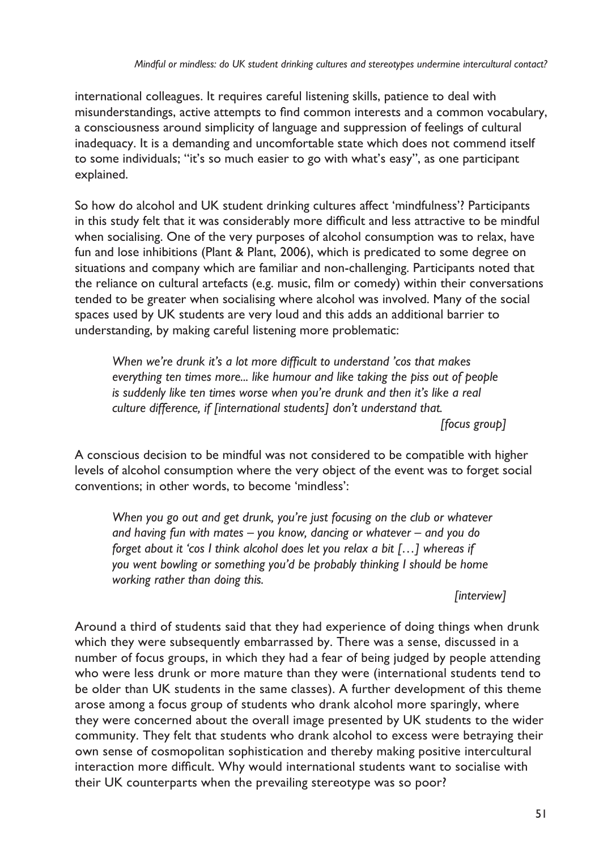international colleagues. It requires careful listening skills, patience to deal with misunderstandings, active attempts to find common interests and a common vocabulary, a consciousness around simplicity of language and suppression of feelings of cultural inadequacy. It is a demanding and uncomfortable state which does not commend itself to some individuals; "it's so much easier to go with what's easy", as one participant explained.

So how do alcohol and UK student drinking cultures affect 'mindfulness'? Participants in this study felt that it was considerably more difficult and less attractive to be mindful when socialising. One of the very purposes of alcohol consumption was to relax, have fun and lose inhibitions (Plant & Plant, 2006), which is predicated to some degree on situations and company which are familiar and non-challenging. Participants noted that the reliance on cultural artefacts (e.g. music, film or comedy) within their conversations tended to be greater when socialising where alcohol was involved. Many of the social spaces used by UK students are very loud and this adds an additional barrier to understanding, by making careful listening more problematic:

*When we're drunk it's a lot more difficult to understand 'cos that makes everything ten times more... like humour and like taking the piss out of people is suddenly like ten times worse when you're drunk and then it's like a real culture difference, if [international students] don't understand that.*

*[focus group]*

A conscious decision to be mindful was not considered to be compatible with higher levels of alcohol consumption where the very object of the event was to forget social conventions; in other words, to become 'mindless':

*When you go out and get drunk, you're just focusing on the club or whatever and having fun with mates – you know, dancing or whatever – and you do forget about it 'cos I think alcohol does let you relax a bit […] whereas if you went bowling or something you'd be probably thinking I should be home working rather than doing this.*

## *[interview]*

Around a third of students said that they had experience of doing things when drunk which they were subsequently embarrassed by. There was a sense, discussed in a number of focus groups, in which they had a fear of being judged by people attending who were less drunk or more mature than they were (international students tend to be older than UK students in the same classes). A further development of this theme arose among a focus group of students who drank alcohol more sparingly, where they were concerned about the overall image presented by UK students to the wider community. They felt that students who drank alcohol to excess were betraying their own sense of cosmopolitan sophistication and thereby making positive intercultural interaction more difficult. Why would international students want to socialise with their UK counterparts when the prevailing stereotype was so poor?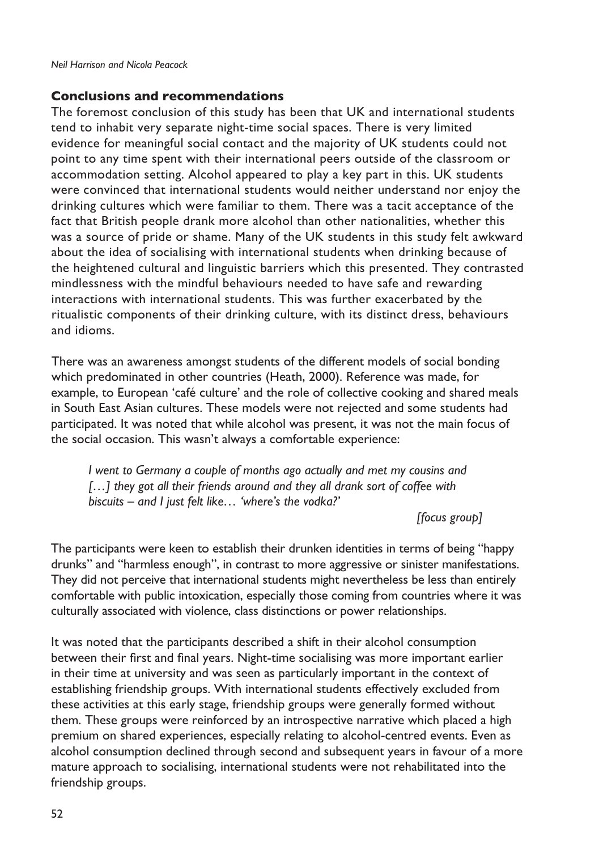### **Conclusions and recommendations**

The foremost conclusion of this study has been that UK and international students tend to inhabit very separate night-time social spaces. There is very limited evidence for meaningful social contact and the majority of UK students could not point to any time spent with their international peers outside of the classroom or accommodation setting. Alcohol appeared to play a key part in this. UK students were convinced that international students would neither understand nor enjoy the drinking cultures which were familiar to them. There was a tacit acceptance of the fact that British people drank more alcohol than other nationalities, whether this was a source of pride or shame. Many of the UK students in this study felt awkward about the idea of socialising with international students when drinking because of the heightened cultural and linguistic barriers which this presented. They contrasted mindlessness with the mindful behaviours needed to have safe and rewarding interactions with international students. This was further exacerbated by the ritualistic components of their drinking culture, with its distinct dress, behaviours and idioms.

There was an awareness amongst students of the different models of social bonding which predominated in other countries (Heath, 2000). Reference was made, for example, to European 'café culture' and the role of collective cooking and shared meals in South East Asian cultures. These models were not rejected and some students had participated. It was noted that while alcohol was present, it was not the main focus of the social occasion. This wasn't always a comfortable experience:

*I went to Germany a couple of months ago actually and met my cousins and*  [...] they got all their friends around and they all drank sort of coffee with *biscuits – and I just felt like… 'where's the vodka?'*

*[focus group]*

The participants were keen to establish their drunken identities in terms of being "happy drunks" and "harmless enough", in contrast to more aggressive or sinister manifestations. They did not perceive that international students might nevertheless be less than entirely comfortable with public intoxication, especially those coming from countries where it was culturally associated with violence, class distinctions or power relationships.

It was noted that the participants described a shift in their alcohol consumption between their first and final years. Night-time socialising was more important earlier in their time at university and was seen as particularly important in the context of establishing friendship groups. With international students effectively excluded from these activities at this early stage, friendship groups were generally formed without them. These groups were reinforced by an introspective narrative which placed a high premium on shared experiences, especially relating to alcohol-centred events. Even as alcohol consumption declined through second and subsequent years in favour of a more mature approach to socialising, international students were not rehabilitated into the friendship groups.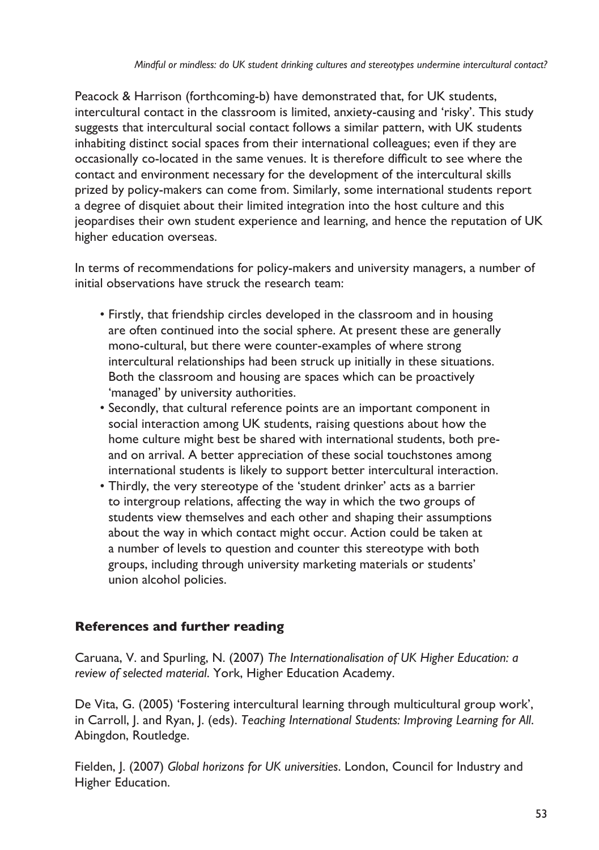Peacock & Harrison (forthcoming-b) have demonstrated that, for UK students, intercultural contact in the classroom is limited, anxiety-causing and 'risky'. This study suggests that intercultural social contact follows a similar pattern, with UK students inhabiting distinct social spaces from their international colleagues; even if they are occasionally co-located in the same venues. It is therefore difficult to see where the contact and environment necessary for the development of the intercultural skills prized by policy-makers can come from. Similarly, some international students report a degree of disquiet about their limited integration into the host culture and this jeopardises their own student experience and learning, and hence the reputation of UK higher education overseas.

In terms of recommendations for policy-makers and university managers, a number of initial observations have struck the research team:

- Firstly, that friendship circles developed in the classroom and in housing are often continued into the social sphere. At present these are generally mono-cultural, but there were counter-examples of where strong intercultural relationships had been struck up initially in these situations. Both the classroom and housing are spaces which can be proactively 'managed' by university authorities.
- Secondly, that cultural reference points are an important component in social interaction among UK students, raising questions about how the home culture might best be shared with international students, both preand on arrival. A better appreciation of these social touchstones among international students is likely to support better intercultural interaction.
- Thirdly, the very stereotype of the 'student drinker' acts as a barrier to intergroup relations, affecting the way in which the two groups of students view themselves and each other and shaping their assumptions about the way in which contact might occur. Action could be taken at a number of levels to question and counter this stereotype with both groups, including through university marketing materials or students' union alcohol policies.

# **References and further reading**

Caruana, V. and Spurling, N. (2007) *The Internationalisation of UK Higher Education: a review of selected material*. York, Higher Education Academy.

De Vita, G. (2005) 'Fostering intercultural learning through multicultural group work', in Carroll, J. and Ryan, J. (eds). *Teaching International Students: Improving Learning for All*. Abingdon, Routledge.

Fielden, J. (2007) *Global horizons for UK universities*. London, Council for Industry and Higher Education.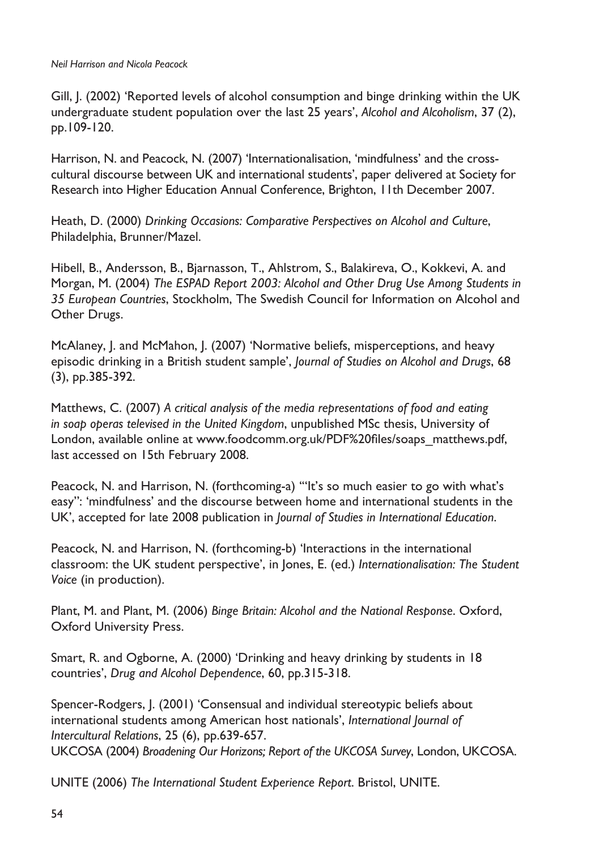Gill, J. (2002) 'Reported levels of alcohol consumption and binge drinking within the UK undergraduate student population over the last 25 years', *Alcohol and Alcoholism*, 37 (2), pp.109-120.

Harrison, N. and Peacock, N. (2007) 'Internationalisation, 'mindfulness' and the crosscultural discourse between UK and international students', paper delivered at Society for Research into Higher Education Annual Conference, Brighton, 11th December 2007.

Heath, D. (2000) *Drinking Occasions: Comparative Perspectives on Alcohol and Culture*, Philadelphia, Brunner/Mazel.

Hibell, B., Andersson, B., Bjarnasson, T., Ahlstrom, S., Balakireva, O., Kokkevi, A. and Morgan, M. (2004) *The ESPAD Report 2003: Alcohol and Other Drug Use Among Students in 35 European Countries*, Stockholm, The Swedish Council for Information on Alcohol and Other Drugs.

McAlaney, J. and McMahon, J. (2007) 'Normative beliefs, misperceptions, and heavy episodic drinking in a British student sample', *Journal of Studies on Alcohol and Drugs*, 68 (3), pp.385-392.

Matthews, C. (2007) *A critical analysis of the media representations of food and eating in soap operas televised in the United Kingdom*, unpublished MSc thesis, University of London, available online at www.foodcomm.org.uk/PDF%20files/soaps\_matthews.pdf, last accessed on 15th February 2008.

Peacock, N. and Harrison, N. (forthcoming-a) '"It's so much easier to go with what's easy": 'mindfulness' and the discourse between home and international students in the UK', accepted for late 2008 publication in *Journal of Studies in International Education*.

Peacock, N. and Harrison, N. (forthcoming-b) 'Interactions in the international classroom: the UK student perspective', in Jones, E. (ed.) *Internationalisation: The Student Voice* (in production).

Plant, M. and Plant, M. (2006) *Binge Britain: Alcohol and the National Response*. Oxford, Oxford University Press.

Smart, R. and Ogborne, A. (2000) 'Drinking and heavy drinking by students in 18 countries', *Drug and Alcohol Dependence*, 60, pp.315-318.

Spencer-Rodgers, J. (2001) 'Consensual and individual stereotypic beliefs about international students among American host nationals', *International Journal of Intercultural Relations*, 25 (6), pp.639-657. UKCOSA (2004) *Broadening Our Horizons; Report of the UKCOSA Survey*, London, UKCOSA.

UNITE (2006) *The International Student Experience Report*. Bristol, UNITE.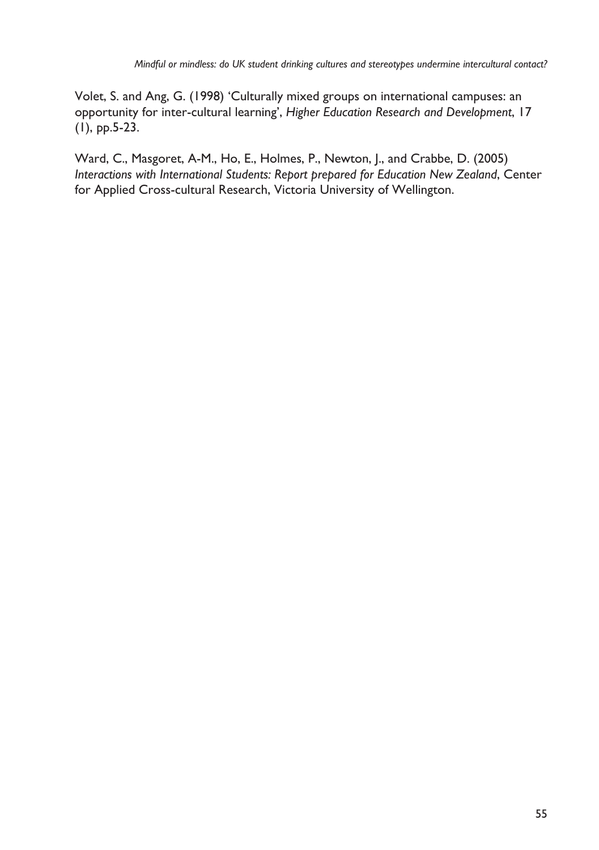Volet, S. and Ang, G. (1998) 'Culturally mixed groups on international campuses: an opportunity for inter-cultural learning', *Higher Education Research and Development*, 17 (1), pp.5-23.

Ward, C., Masgoret, A-M., Ho, E., Holmes, P., Newton, J., and Crabbe, D. (2005) *Interactions with International Students: Report prepared for Education New Zealand*, Center for Applied Cross-cultural Research, Victoria University of Wellington.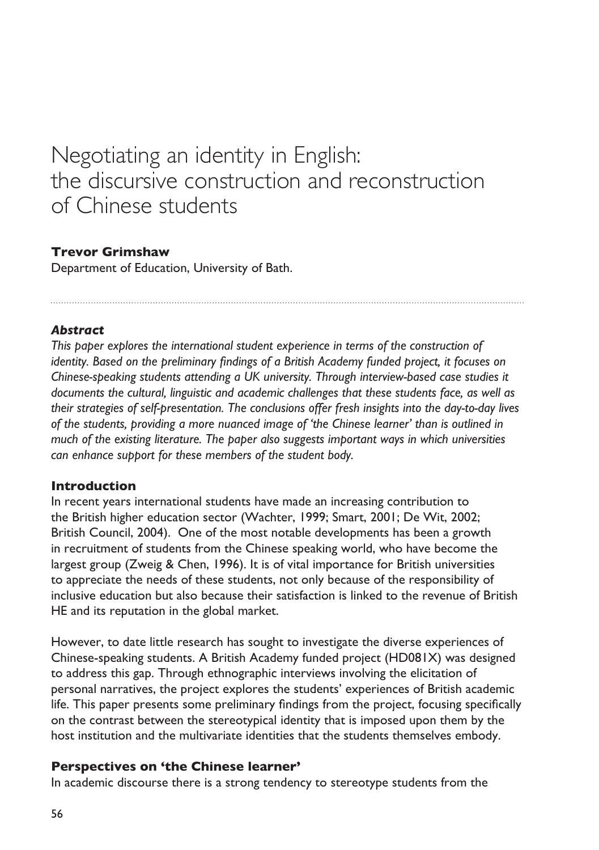# Negotiating an identity in English: the discursive construction and reconstruction of Chinese students

## **Trevor Grimshaw**

Department of Education, University of Bath.

### *Abstract*

*This paper explores the international student experience in terms of the construction of identity. Based on the preliminary findings of a British Academy funded project, it focuses on Chinese-speaking students attending a UK university. Through interview-based case studies it documents the cultural, linguistic and academic challenges that these students face, as well as their strategies of self-presentation. The conclusions offer fresh insights into the day-to-day lives of the students, providing a more nuanced image of 'the Chinese learner' than is outlined in much of the existing literature. The paper also suggests important ways in which universities can enhance support for these members of the student body.*

#### **Introduction**

In recent years international students have made an increasing contribution to the British higher education sector (Wachter, 1999; Smart, 2001; De Wit, 2002; British Council, 2004). One of the most notable developments has been a growth in recruitment of students from the Chinese speaking world, who have become the largest group (Zweig & Chen, 1996). It is of vital importance for British universities to appreciate the needs of these students, not only because of the responsibility of inclusive education but also because their satisfaction is linked to the revenue of British HE and its reputation in the global market.

However, to date little research has sought to investigate the diverse experiences of Chinese-speaking students. A British Academy funded project (HD081X) was designed to address this gap. Through ethnographic interviews involving the elicitation of personal narratives, the project explores the students' experiences of British academic life. This paper presents some preliminary findings from the project, focusing specifically on the contrast between the stereotypical identity that is imposed upon them by the host institution and the multivariate identities that the students themselves embody.

### **Perspectives on 'the Chinese learner'**

In academic discourse there is a strong tendency to stereotype students from the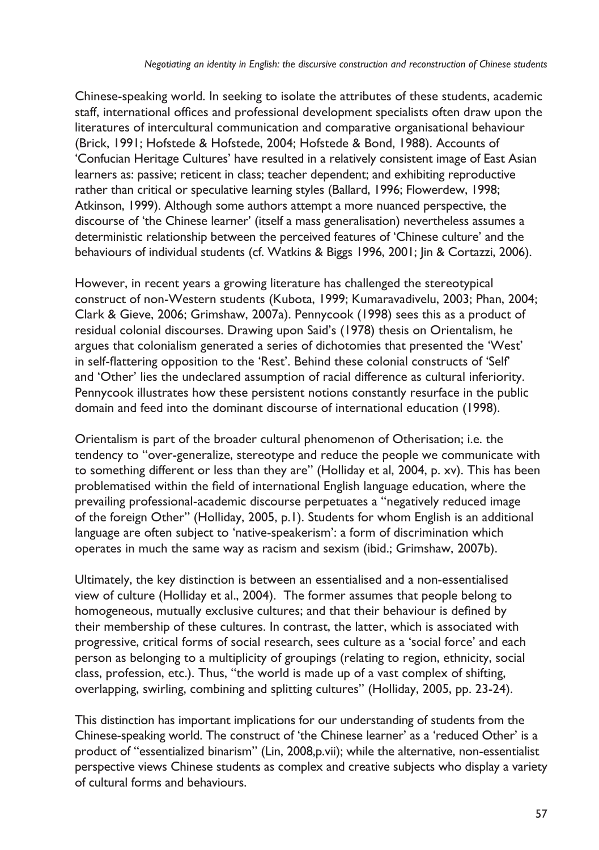Chinese-speaking world. In seeking to isolate the attributes of these students, academic staff, international offices and professional development specialists often draw upon the literatures of intercultural communication and comparative organisational behaviour (Brick, 1991; Hofstede & Hofstede, 2004; Hofstede & Bond, 1988). Accounts of 'Confucian Heritage Cultures' have resulted in a relatively consistent image of East Asian learners as: passive; reticent in class; teacher dependent; and exhibiting reproductive rather than critical or speculative learning styles (Ballard, 1996; Flowerdew, 1998; Atkinson, 1999). Although some authors attempt a more nuanced perspective, the discourse of 'the Chinese learner' (itself a mass generalisation) nevertheless assumes a deterministic relationship between the perceived features of 'Chinese culture' and the behaviours of individual students (cf. Watkins & Biggs 1996, 2001; Jin & Cortazzi, 2006).

However, in recent years a growing literature has challenged the stereotypical construct of non-Western students (Kubota, 1999; Kumaravadivelu, 2003; Phan, 2004; Clark & Gieve, 2006; Grimshaw, 2007a). Pennycook (1998) sees this as a product of residual colonial discourses. Drawing upon Said's (1978) thesis on Orientalism, he argues that colonialism generated a series of dichotomies that presented the 'West' in self-flattering opposition to the 'Rest'. Behind these colonial constructs of 'Self' and 'Other' lies the undeclared assumption of racial difference as cultural inferiority. Pennycook illustrates how these persistent notions constantly resurface in the public domain and feed into the dominant discourse of international education (1998).

Orientalism is part of the broader cultural phenomenon of Otherisation; i.e. the tendency to "over-generalize, stereotype and reduce the people we communicate with to something different or less than they are" (Holliday et al, 2004, p. xv). This has been problematised within the field of international English language education, where the prevailing professional-academic discourse perpetuates a "negatively reduced image of the foreign Other" (Holliday, 2005, p.1). Students for whom English is an additional language are often subject to 'native-speakerism': a form of discrimination which operates in much the same way as racism and sexism (ibid.; Grimshaw, 2007b).

Ultimately, the key distinction is between an essentialised and a non-essentialised view of culture (Holliday et al., 2004). The former assumes that people belong to homogeneous, mutually exclusive cultures; and that their behaviour is defined by their membership of these cultures. In contrast, the latter, which is associated with progressive, critical forms of social research, sees culture as a 'social force' and each person as belonging to a multiplicity of groupings (relating to region, ethnicity, social class, profession, etc.). Thus, "the world is made up of a vast complex of shifting, overlapping, swirling, combining and splitting cultures" (Holliday, 2005, pp. 23-24).

This distinction has important implications for our understanding of students from the Chinese-speaking world. The construct of 'the Chinese learner' as a 'reduced Other' is a product of "essentialized binarism" (Lin, 2008,p.vii); while the alternative, non-essentialist perspective views Chinese students as complex and creative subjects who display a variety of cultural forms and behaviours.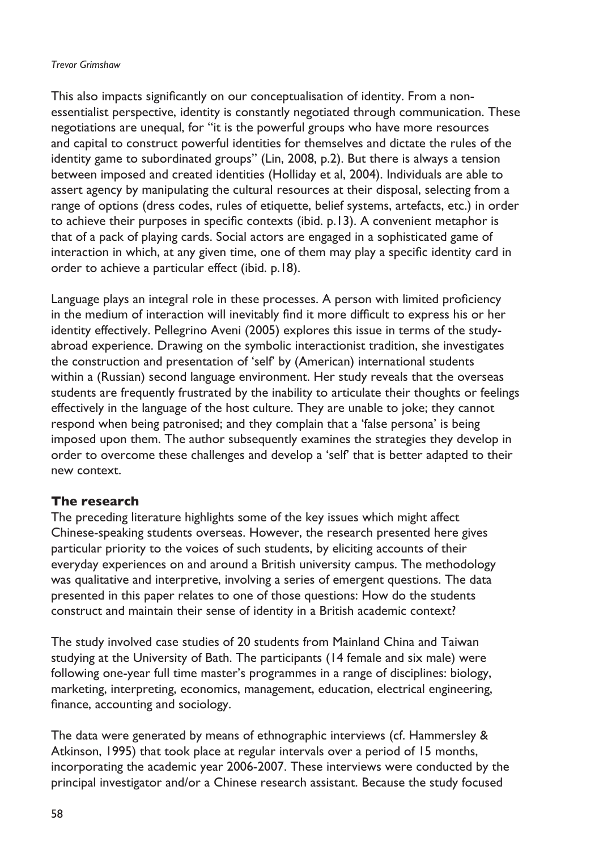#### *Trevor Grimshaw*

This also impacts significantly on our conceptualisation of identity. From a nonessentialist perspective, identity is constantly negotiated through communication. These negotiations are unequal, for "it is the powerful groups who have more resources and capital to construct powerful identities for themselves and dictate the rules of the identity game to subordinated groups" (Lin, 2008, p.2). But there is always a tension between imposed and created identities (Holliday et al, 2004). Individuals are able to assert agency by manipulating the cultural resources at their disposal, selecting from a range of options (dress codes, rules of etiquette, belief systems, artefacts, etc.) in order to achieve their purposes in specific contexts (ibid. p.13). A convenient metaphor is that of a pack of playing cards. Social actors are engaged in a sophisticated game of interaction in which, at any given time, one of them may play a specific identity card in order to achieve a particular effect (ibid. p.18).

Language plays an integral role in these processes. A person with limited proficiency in the medium of interaction will inevitably find it more difficult to express his or her identity effectively. Pellegrino Aveni (2005) explores this issue in terms of the studyabroad experience. Drawing on the symbolic interactionist tradition, she investigates the construction and presentation of 'self' by (American) international students within a (Russian) second language environment. Her study reveals that the overseas students are frequently frustrated by the inability to articulate their thoughts or feelings effectively in the language of the host culture. They are unable to joke; they cannot respond when being patronised; and they complain that a 'false persona' is being imposed upon them. The author subsequently examines the strategies they develop in order to overcome these challenges and develop a 'self' that is better adapted to their new context.

## **The research**

The preceding literature highlights some of the key issues which might affect Chinese-speaking students overseas. However, the research presented here gives particular priority to the voices of such students, by eliciting accounts of their everyday experiences on and around a British university campus. The methodology was qualitative and interpretive, involving a series of emergent questions. The data presented in this paper relates to one of those questions: How do the students construct and maintain their sense of identity in a British academic context?

The study involved case studies of 20 students from Mainland China and Taiwan studying at the University of Bath. The participants (14 female and six male) were following one-year full time master's programmes in a range of disciplines: biology, marketing, interpreting, economics, management, education, electrical engineering, finance, accounting and sociology.

The data were generated by means of ethnographic interviews (cf. Hammersley & Atkinson, 1995) that took place at regular intervals over a period of 15 months, incorporating the academic year 2006-2007. These interviews were conducted by the principal investigator and/or a Chinese research assistant. Because the study focused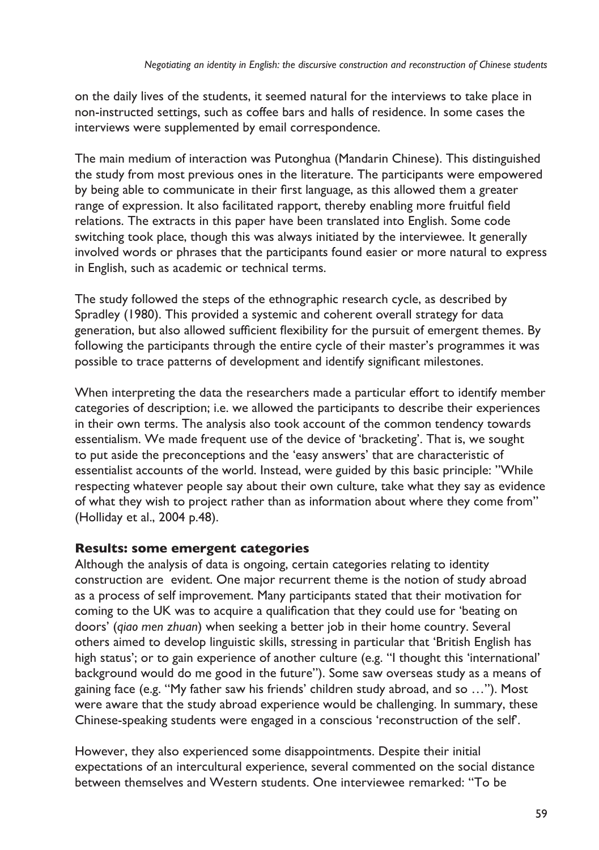on the daily lives of the students, it seemed natural for the interviews to take place in non-instructed settings, such as coffee bars and halls of residence. In some cases the interviews were supplemented by email correspondence.

The main medium of interaction was Putonghua (Mandarin Chinese). This distinguished the study from most previous ones in the literature. The participants were empowered by being able to communicate in their first language, as this allowed them a greater range of expression. It also facilitated rapport, thereby enabling more fruitful field relations. The extracts in this paper have been translated into English. Some code switching took place, though this was always initiated by the interviewee. It generally involved words or phrases that the participants found easier or more natural to express in English, such as academic or technical terms.

The study followed the steps of the ethnographic research cycle, as described by Spradley (1980). This provided a systemic and coherent overall strategy for data generation, but also allowed sufficient flexibility for the pursuit of emergent themes. By following the participants through the entire cycle of their master's programmes it was possible to trace patterns of development and identify significant milestones.

When interpreting the data the researchers made a particular effort to identify member categories of description; i.e. we allowed the participants to describe their experiences in their own terms. The analysis also took account of the common tendency towards essentialism. We made frequent use of the device of 'bracketing'. That is, we sought to put aside the preconceptions and the 'easy answers' that are characteristic of essentialist accounts of the world. Instead, were guided by this basic principle: "While respecting whatever people say about their own culture, take what they say as evidence of what they wish to project rather than as information about where they come from" (Holliday et al., 2004 p.48).

## **Results: some emergent categories**

Although the analysis of data is ongoing, certain categories relating to identity construction are evident. One major recurrent theme is the notion of study abroad as a process of self improvement. Many participants stated that their motivation for coming to the UK was to acquire a qualification that they could use for 'beating on doors' (*qiao men zhuan*) when seeking a better job in their home country. Several others aimed to develop linguistic skills, stressing in particular that 'British English has high status'; or to gain experience of another culture (e.g. "I thought this 'international' background would do me good in the future"). Some saw overseas study as a means of gaining face (e.g. "My father saw his friends' children study abroad, and so …"). Most were aware that the study abroad experience would be challenging. In summary, these Chinese-speaking students were engaged in a conscious 'reconstruction of the self'.

However, they also experienced some disappointments. Despite their initial expectations of an intercultural experience, several commented on the social distance between themselves and Western students. One interviewee remarked: "To be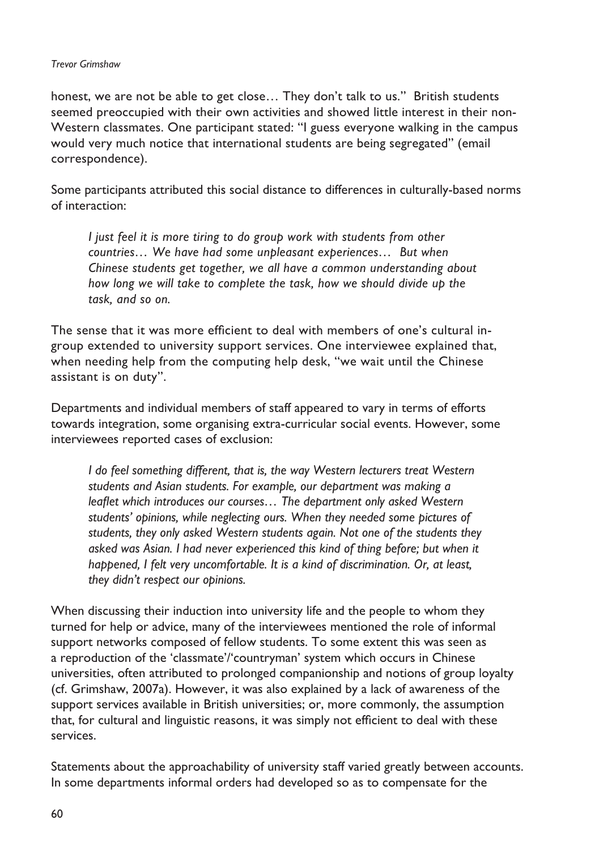#### *Trevor Grimshaw*

honest, we are not be able to get close... They don't talk to us." British students seemed preoccupied with their own activities and showed little interest in their non-Western classmates. One participant stated: "I guess everyone walking in the campus would very much notice that international students are being segregated" (email correspondence).

Some participants attributed this social distance to differences in culturally-based norms of interaction:

*I just feel it is more tiring to do group work with students from other countries… We have had some unpleasant experiences… But when Chinese students get together, we all have a common understanding about how long we will take to complete the task, how we should divide up the task, and so on.*

The sense that it was more efficient to deal with members of one's cultural ingroup extended to university support services. One interviewee explained that, when needing help from the computing help desk, "we wait until the Chinese assistant is on duty".

Departments and individual members of staff appeared to vary in terms of efforts towards integration, some organising extra-curricular social events. However, some interviewees reported cases of exclusion:

*I* do feel something different, that is, the way Western lecturers treat Western *students and Asian students. For example, our department was making a leaflet which introduces our courses… The department only asked Western students' opinions, while neglecting ours. When they needed some pictures of students, they only asked Western students again. Not one of the students they asked was Asian. I had never experienced this kind of thing before; but when it happened, I felt very uncomfortable. It is a kind of discrimination. Or, at least, they didn't respect our opinions.*

When discussing their induction into university life and the people to whom they turned for help or advice, many of the interviewees mentioned the role of informal support networks composed of fellow students. To some extent this was seen as a reproduction of the 'classmate'/'countryman' system which occurs in Chinese universities, often attributed to prolonged companionship and notions of group loyalty (cf. Grimshaw, 2007a). However, it was also explained by a lack of awareness of the support services available in British universities; or, more commonly, the assumption that, for cultural and linguistic reasons, it was simply not efficient to deal with these services.

Statements about the approachability of university staff varied greatly between accounts. In some departments informal orders had developed so as to compensate for the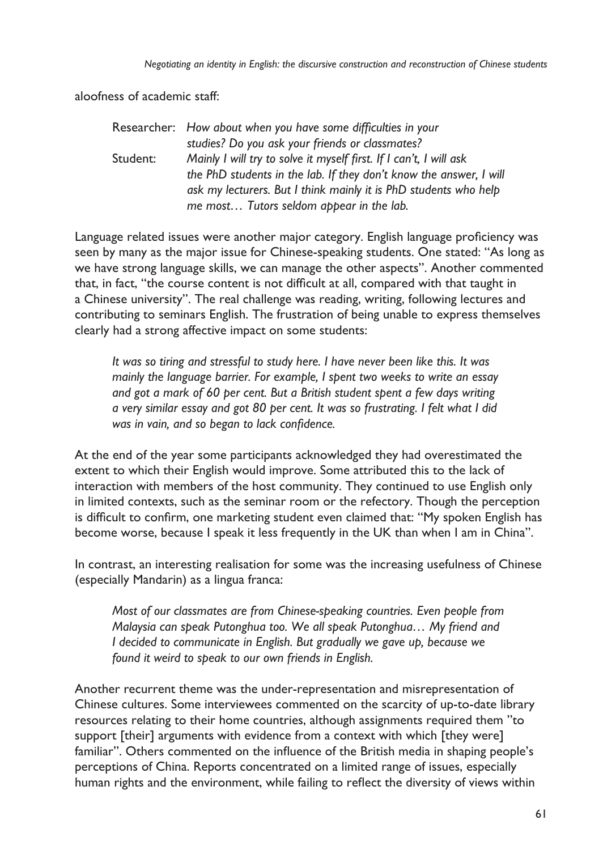aloofness of academic staff:

|          | Researcher: How about when you have some difficulties in your      |
|----------|--------------------------------------------------------------------|
|          | studies? Do you ask your friends or classmates?                    |
| Student: | Mainly I will try to solve it myself first. If I can't, I will ask |
|          | the PhD students in the lab. If they don't know the answer, I will |
|          | ask my lecturers. But I think mainly it is PhD students who help   |
|          | me most Tutors seldom appear in the lab.                           |

Language related issues were another major category. English language proficiency was seen by many as the major issue for Chinese-speaking students. One stated: "As long as we have strong language skills, we can manage the other aspects". Another commented that, in fact, "the course content is not difficult at all, compared with that taught in a Chinese university". The real challenge was reading, writing, following lectures and contributing to seminars English. The frustration of being unable to express themselves clearly had a strong affective impact on some students:

*It was so tiring and stressful to study here. I have never been like this. It was mainly the language barrier. For example, I spent two weeks to write an essay and got a mark of 60 per cent. But a British student spent a few days writing a very similar essay and got 80 per cent. It was so frustrating. I felt what I did was in vain, and so began to lack confidence.*

At the end of the year some participants acknowledged they had overestimated the extent to which their English would improve. Some attributed this to the lack of interaction with members of the host community. They continued to use English only in limited contexts, such as the seminar room or the refectory. Though the perception is difficult to confirm, one marketing student even claimed that: "My spoken English has become worse, because I speak it less frequently in the UK than when I am in China".

In contrast, an interesting realisation for some was the increasing usefulness of Chinese (especially Mandarin) as a lingua franca:

*Most of our classmates are from Chinese-speaking countries. Even people from Malaysia can speak Putonghua too. We all speak Putonghua… My friend and I decided to communicate in English. But gradually we gave up, because we found it weird to speak to our own friends in English.*

Another recurrent theme was the under-representation and misrepresentation of Chinese cultures. Some interviewees commented on the scarcity of up-to-date library resources relating to their home countries, although assignments required them "to support [their] arguments with evidence from a context with which [they were] familiar". Others commented on the influence of the British media in shaping people's perceptions of China. Reports concentrated on a limited range of issues, especially human rights and the environment, while failing to reflect the diversity of views within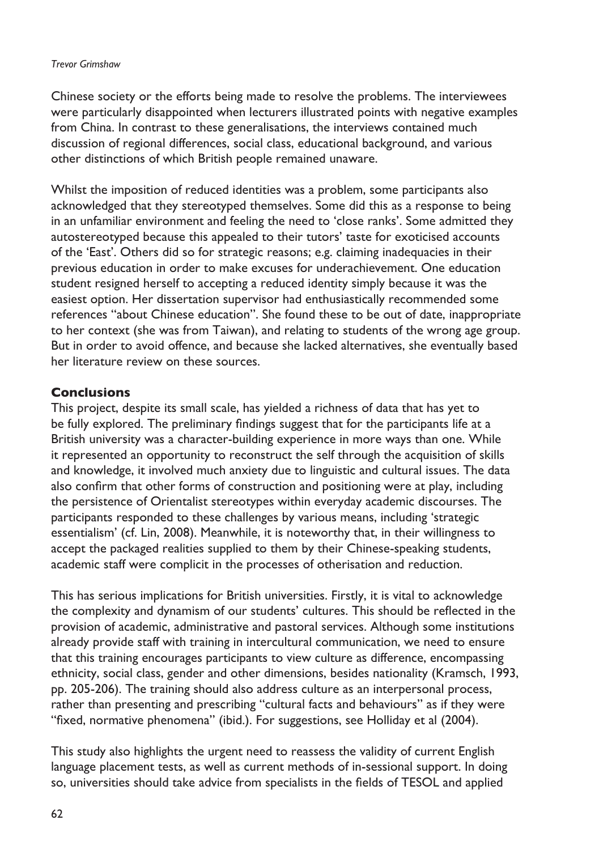#### *Trevor Grimshaw*

Chinese society or the efforts being made to resolve the problems. The interviewees were particularly disappointed when lecturers illustrated points with negative examples from China. In contrast to these generalisations, the interviews contained much discussion of regional differences, social class, educational background, and various other distinctions of which British people remained unaware.

Whilst the imposition of reduced identities was a problem, some participants also acknowledged that they stereotyped themselves. Some did this as a response to being in an unfamiliar environment and feeling the need to 'close ranks'. Some admitted they autostereotyped because this appealed to their tutors' taste for exoticised accounts of the 'East'. Others did so for strategic reasons; e.g. claiming inadequacies in their previous education in order to make excuses for underachievement. One education student resigned herself to accepting a reduced identity simply because it was the easiest option. Her dissertation supervisor had enthusiastically recommended some references "about Chinese education". She found these to be out of date, inappropriate to her context (she was from Taiwan), and relating to students of the wrong age group. But in order to avoid offence, and because she lacked alternatives, she eventually based her literature review on these sources.

## **Conclusions**

This project, despite its small scale, has yielded a richness of data that has yet to be fully explored. The preliminary findings suggest that for the participants life at a British university was a character-building experience in more ways than one. While it represented an opportunity to reconstruct the self through the acquisition of skills and knowledge, it involved much anxiety due to linguistic and cultural issues. The data also confirm that other forms of construction and positioning were at play, including the persistence of Orientalist stereotypes within everyday academic discourses. The participants responded to these challenges by various means, including 'strategic essentialism' (cf. Lin, 2008). Meanwhile, it is noteworthy that, in their willingness to accept the packaged realities supplied to them by their Chinese-speaking students, academic staff were complicit in the processes of otherisation and reduction.

This has serious implications for British universities. Firstly, it is vital to acknowledge the complexity and dynamism of our students' cultures. This should be reflected in the provision of academic, administrative and pastoral services. Although some institutions already provide staff with training in intercultural communication, we need to ensure that this training encourages participants to view culture as difference, encompassing ethnicity, social class, gender and other dimensions, besides nationality (Kramsch, 1993, pp. 205-206). The training should also address culture as an interpersonal process, rather than presenting and prescribing "cultural facts and behaviours" as if they were "fixed, normative phenomena" (ibid.). For suggestions, see Holliday et al (2004).

This study also highlights the urgent need to reassess the validity of current English language placement tests, as well as current methods of in-sessional support. In doing so, universities should take advice from specialists in the fields of TESOL and applied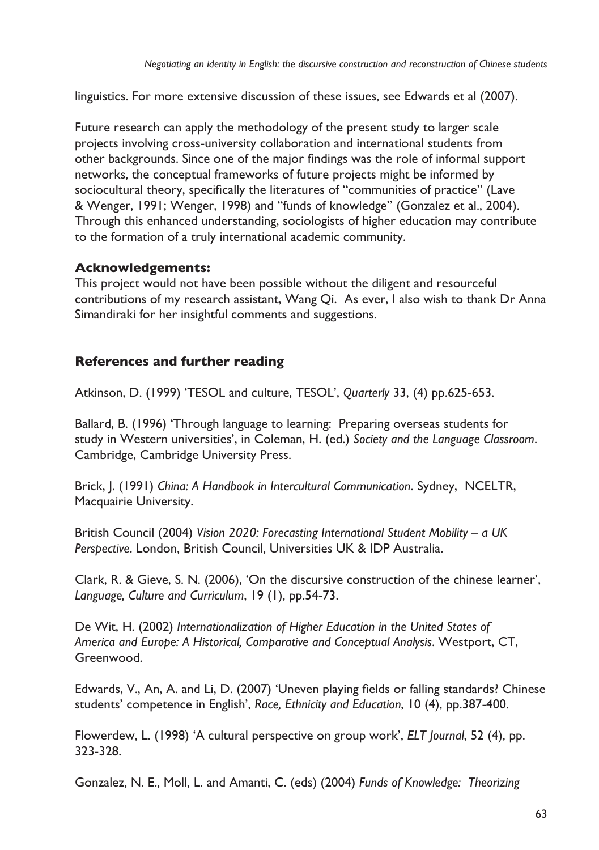linguistics. For more extensive discussion of these issues, see Edwards et al (2007).

Future research can apply the methodology of the present study to larger scale projects involving cross-university collaboration and international students from other backgrounds. Since one of the major findings was the role of informal support networks, the conceptual frameworks of future projects might be informed by sociocultural theory, specifically the literatures of "communities of practice" (Lave & Wenger, 1991; Wenger, 1998) and "funds of knowledge" (Gonzalez et al., 2004). Through this enhanced understanding, sociologists of higher education may contribute to the formation of a truly international academic community.

## **Acknowledgements:**

This project would not have been possible without the diligent and resourceful contributions of my research assistant, Wang Qi. As ever, I also wish to thank Dr Anna Simandiraki for her insightful comments and suggestions.

# **References and further reading**

Atkinson, D. (1999) 'TESOL and culture, TESOL', *Quarterly* 33, (4) pp.625-653.

Ballard, B. (1996) 'Through language to learning: Preparing overseas students for study in Western universities', in Coleman, H. (ed.) *Society and the Language Classroom*. Cambridge, Cambridge University Press.

Brick, J. (1991) *China: A Handbook in Intercultural Communication*. Sydney, NCELTR, Macquairie University.

British Council (2004) *Vision 2020: Forecasting International Student Mobility – a UK Perspective*. London, British Council, Universities UK & IDP Australia.

Clark, R. & Gieve, S. N. (2006), 'On the discursive construction of the chinese learner', *Language, Culture and Curriculum*, 19 (1), pp.54-73.

De Wit, H. (2002) *Internationalization of Higher Education in the United States of America and Europe: A Historical, Comparative and Conceptual Analysis*. Westport, CT, Greenwood.

Edwards, V., An, A. and Li, D. (2007) 'Uneven playing fields or falling standards? Chinese students' competence in English', *Race, Ethnicity and Education*, 10 (4), pp.387-400.

Flowerdew, L. (1998) 'A cultural perspective on group work', *ELT Journal*, 52 (4), pp. 323-328.

Gonzalez, N. E., Moll, L. and Amanti, C. (eds) (2004) *Funds of Knowledge: Theorizing*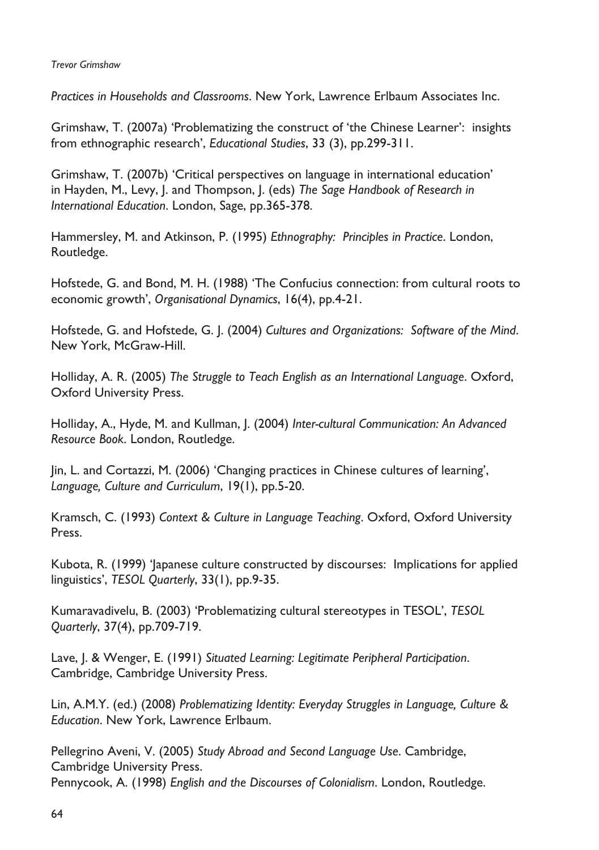#### *Trevor Grimshaw*

*Practices in Households and Classrooms*. New York, Lawrence Erlbaum Associates Inc.

Grimshaw, T. (2007a) 'Problematizing the construct of 'the Chinese Learner': insights from ethnographic research', *Educational Studies*, 33 (3), pp.299-311.

Grimshaw, T. (2007b) 'Critical perspectives on language in international education' in Hayden, M., Levy, J. and Thompson, J. (eds) *The Sage Handbook of Research in International Education*. London, Sage, pp.365-378.

Hammersley, M. and Atkinson, P. (1995) *Ethnography: Principles in Practice*. London, Routledge.

Hofstede, G. and Bond, M. H. (1988) 'The Confucius connection: from cultural roots to economic growth', *Organisational Dynamics*, 16(4), pp.4-21.

Hofstede, G. and Hofstede, G. J. (2004) *Cultures and Organizations: Software of the Mind*. New York, McGraw-Hill.

Holliday, A. R. (2005) *The Struggle to Teach English as an International Language*. Oxford, Oxford University Press.

Holliday, A., Hyde, M. and Kullman, J. (2004) *Inter-cultural Communication: An Advanced Resource Book*. London, Routledge.

Jin, L. and Cortazzi, M. (2006) 'Changing practices in Chinese cultures of learning', *Language, Culture and Curriculum*, 19(1), pp.5-20.

Kramsch, C. (1993) *Context & Culture in Language Teaching*. Oxford, Oxford University Press.

Kubota, R. (1999) 'Japanese culture constructed by discourses: Implications for applied linguistics', *TESOL Quarterly*, 33(1), pp.9-35.

Kumaravadivelu, B. (2003) 'Problematizing cultural stereotypes in TESOL', *TESOL Quarterly*, 37(4), pp.709-719.

Lave, J. & Wenger, E. (1991) *Situated Learning: Legitimate Peripheral Participation*. Cambridge, Cambridge University Press.

Lin, A.M.Y. (ed.) (2008) *Problematizing Identity: Everyday Struggles in Language, Culture & Education*. New York, Lawrence Erlbaum.

Pellegrino Aveni, V. (2005) *Study Abroad and Second Language Use*. Cambridge, Cambridge University Press. Pennycook, A. (1998) *English and the Discourses of Colonialism*. London, Routledge.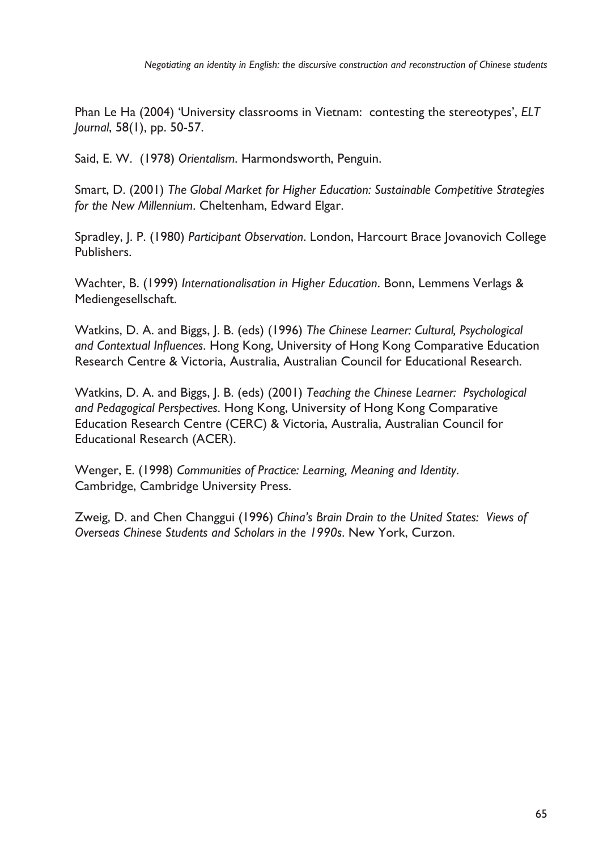Phan Le Ha (2004) 'University classrooms in Vietnam: contesting the stereotypes', *ELT Journal*, 58(1), pp. 50-57.

Said, E. W. (1978) *Orientalism*. Harmondsworth, Penguin.

Smart, D. (2001) *The Global Market for Higher Education: Sustainable Competitive Strategies for the New Millennium*. Cheltenham, Edward Elgar.

Spradley, J. P. (1980) *Participant Observation*. London, Harcourt Brace Jovanovich College Publishers.

Wachter, B. (1999) *Internationalisation in Higher Education*. Bonn, Lemmens Verlags & Mediengesellschaft.

Watkins, D. A. and Biggs, J. B. (eds) (1996) *The Chinese Learner: Cultural, Psychological and Contextual Influences*. Hong Kong, University of Hong Kong Comparative Education Research Centre & Victoria, Australia, Australian Council for Educational Research.

Watkins, D. A. and Biggs, J. B. (eds) (2001) *Teaching the Chinese Learner: Psychological and Pedagogical Perspectives*. Hong Kong, University of Hong Kong Comparative Education Research Centre (CERC) & Victoria, Australia, Australian Council for Educational Research (ACER).

Wenger, E. (1998) *Communities of Practice: Learning, Meaning and Identity*. Cambridge, Cambridge University Press.

Zweig, D. and Chen Changgui (1996) *China's Brain Drain to the United States: Views of Overseas Chinese Students and Scholars in the 1990s*. New York, Curzon.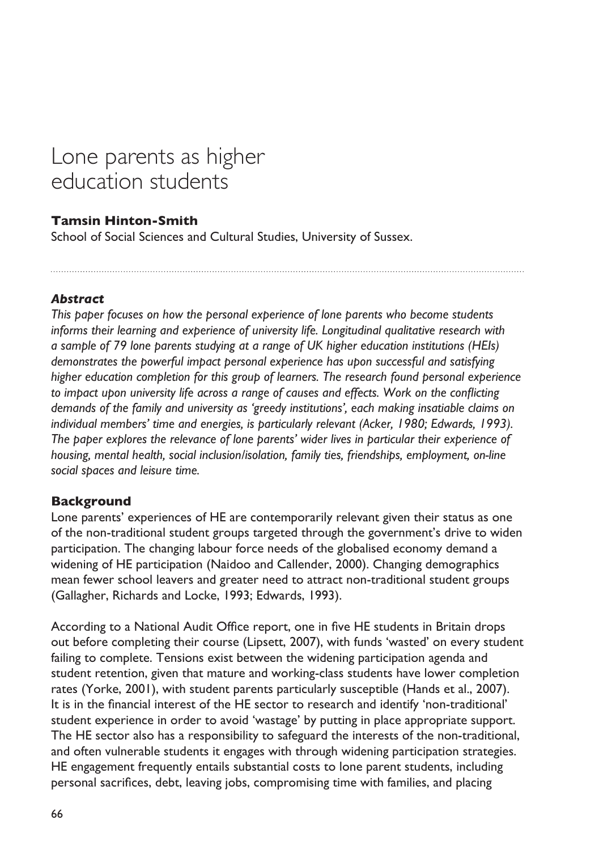# Lone parents as higher education students

# **Tamsin Hinton-Smith**

School of Social Sciences and Cultural Studies, University of Sussex.

## *Abstract*

*This paper focuses on how the personal experience of lone parents who become students informs their learning and experience of university life. Longitudinal qualitative research with a sample of 79 lone parents studying at a range of UK higher education institutions (HEIs) demonstrates the powerful impact personal experience has upon successful and satisfying higher education completion for this group of learners. The research found personal experience to impact upon university life across a range of causes and effects. Work on the conflicting demands of the family and university as 'greedy institutions', each making insatiable claims on*  individual members' time and energies, is particularly relevant (Acker, 1980; Edwards, 1993). *The paper explores the relevance of lone parents' wider lives in particular their experience of housing, mental health, social inclusion/isolation, family ties, friendships, employment, on-line social spaces and leisure time.* 

## **Background**

Lone parents' experiences of HE are contemporarily relevant given their status as one of the non-traditional student groups targeted through the government's drive to widen participation. The changing labour force needs of the globalised economy demand a widening of HE participation (Naidoo and Callender, 2000). Changing demographics mean fewer school leavers and greater need to attract non-traditional student groups (Gallagher, Richards and Locke, 1993; Edwards, 1993).

According to a National Audit Office report, one in five HE students in Britain drops out before completing their course (Lipsett, 2007), with funds 'wasted' on every student failing to complete. Tensions exist between the widening participation agenda and student retention, given that mature and working-class students have lower completion rates (Yorke, 2001), with student parents particularly susceptible (Hands et al., 2007). It is in the financial interest of the HE sector to research and identify 'non-traditional' student experience in order to avoid 'wastage' by putting in place appropriate support. The HE sector also has a responsibility to safeguard the interests of the non-traditional, and often vulnerable students it engages with through widening participation strategies. HE engagement frequently entails substantial costs to lone parent students, including personal sacrifices, debt, leaving jobs, compromising time with families, and placing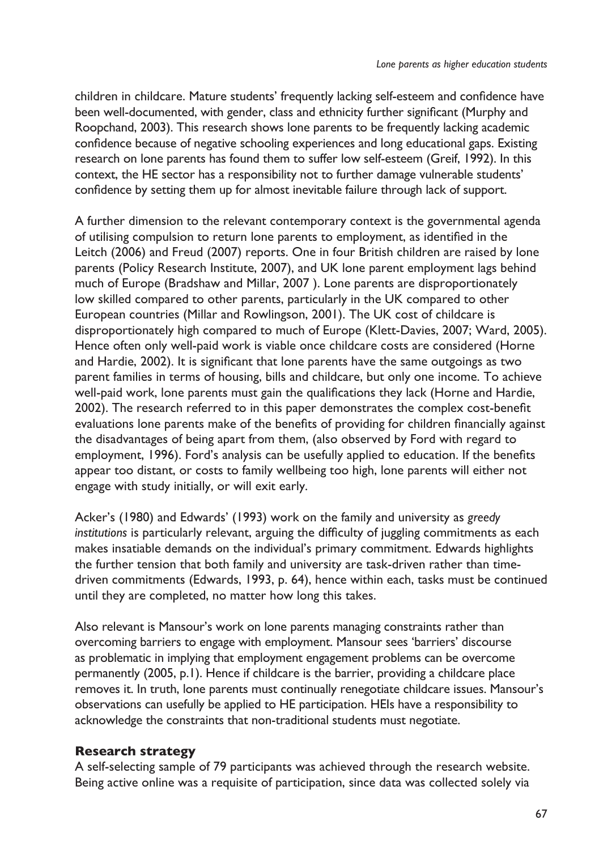children in childcare. Mature students' frequently lacking self-esteem and confidence have been well-documented, with gender, class and ethnicity further significant (Murphy and Roopchand, 2003). This research shows lone parents to be frequently lacking academic confidence because of negative schooling experiences and long educational gaps. Existing research on lone parents has found them to suffer low self-esteem (Greif, 1992). In this context, the HE sector has a responsibility not to further damage vulnerable students' confidence by setting them up for almost inevitable failure through lack of support.

A further dimension to the relevant contemporary context is the governmental agenda of utilising compulsion to return lone parents to employment, as identified in the Leitch (2006) and Freud (2007) reports. One in four British children are raised by lone parents (Policy Research Institute, 2007), and UK lone parent employment lags behind much of Europe (Bradshaw and Millar, 2007 ). Lone parents are disproportionately low skilled compared to other parents, particularly in the UK compared to other European countries (Millar and Rowlingson, 2001). The UK cost of childcare is disproportionately high compared to much of Europe (Klett-Davies, 2007; Ward, 2005). Hence often only well-paid work is viable once childcare costs are considered (Horne and Hardie, 2002). It is significant that lone parents have the same outgoings as two parent families in terms of housing, bills and childcare, but only one income. To achieve well-paid work, lone parents must gain the qualifications they lack (Horne and Hardie, 2002). The research referred to in this paper demonstrates the complex cost-benefit evaluations lone parents make of the benefits of providing for children financially against the disadvantages of being apart from them, (also observed by Ford with regard to employment, 1996). Ford's analysis can be usefully applied to education. If the benefits appear too distant, or costs to family wellbeing too high, lone parents will either not engage with study initially, or will exit early.

Acker's (1980) and Edwards' (1993) work on the family and university as *greedy institutions* is particularly relevant, arguing the difficulty of juggling commitments as each makes insatiable demands on the individual's primary commitment. Edwards highlights the further tension that both family and university are task-driven rather than timedriven commitments (Edwards, 1993, p. 64), hence within each, tasks must be continued until they are completed, no matter how long this takes.

Also relevant is Mansour's work on lone parents managing constraints rather than overcoming barriers to engage with employment. Mansour sees 'barriers' discourse as problematic in implying that employment engagement problems can be overcome permanently (2005, p.1). Hence if childcare is the barrier, providing a childcare place removes it. In truth, lone parents must continually renegotiate childcare issues. Mansour's observations can usefully be applied to HE participation. HEIs have a responsibility to acknowledge the constraints that non-traditional students must negotiate.

## **Research strategy**

A self-selecting sample of 79 participants was achieved through the research website. Being active online was a requisite of participation, since data was collected solely via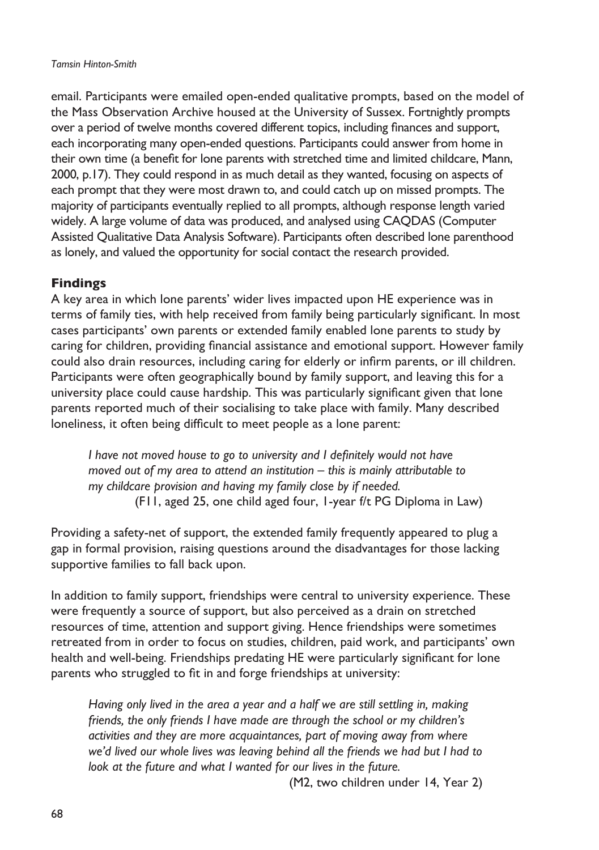#### *Tamsin Hinton-Smith*

email. Participants were emailed open-ended qualitative prompts, based on the model of the Mass Observation Archive housed at the University of Sussex. Fortnightly prompts over a period of twelve months covered different topics, including finances and support, each incorporating many open-ended questions. Participants could answer from home in their own time (a benefit for lone parents with stretched time and limited childcare, Mann, 2000, p.17). They could respond in as much detail as they wanted, focusing on aspects of each prompt that they were most drawn to, and could catch up on missed prompts. The majority of participants eventually replied to all prompts, although response length varied widely. A large volume of data was produced, and analysed using CAQDAS (Computer Assisted Qualitative Data Analysis Software). Participants often described lone parenthood as lonely, and valued the opportunity for social contact the research provided.

## **Findings**

A key area in which lone parents' wider lives impacted upon HE experience was in terms of family ties, with help received from family being particularly significant. In most cases participants' own parents or extended family enabled lone parents to study by caring for children, providing financial assistance and emotional support. However family could also drain resources, including caring for elderly or infirm parents, or ill children. Participants were often geographically bound by family support, and leaving this for a university place could cause hardship. This was particularly significant given that lone parents reported much of their socialising to take place with family. Many described loneliness, it often being difficult to meet people as a lone parent:

*I have not moved house to go to university and I definitely would not have moved out of my area to attend an institution – this is mainly attributable to my childcare provision and having my family close by if needed.*  (F11, aged 25, one child aged four, 1-year f/t PG Diploma in Law)

Providing a safety-net of support, the extended family frequently appeared to plug a gap in formal provision, raising questions around the disadvantages for those lacking supportive families to fall back upon.

In addition to family support, friendships were central to university experience. These were frequently a source of support, but also perceived as a drain on stretched resources of time, attention and support giving. Hence friendships were sometimes retreated from in order to focus on studies, children, paid work, and participants' own health and well-being. Friendships predating HE were particularly significant for lone parents who struggled to fit in and forge friendships at university:

*Having only lived in the area a year and a half we are still settling in, making friends, the only friends I have made are through the school or my children's activities and they are more acquaintances, part of moving away from where we'd lived our whole lives was leaving behind all the friends we had but I had to look at the future and what I wanted for our lives in the future.*

(M2, two children under 14, Year 2)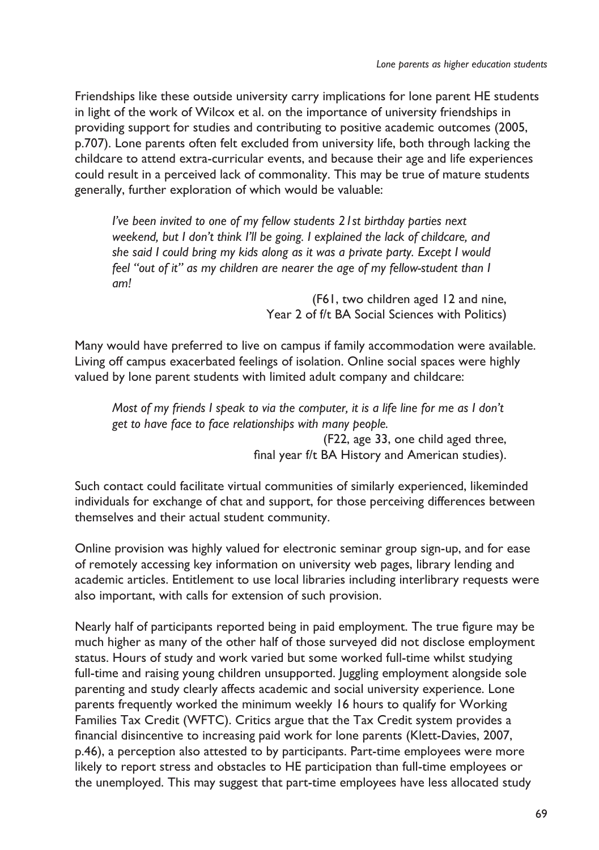Friendships like these outside university carry implications for lone parent HE students in light of the work of Wilcox et al. on the importance of university friendships in providing support for studies and contributing to positive academic outcomes (2005, p.707). Lone parents often felt excluded from university life, both through lacking the childcare to attend extra-curricular events, and because their age and life experiences could result in a perceived lack of commonality. This may be true of mature students generally, further exploration of which would be valuable:

*I've been invited to one of my fellow students 21st birthday parties next weekend, but I don't think I'll be going. I explained the lack of childcare, and she said I could bring my kids along as it was a private party. Except I would feel "out of it" as my children are nearer the age of my fellow-student than I am!*

> (F61, two children aged 12 and nine, Year 2 of f/t BA Social Sciences with Politics)

Many would have preferred to live on campus if family accommodation were available. Living off campus exacerbated feelings of isolation. Online social spaces were highly valued by lone parent students with limited adult company and childcare:

*Most of my friends I speak to via the computer, it is a life line for me as I don't get to have face to face relationships with many people.* (F22, age 33, one child aged three, final year f/t BA History and American studies).

Such contact could facilitate virtual communities of similarly experienced, likeminded individuals for exchange of chat and support, for those perceiving differences between themselves and their actual student community.

Online provision was highly valued for electronic seminar group sign-up, and for ease of remotely accessing key information on university web pages, library lending and academic articles. Entitlement to use local libraries including interlibrary requests were also important, with calls for extension of such provision.

Nearly half of participants reported being in paid employment. The true figure may be much higher as many of the other half of those surveyed did not disclose employment status. Hours of study and work varied but some worked full-time whilst studying full-time and raising young children unsupported. Juggling employment alongside sole parenting and study clearly affects academic and social university experience. Lone parents frequently worked the minimum weekly 16 hours to qualify for Working Families Tax Credit (WFTC). Critics argue that the Tax Credit system provides a financial disincentive to increasing paid work for lone parents (Klett-Davies, 2007, p.46), a perception also attested to by participants. Part-time employees were more likely to report stress and obstacles to HE participation than full-time employees or the unemployed. This may suggest that part-time employees have less allocated study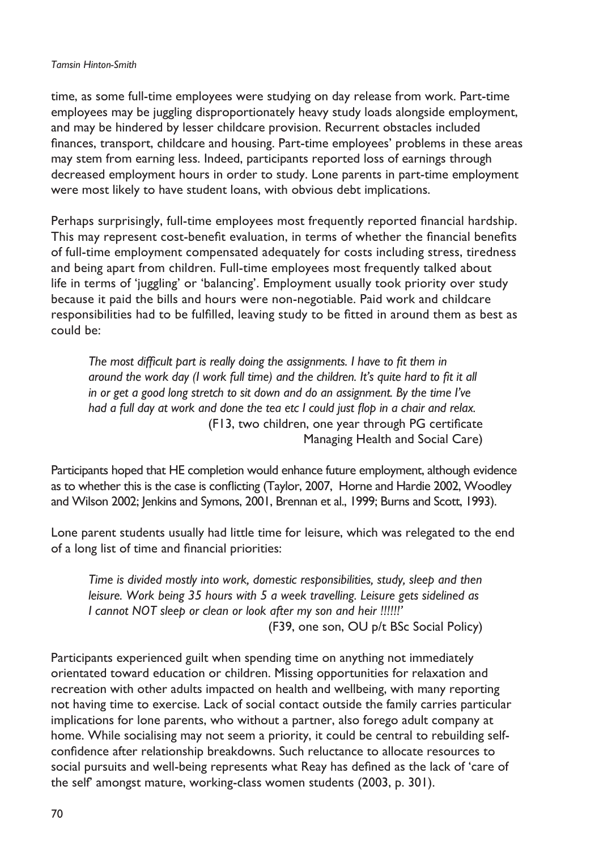#### *Tamsin Hinton-Smith*

time, as some full-time employees were studying on day release from work. Part-time employees may be juggling disproportionately heavy study loads alongside employment, and may be hindered by lesser childcare provision. Recurrent obstacles included finances, transport, childcare and housing. Part-time employees' problems in these areas may stem from earning less. Indeed, participants reported loss of earnings through decreased employment hours in order to study. Lone parents in part-time employment were most likely to have student loans, with obvious debt implications.

Perhaps surprisingly, full-time employees most frequently reported financial hardship. This may represent cost-benefit evaluation, in terms of whether the financial benefits of full-time employment compensated adequately for costs including stress, tiredness and being apart from children. Full-time employees most frequently talked about life in terms of 'juggling' or 'balancing'. Employment usually took priority over study because it paid the bills and hours were non-negotiable. Paid work and childcare responsibilities had to be fulfilled, leaving study to be fitted in around them as best as could be:

*The most difficult part is really doing the assignments. I have to fit them in around the work day (I work full time) and the children. It's quite hard to fit it all in or get a good long stretch to sit down and do an assignment. By the time I've had a full day at work and done the tea etc I could just flop in a chair and relax.*  (F13, two children, one year through PG certificate Managing Health and Social Care)

Participants hoped that HE completion would enhance future employment, although evidence as to whether this is the case is conflicting (Taylor, 2007, Horne and Hardie 2002, Woodley and Wilson 2002; Jenkins and Symons, 2001, Brennan et al., 1999; Burns and Scott, 1993).

Lone parent students usually had little time for leisure, which was relegated to the end of a long list of time and financial priorities:

*Time is divided mostly into work, domestic responsibilities, study, sleep and then leisure. Work being 35 hours with 5 a week travelling. Leisure gets sidelined as I cannot NOT sleep or clean or look after my son and heir !!!!!!'*  (F39, one son, OU p/t BSc Social Policy)

Participants experienced guilt when spending time on anything not immediately orientated toward education or children. Missing opportunities for relaxation and recreation with other adults impacted on health and wellbeing, with many reporting not having time to exercise. Lack of social contact outside the family carries particular implications for lone parents, who without a partner, also forego adult company at home. While socialising may not seem a priority, it could be central to rebuilding selfconfidence after relationship breakdowns. Such reluctance to allocate resources to social pursuits and well-being represents what Reay has defined as the lack of 'care of the self' amongst mature, working-class women students (2003, p. 301).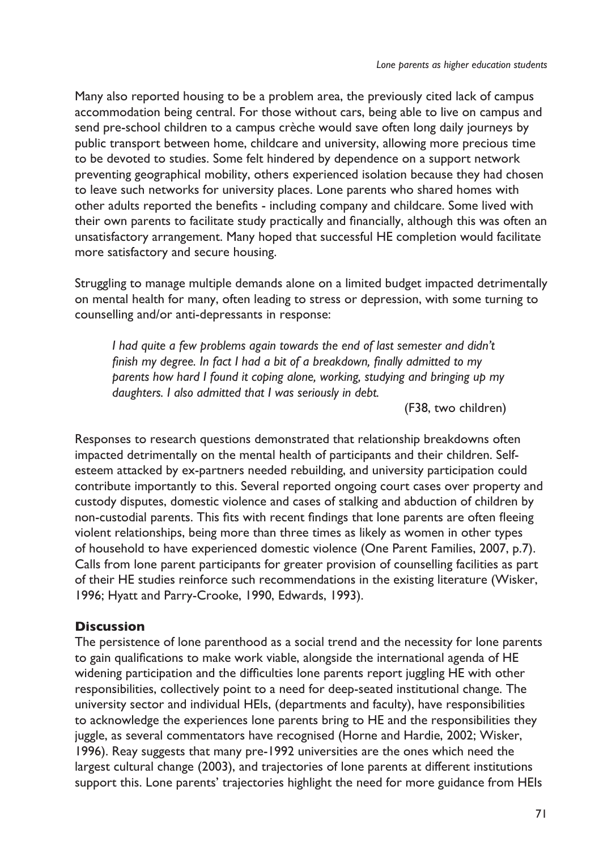Many also reported housing to be a problem area, the previously cited lack of campus accommodation being central. For those without cars, being able to live on campus and send pre-school children to a campus crèche would save often long daily journeys by public transport between home, childcare and university, allowing more precious time to be devoted to studies. Some felt hindered by dependence on a support network preventing geographical mobility, others experienced isolation because they had chosen to leave such networks for university places. Lone parents who shared homes with other adults reported the benefits - including company and childcare. Some lived with their own parents to facilitate study practically and financially, although this was often an unsatisfactory arrangement. Many hoped that successful HE completion would facilitate more satisfactory and secure housing.

Struggling to manage multiple demands alone on a limited budget impacted detrimentally on mental health for many, often leading to stress or depression, with some turning to counselling and/or anti-depressants in response:

*I had quite a few problems again towards the end of last semester and didn't finish my degree. In fact I had a bit of a breakdown, finally admitted to my parents how hard I found it coping alone, working, studying and bringing up my daughters. I also admitted that I was seriously in debt.* 

(F38, two children)

Responses to research questions demonstrated that relationship breakdowns often impacted detrimentally on the mental health of participants and their children. Selfesteem attacked by ex-partners needed rebuilding, and university participation could contribute importantly to this. Several reported ongoing court cases over property and custody disputes, domestic violence and cases of stalking and abduction of children by non-custodial parents. This fits with recent findings that lone parents are often fleeing violent relationships, being more than three times as likely as women in other types of household to have experienced domestic violence (One Parent Families, 2007, p.7). Calls from lone parent participants for greater provision of counselling facilities as part of their HE studies reinforce such recommendations in the existing literature (Wisker, 1996; Hyatt and Parry-Crooke, 1990, Edwards, 1993).

#### **Discussion**

The persistence of lone parenthood as a social trend and the necessity for lone parents to gain qualifications to make work viable, alongside the international agenda of HE widening participation and the difficulties lone parents report juggling HE with other responsibilities, collectively point to a need for deep-seated institutional change. The university sector and individual HEIs, (departments and faculty), have responsibilities to acknowledge the experiences lone parents bring to HE and the responsibilities they juggle, as several commentators have recognised (Horne and Hardie, 2002; Wisker, 1996). Reay suggests that many pre-1992 universities are the ones which need the largest cultural change (2003), and trajectories of lone parents at different institutions support this. Lone parents' trajectories highlight the need for more guidance from HEIs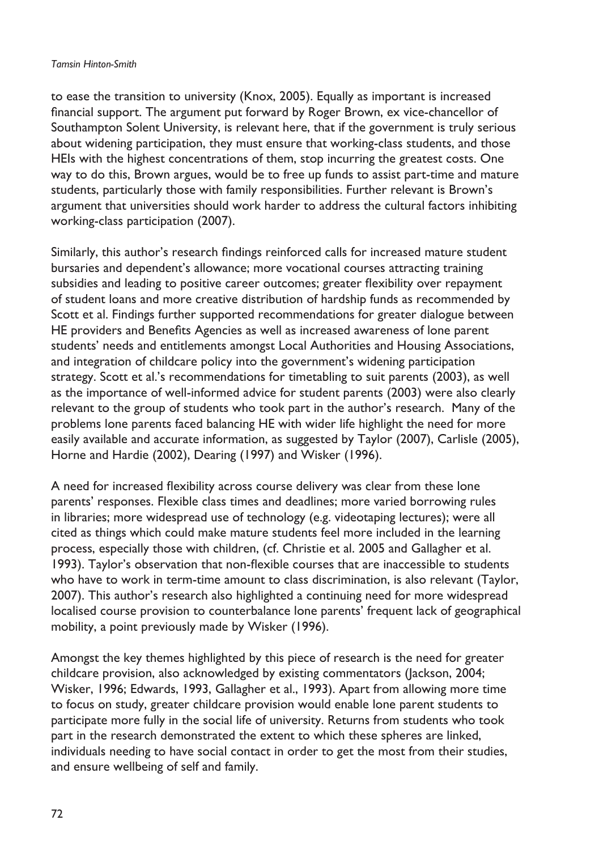#### *Tamsin Hinton-Smith*

to ease the transition to university (Knox, 2005). Equally as important is increased financial support. The argument put forward by Roger Brown, ex vice-chancellor of Southampton Solent University, is relevant here, that if the government is truly serious about widening participation, they must ensure that working-class students, and those HEIs with the highest concentrations of them, stop incurring the greatest costs. One way to do this, Brown argues, would be to free up funds to assist part-time and mature students, particularly those with family responsibilities. Further relevant is Brown's argument that universities should work harder to address the cultural factors inhibiting working-class participation (2007).

Similarly, this author's research findings reinforced calls for increased mature student bursaries and dependent's allowance; more vocational courses attracting training subsidies and leading to positive career outcomes; greater flexibility over repayment of student loans and more creative distribution of hardship funds as recommended by Scott et al. Findings further supported recommendations for greater dialogue between HE providers and Benefits Agencies as well as increased awareness of lone parent students' needs and entitlements amongst Local Authorities and Housing Associations, and integration of childcare policy into the government's widening participation strategy. Scott et al.'s recommendations for timetabling to suit parents (2003), as well as the importance of well-informed advice for student parents (2003) were also clearly relevant to the group of students who took part in the author's research. Many of the problems lone parents faced balancing HE with wider life highlight the need for more easily available and accurate information, as suggested by Taylor (2007), Carlisle (2005), Horne and Hardie (2002), Dearing (1997) and Wisker (1996).

A need for increased flexibility across course delivery was clear from these lone parents' responses. Flexible class times and deadlines; more varied borrowing rules in libraries; more widespread use of technology (e.g. videotaping lectures); were all cited as things which could make mature students feel more included in the learning process, especially those with children, (cf. Christie et al. 2005 and Gallagher et al. 1993). Taylor's observation that non-flexible courses that are inaccessible to students who have to work in term-time amount to class discrimination, is also relevant (Taylor, 2007). This author's research also highlighted a continuing need for more widespread localised course provision to counterbalance lone parents' frequent lack of geographical mobility, a point previously made by Wisker (1996).

Amongst the key themes highlighted by this piece of research is the need for greater childcare provision, also acknowledged by existing commentators (Jackson, 2004; Wisker, 1996; Edwards, 1993, Gallagher et al., 1993). Apart from allowing more time to focus on study, greater childcare provision would enable lone parent students to participate more fully in the social life of university. Returns from students who took part in the research demonstrated the extent to which these spheres are linked, individuals needing to have social contact in order to get the most from their studies, and ensure wellbeing of self and family.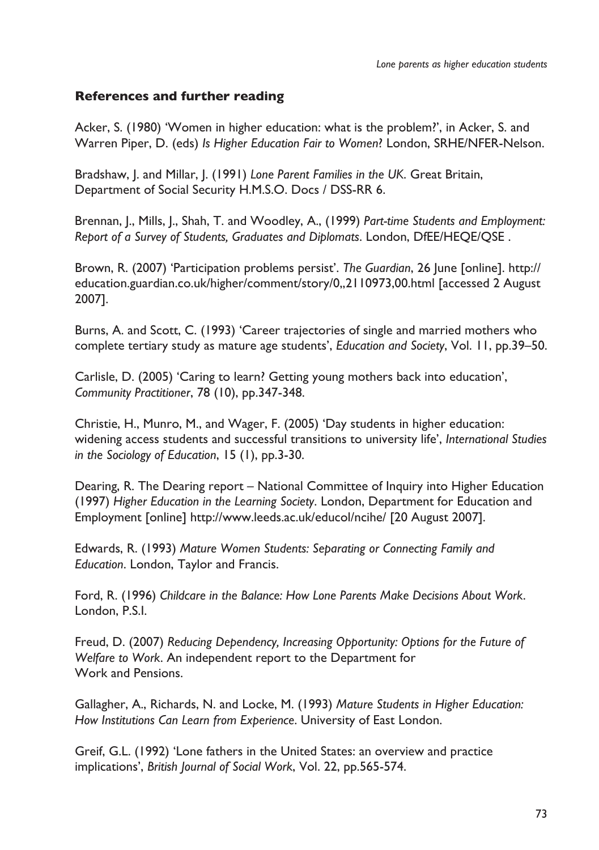## **References and further reading**

Acker, S. (1980) 'Women in higher education: what is the problem?', in Acker, S. and Warren Piper, D. (eds) *Is Higher Education Fair to Women*? London, SRHE/NFER-Nelson.

Bradshaw, J. and Millar, J. (1991) *Lone Parent Families in the UK*. Great Britain, Department of Social Security H.M.S.O. Docs / DSS-RR 6.

Brennan, J., Mills, J., Shah, T. and Woodley, A., (1999) *Part-time Students and Employment: Report of a Survey of Students, Graduates and Diplomats*. London, DfEE/HEQE/QSE .

Brown, R. (2007) 'Participation problems persist'. *The Guardian*, 26 June [online]. http:// education.guardian.co.uk/higher/comment/story/0,,2110973,00.html [accessed 2 August 2007].

Burns, A. and Scott, C. (1993) 'Career trajectories of single and married mothers who complete tertiary study as mature age students', *Education and Society*, Vol. 11, pp.39–50.

Carlisle, D. (2005) 'Caring to learn? Getting young mothers back into education', *Community Practitioner*, 78 (10), pp.347-348.

Christie, H., Munro, M., and Wager, F. (2005) 'Day students in higher education: widening access students and successful transitions to university life', *International Studies in the Sociology of Education*, 15 (1), pp.3-30.

Dearing, R. The Dearing report – National Committee of Inquiry into Higher Education (1997) *Higher Education in the Learning Society*. London, Department for Education and Employment [online] http://www.leeds.ac.uk/educol/ncihe/ [20 August 2007].

Edwards, R. (1993) *Mature Women Students: Separating or Connecting Family and Education*. London, Taylor and Francis.

Ford, R. (1996) *Childcare in the Balance: How Lone Parents Make Decisions About Work*. London, P.S.I.

Freud, D. (2007) *Reducing Dependency, Increasing Opportunity: Options for the Future of Welfare to Work*. An independent report to the Department for Work and Pensions.

Gallagher, A., Richards, N. and Locke, M. (1993) *Mature Students in Higher Education: How Institutions Can Learn from Experience*. University of East London.

Greif, G.L. (1992) 'Lone fathers in the United States: an overview and practice implications', *British Journal of Social Work*, Vol. 22, pp.565-574.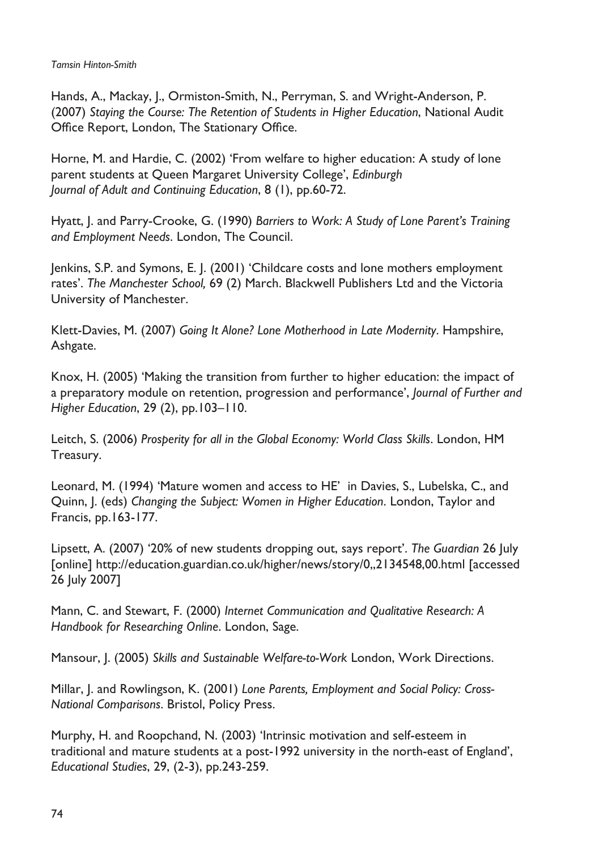Hands, A., Mackay, J., Ormiston-Smith, N., Perryman, S. and Wright-Anderson, P. (2007) *Staying the Course: The Retention of Students in Higher Education*, National Audit Office Report, London, The Stationary Office.

Horne, M. and Hardie, C. (2002) 'From welfare to higher education: A study of lone parent students at Queen Margaret University College', *Edinburgh Journal of Adult and Continuing Education*, 8 (1), pp.60-72.

Hyatt, J. and Parry-Crooke, G. (1990) *Barriers to Work: A Study of Lone Parent's Training and Employment Needs*. London, The Council.

Jenkins, S.P. and Symons, E. J. (2001) 'Childcare costs and lone mothers employment rates'. *The Manchester School,* 69 (2) March. Blackwell Publishers Ltd and the Victoria University of Manchester.

Klett-Davies, M. (2007) *Going It Alone? Lone Motherhood in Late Modernity*. Hampshire, Ashgate.

Knox, H. (2005) 'Making the transition from further to higher education: the impact of a preparatory module on retention, progression and performance', *Journal of Further and Higher Education*, 29 (2), pp.103–110.

Leitch, S. (2006) *Prosperity for all in the Global Economy: World Class Skills*. London, HM Treasury.

Leonard, M. (1994) 'Mature women and access to HE' in Davies, S., Lubelska, C., and Quinn, J. (eds) *Changing the Subject: Women in Higher Education*. London, Taylor and Francis, pp.163-177.

Lipsett, A. (2007) '20% of new students dropping out, says report'. *The Guardian* 26 July [online] http://education.guardian.co.uk/higher/news/story/0,,2134548,00.html [accessed 26 July 2007]

Mann, C. and Stewart, F. (2000) *Internet Communication and Qualitative Research: A Handbook for Researching Online*. London, Sage.

Mansour, J. (2005) *Skills and Sustainable Welfare-to-Work* London, Work Directions.

Millar, J. and Rowlingson, K. (2001) *Lone Parents, Employment and Social Policy: Cross-National Comparisons*. Bristol, Policy Press.

Murphy, H. and Roopchand, N. (2003) 'Intrinsic motivation and self-esteem in traditional and mature students at a post-1992 university in the north-east of England', *Educational Studies*, 29, (2-3), pp.243-259.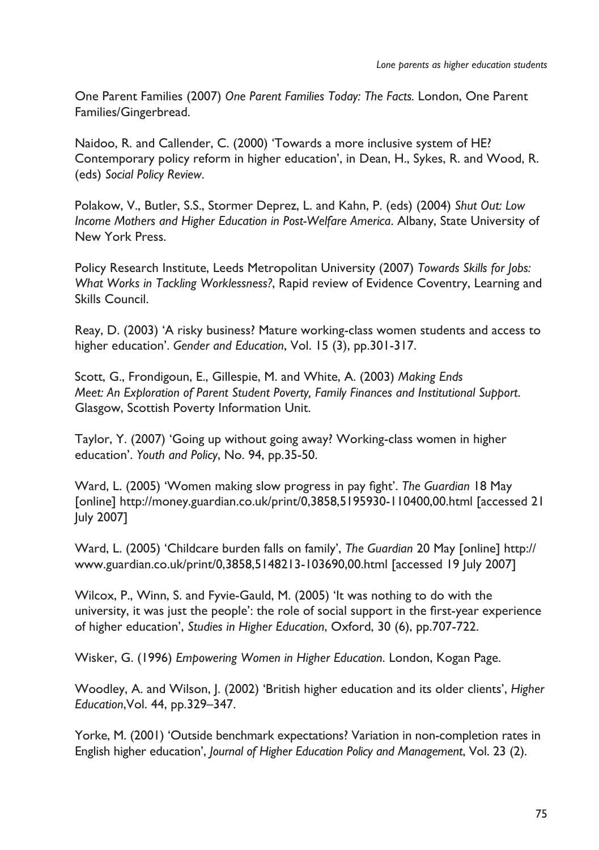One Parent Families (2007) *One Parent Families Today: The Facts.* London, One Parent Families/Gingerbread.

Naidoo, R. and Callender, C. (2000) 'Towards a more inclusive system of HE? Contemporary policy reform in higher education', in Dean, H., Sykes, R. and Wood, R. (eds) *Social Policy Review*.

Polakow, V., Butler, S.S., Stormer Deprez, L. and Kahn, P. (eds) (2004) *Shut Out: Low Income Mothers and Higher Education in Post-Welfare America*. Albany, State University of New York Press.

Policy Research Institute, Leeds Metropolitan University (2007) *Towards Skills for Jobs: What Works in Tackling Worklessness?*, Rapid review of Evidence Coventry, Learning and Skills Council.

Reay, D. (2003) 'A risky business? Mature working-class women students and access to higher education'. *Gender and Education*, Vol. 15 (3), pp.301-317.

Scott, G., Frondigoun, E., Gillespie, M. and White, A. (2003) *Making Ends Meet: An Exploration of Parent Student Poverty, Family Finances and Institutional Support*. Glasgow, Scottish Poverty Information Unit.

Taylor, Y. (2007) 'Going up without going away? Working-class women in higher education'. *Youth and Policy*, No. 94, pp.35-50.

Ward, L. (2005) 'Women making slow progress in pay fight'. *The Guardian* 18 May [online] http://money.guardian.co.uk/print/0,3858,5195930-110400,00.html [accessed 21 July 2007]

Ward, L. (2005) 'Childcare burden falls on family', *The Guardian* 20 May [online] http:// www.guardian.co.uk/print/0,3858,5148213-103690,00.html [accessed 19 July 2007]

Wilcox, P., Winn, S. and Fyvie-Gauld, M. (2005) 'It was nothing to do with the university, it was just the people': the role of social support in the first-year experience of higher education', *Studies in Higher Education*, Oxford, 30 (6), pp.707-722.

Wisker, G. (1996) *Empowering Women in Higher Education*. London, Kogan Page.

Woodley, A. and Wilson, J. (2002) 'British higher education and its older clients', *Higher Education*,Vol. 44, pp.329–347.

Yorke, M. (2001) 'Outside benchmark expectations? Variation in non-completion rates in English higher education', *Journal of Higher Education Policy and Management*, Vol. 23 (2).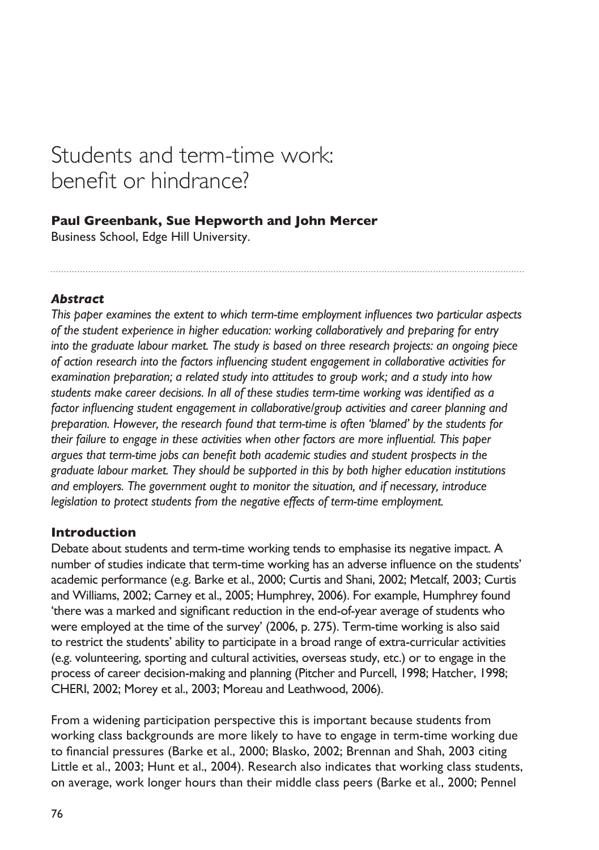# Students and term-time work: benefit or hindrance?

## **Paul Greenbank, Sue Hepworth and John Mercer**

Business School, Edge Hill University.

## *Abstract*

*This paper examines the extent to which term-time employment influences two particular aspects of the student experience in higher education: working collaboratively and preparing for entry into the graduate labour market. The study is based on three research projects: an ongoing piece of action research into the factors influencing student engagement in collaborative activities for examination preparation; a related study into attitudes to group work; and a study into how students make career decisions. In all of these studies term-time working was identified as a factor influencing student engagement in collaborative/group activities and career planning and preparation. However, the research found that term-time is often 'blamed' by the students for their failure to engage in these activities when other factors are more influential. This paper argues that term-time jobs can benefit both academic studies and student prospects in the graduate labour market. They should be supported in this by both higher education institutions and employers. The government ought to monitor the situation, and if necessary, introduce legislation to protect students from the negative effects of term-time employment.*

#### **Introduction**

Debate about students and term-time working tends to emphasise its negative impact. A number of studies indicate that term-time working has an adverse influence on the students' academic performance (e.g. Barke et al., 2000; Curtis and Shani, 2002; Metcalf, 2003; Curtis and Williams, 2002; Carney et al., 2005; Humphrey, 2006). For example, Humphrey found 'there was a marked and significant reduction in the end-of-year average of students who were employed at the time of the survey' (2006, p. 275). Term-time working is also said to restrict the students' ability to participate in a broad range of extra-curricular activities (e.g. volunteering, sporting and cultural activities, overseas study, etc.) or to engage in the process of career decision-making and planning (Pitcher and Purcell, 1998; Hatcher, 1998; CHERI, 2002; Morey et al., 2003; Moreau and Leathwood, 2006).

From a widening participation perspective this is important because students from working class backgrounds are more likely to have to engage in term-time working due to financial pressures (Barke et al., 2000; Blasko, 2002; Brennan and Shah, 2003 citing Little et al., 2003; Hunt et al., 2004). Research also indicates that working class students, on average, work longer hours than their middle class peers (Barke et al., 2000; Pennel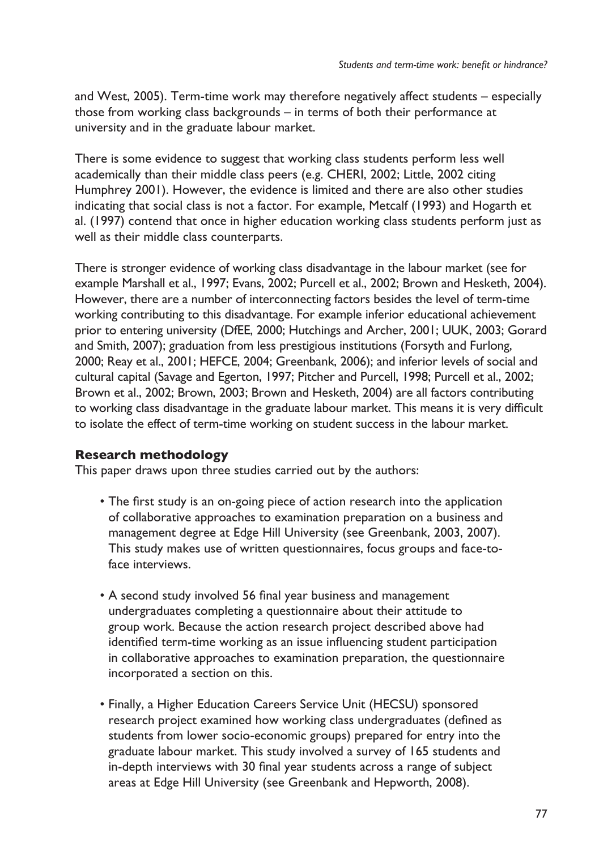and West, 2005). Term-time work may therefore negatively affect students – especially those from working class backgrounds – in terms of both their performance at university and in the graduate labour market.

There is some evidence to suggest that working class students perform less well academically than their middle class peers (e.g. CHERI, 2002; Little, 2002 citing Humphrey 2001). However, the evidence is limited and there are also other studies indicating that social class is not a factor. For example, Metcalf (1993) and Hogarth et al. (1997) contend that once in higher education working class students perform just as well as their middle class counterparts.

There is stronger evidence of working class disadvantage in the labour market (see for example Marshall et al., 1997; Evans, 2002; Purcell et al., 2002; Brown and Hesketh, 2004). However, there are a number of interconnecting factors besides the level of term-time working contributing to this disadvantage. For example inferior educational achievement prior to entering university (DfEE, 2000; Hutchings and Archer, 2001; UUK, 2003; Gorard and Smith, 2007); graduation from less prestigious institutions (Forsyth and Furlong, 2000; Reay et al., 2001; HEFCE, 2004; Greenbank, 2006); and inferior levels of social and cultural capital (Savage and Egerton, 1997; Pitcher and Purcell, 1998; Purcell et al., 2002; Brown et al., 2002; Brown, 2003; Brown and Hesketh, 2004) are all factors contributing to working class disadvantage in the graduate labour market. This means it is very difficult to isolate the effect of term-time working on student success in the labour market.

## **Research methodology**

This paper draws upon three studies carried out by the authors:

- The first study is an on-going piece of action research into the application of collaborative approaches to examination preparation on a business and management degree at Edge Hill University (see Greenbank, 2003, 2007). This study makes use of written questionnaires, focus groups and face-toface interviews.
- A second study involved 56 final year business and management undergraduates completing a questionnaire about their attitude to group work. Because the action research project described above had identified term-time working as an issue influencing student participation in collaborative approaches to examination preparation, the questionnaire incorporated a section on this.
- Finally, a Higher Education Careers Service Unit (HECSU) sponsored research project examined how working class undergraduates (defined as students from lower socio-economic groups) prepared for entry into the graduate labour market. This study involved a survey of 165 students and in-depth interviews with 30 final year students across a range of subject areas at Edge Hill University (see Greenbank and Hepworth, 2008).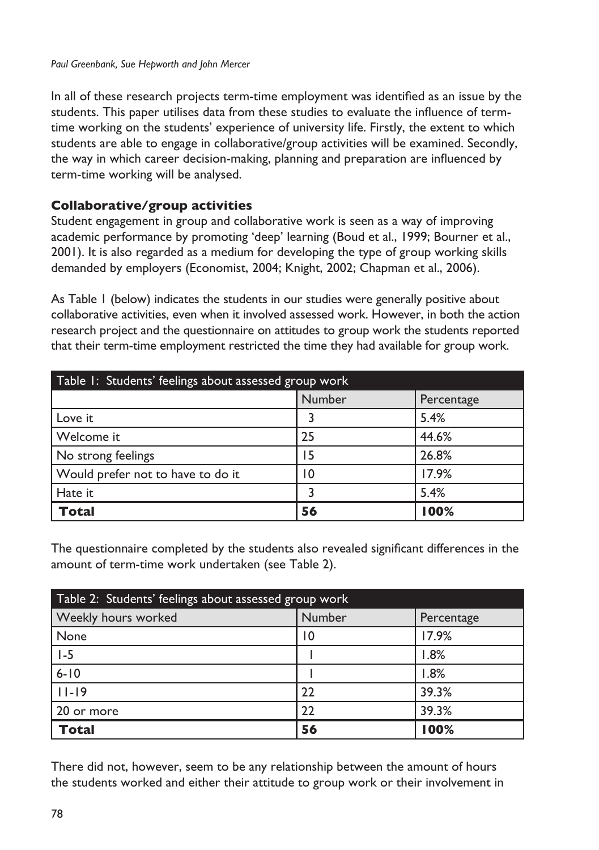In all of these research projects term-time employment was identified as an issue by the students. This paper utilises data from these studies to evaluate the influence of termtime working on the students' experience of university life. Firstly, the extent to which students are able to engage in collaborative/group activities will be examined. Secondly, the way in which career decision-making, planning and preparation are influenced by term-time working will be analysed.

### **Collaborative/group activities**

Student engagement in group and collaborative work is seen as a way of improving academic performance by promoting 'deep' learning (Boud et al., 1999; Bourner et al., 2001). It is also regarded as a medium for developing the type of group working skills demanded by employers (Economist, 2004; Knight, 2002; Chapman et al., 2006).

As Table 1 (below) indicates the students in our studies were generally positive about collaborative activities, even when it involved assessed work. However, in both the action research project and the questionnaire on attitudes to group work the students reported that their term-time employment restricted the time they had available for group work.

| Table 1: Students' feelings about assessed group work |        |            |  |
|-------------------------------------------------------|--------|------------|--|
|                                                       | Number | Percentage |  |
| Love it                                               |        | 5.4%       |  |
| Welcome it                                            | 25     | 44.6%      |  |
| No strong feelings                                    | 15     | 26.8%      |  |
| Would prefer not to have to do it                     | 10     | 17.9%      |  |
| Hate it                                               |        | 5.4%       |  |
| Total                                                 | 56     | 100%       |  |

The questionnaire completed by the students also revealed significant differences in the amount of term-time work undertaken (see Table 2).

| Table 2: Students' feelings about assessed group work |        |            |  |
|-------------------------------------------------------|--------|------------|--|
| Weekly hours worked                                   | Number | Percentage |  |
| None                                                  | 10     | 17.9%      |  |
| $1-5$                                                 |        | 1.8%       |  |
| $6 - 10$                                              |        | 1.8%       |  |
| $11 - 19$                                             | 22     | 39.3%      |  |
| 20 or more                                            | 22     | 39.3%      |  |
| <b>Total</b>                                          | 56     | 100%       |  |

There did not, however, seem to be any relationship between the amount of hours the students worked and either their attitude to group work or their involvement in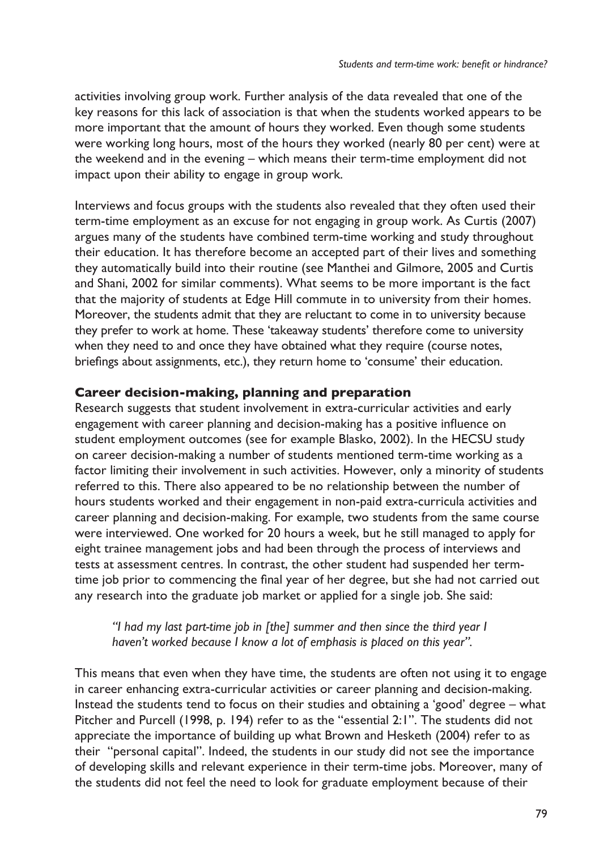activities involving group work. Further analysis of the data revealed that one of the key reasons for this lack of association is that when the students worked appears to be more important that the amount of hours they worked. Even though some students were working long hours, most of the hours they worked (nearly 80 per cent) were at the weekend and in the evening – which means their term-time employment did not impact upon their ability to engage in group work.

Interviews and focus groups with the students also revealed that they often used their term-time employment as an excuse for not engaging in group work. As Curtis (2007) argues many of the students have combined term-time working and study throughout their education. It has therefore become an accepted part of their lives and something they automatically build into their routine (see Manthei and Gilmore, 2005 and Curtis and Shani, 2002 for similar comments). What seems to be more important is the fact that the majority of students at Edge Hill commute in to university from their homes. Moreover, the students admit that they are reluctant to come in to university because they prefer to work at home. These 'takeaway students' therefore come to university when they need to and once they have obtained what they require (course notes, briefings about assignments, etc.), they return home to 'consume' their education.

#### **Career decision-making, planning and preparation**

Research suggests that student involvement in extra-curricular activities and early engagement with career planning and decision-making has a positive influence on student employment outcomes (see for example Blasko, 2002). In the HECSU study on career decision-making a number of students mentioned term-time working as a factor limiting their involvement in such activities. However, only a minority of students referred to this. There also appeared to be no relationship between the number of hours students worked and their engagement in non-paid extra-curricula activities and career planning and decision-making. For example, two students from the same course were interviewed. One worked for 20 hours a week, but he still managed to apply for eight trainee management jobs and had been through the process of interviews and tests at assessment centres. In contrast, the other student had suspended her termtime job prior to commencing the final year of her degree, but she had not carried out any research into the graduate job market or applied for a single job. She said:

*"I had my last part-time job in [the] summer and then since the third year I haven't worked because I know a lot of emphasis is placed on this year".* 

This means that even when they have time, the students are often not using it to engage in career enhancing extra-curricular activities or career planning and decision-making. Instead the students tend to focus on their studies and obtaining a 'good' degree – what Pitcher and Purcell (1998, p. 194) refer to as the "essential 2:1". The students did not appreciate the importance of building up what Brown and Hesketh (2004) refer to as their "personal capital". Indeed, the students in our study did not see the importance of developing skills and relevant experience in their term-time jobs. Moreover, many of the students did not feel the need to look for graduate employment because of their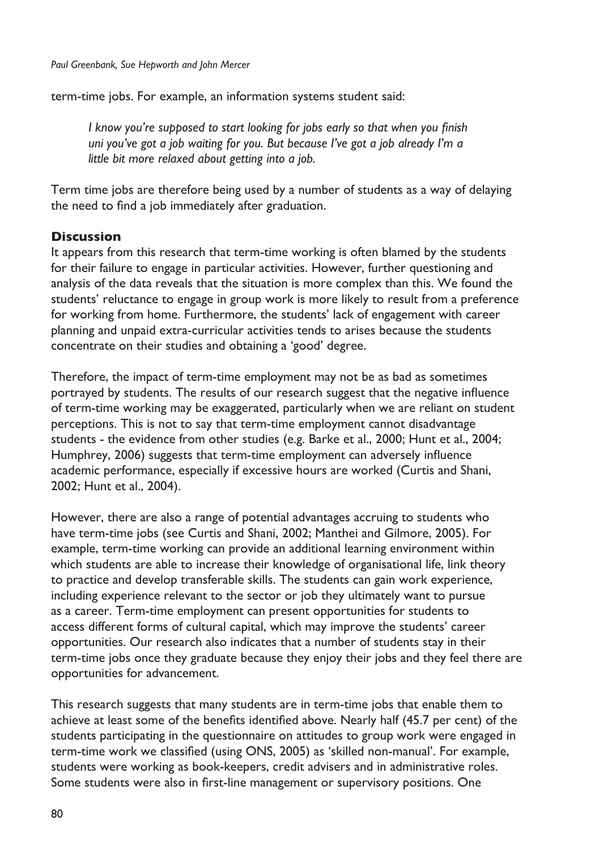term-time jobs. For example, an information systems student said:

*I know you're supposed to start looking for jobs early so that when you finish uni you've got a job waiting for you. But because I've got a job already I'm a little bit more relaxed about getting into a job.* 

Term time jobs are therefore being used by a number of students as a way of delaying the need to find a job immediately after graduation.

### **Discussion**

It appears from this research that term-time working is often blamed by the students for their failure to engage in particular activities. However, further questioning and analysis of the data reveals that the situation is more complex than this. We found the students' reluctance to engage in group work is more likely to result from a preference for working from home. Furthermore, the students' lack of engagement with career planning and unpaid extra-curricular activities tends to arises because the students concentrate on their studies and obtaining a 'good' degree.

Therefore, the impact of term-time employment may not be as bad as sometimes portrayed by students. The results of our research suggest that the negative influence of term-time working may be exaggerated, particularly when we are reliant on student perceptions. This is not to say that term-time employment cannot disadvantage students - the evidence from other studies (e.g. Barke et al., 2000; Hunt et al., 2004; Humphrey, 2006) suggests that term-time employment can adversely influence academic performance, especially if excessive hours are worked (Curtis and Shani, 2002; Hunt et al., 2004).

However, there are also a range of potential advantages accruing to students who have term-time jobs (see Curtis and Shani, 2002; Manthei and Gilmore, 2005). For example, term-time working can provide an additional learning environment within which students are able to increase their knowledge of organisational life, link theory to practice and develop transferable skills. The students can gain work experience, including experience relevant to the sector or job they ultimately want to pursue as a career. Term-time employment can present opportunities for students to access different forms of cultural capital, which may improve the students' career opportunities. Our research also indicates that a number of students stay in their term-time jobs once they graduate because they enjoy their jobs and they feel there are opportunities for advancement.

This research suggests that many students are in term-time jobs that enable them to achieve at least some of the benefits identified above. Nearly half (45.7 per cent) of the students participating in the questionnaire on attitudes to group work were engaged in term-time work we classified (using ONS, 2005) as 'skilled non-manual'. For example, students were working as book-keepers, credit advisers and in administrative roles. Some students were also in first-line management or supervisory positions. One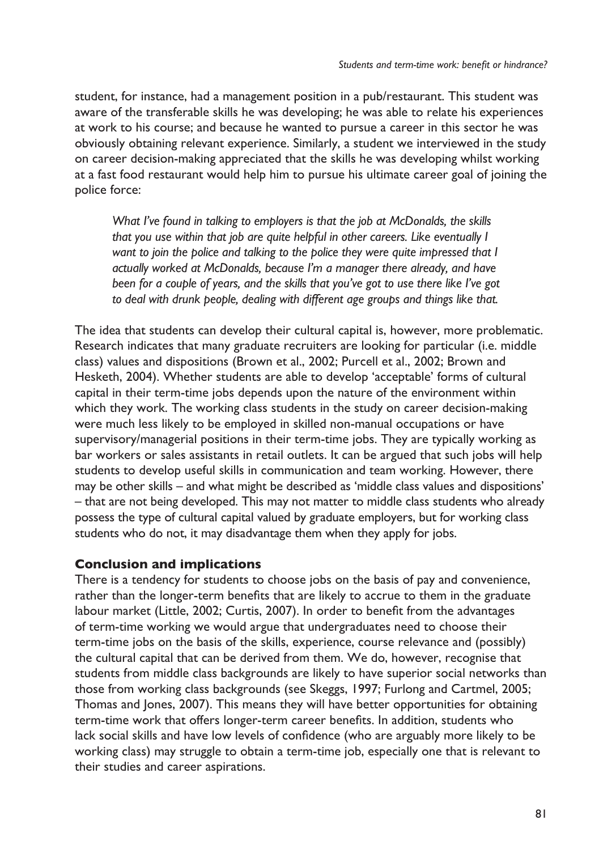student, for instance, had a management position in a pub/restaurant. This student was aware of the transferable skills he was developing; he was able to relate his experiences at work to his course; and because he wanted to pursue a career in this sector he was obviously obtaining relevant experience. Similarly, a student we interviewed in the study on career decision-making appreciated that the skills he was developing whilst working at a fast food restaurant would help him to pursue his ultimate career goal of joining the police force:

*What I've found in talking to employers is that the job at McDonalds, the skills that you use within that job are quite helpful in other careers. Like eventually I want to join the police and talking to the police they were quite impressed that I actually worked at McDonalds, because I'm a manager there already, and have been for a couple of years, and the skills that you've got to use there like I've got to deal with drunk people, dealing with different age groups and things like that.* 

The idea that students can develop their cultural capital is, however, more problematic. Research indicates that many graduate recruiters are looking for particular (i.e. middle class) values and dispositions (Brown et al., 2002; Purcell et al., 2002; Brown and Hesketh, 2004). Whether students are able to develop 'acceptable' forms of cultural capital in their term-time jobs depends upon the nature of the environment within which they work. The working class students in the study on career decision-making were much less likely to be employed in skilled non-manual occupations or have supervisory/managerial positions in their term-time jobs. They are typically working as bar workers or sales assistants in retail outlets. It can be argued that such jobs will help students to develop useful skills in communication and team working. However, there may be other skills – and what might be described as 'middle class values and dispositions' – that are not being developed. This may not matter to middle class students who already possess the type of cultural capital valued by graduate employers, but for working class students who do not, it may disadvantage them when they apply for jobs.

#### **Conclusion and implications**

There is a tendency for students to choose jobs on the basis of pay and convenience, rather than the longer-term benefits that are likely to accrue to them in the graduate labour market (Little, 2002; Curtis, 2007). In order to benefit from the advantages of term-time working we would argue that undergraduates need to choose their term-time jobs on the basis of the skills, experience, course relevance and (possibly) the cultural capital that can be derived from them. We do, however, recognise that students from middle class backgrounds are likely to have superior social networks than those from working class backgrounds (see Skeggs, 1997; Furlong and Cartmel, 2005; Thomas and Jones, 2007). This means they will have better opportunities for obtaining term-time work that offers longer-term career benefits. In addition, students who lack social skills and have low levels of confidence (who are arguably more likely to be working class) may struggle to obtain a term-time job, especially one that is relevant to their studies and career aspirations.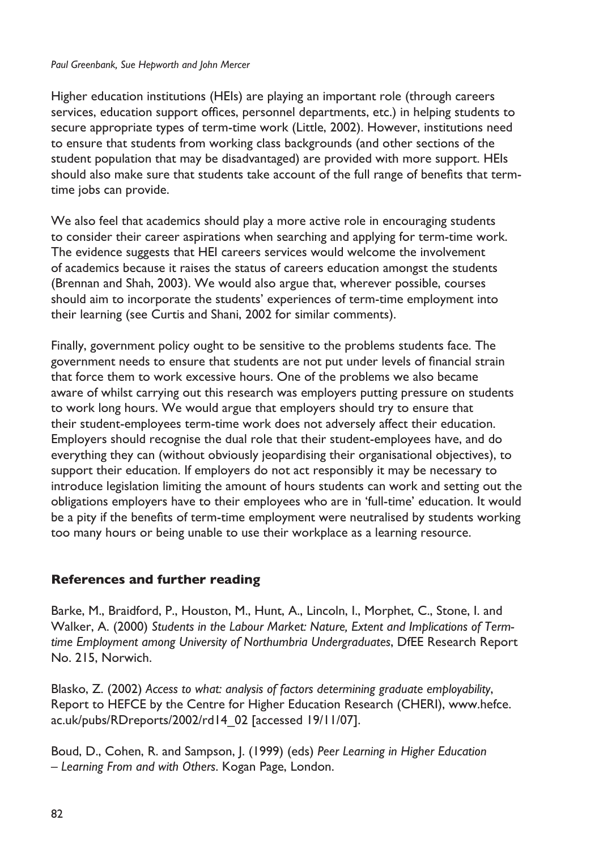#### *Paul Greenbank, Sue Hepworth and John Mercer*

Higher education institutions (HEIs) are playing an important role (through careers services, education support offices, personnel departments, etc.) in helping students to secure appropriate types of term-time work (Little, 2002). However, institutions need to ensure that students from working class backgrounds (and other sections of the student population that may be disadvantaged) are provided with more support. HEIs should also make sure that students take account of the full range of benefits that termtime jobs can provide.

We also feel that academics should play a more active role in encouraging students to consider their career aspirations when searching and applying for term-time work. The evidence suggests that HEI careers services would welcome the involvement of academics because it raises the status of careers education amongst the students (Brennan and Shah, 2003). We would also argue that, wherever possible, courses should aim to incorporate the students' experiences of term-time employment into their learning (see Curtis and Shani, 2002 for similar comments).

Finally, government policy ought to be sensitive to the problems students face. The government needs to ensure that students are not put under levels of financial strain that force them to work excessive hours. One of the problems we also became aware of whilst carrying out this research was employers putting pressure on students to work long hours. We would argue that employers should try to ensure that their student-employees term-time work does not adversely affect their education. Employers should recognise the dual role that their student-employees have, and do everything they can (without obviously jeopardising their organisational objectives), to support their education. If employers do not act responsibly it may be necessary to introduce legislation limiting the amount of hours students can work and setting out the obligations employers have to their employees who are in 'full-time' education. It would be a pity if the benefits of term-time employment were neutralised by students working too many hours or being unable to use their workplace as a learning resource.

## **References and further reading**

Barke, M., Braidford, P., Houston, M., Hunt, A., Lincoln, I., Morphet, C., Stone, I. and Walker, A. (2000) *Students in the Labour Market: Nature, Extent and Implications of Termtime Employment among University of Northumbria Undergraduates*, DfEE Research Report No. 215, Norwich.

Blasko, Z. (2002) *Access to what: analysis of factors determining graduate employability*, Report to HEFCE by the Centre for Higher Education Research (CHERI), www.hefce. ac.uk/pubs/RDreports/2002/rd14\_02 [accessed 19/11/07].

Boud, D., Cohen, R. and Sampson, J. (1999) (eds) *Peer Learning in Higher Education – Learning From and with Others*. Kogan Page, London.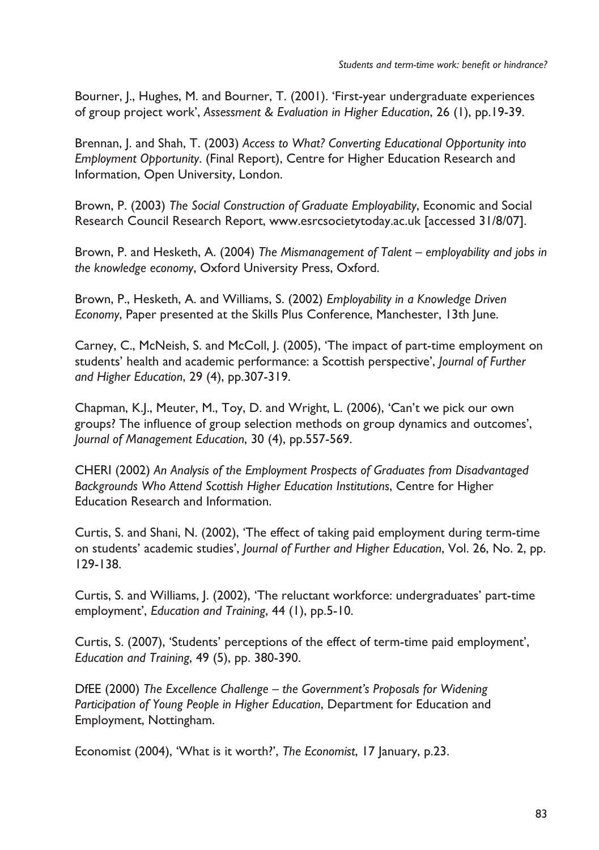Bourner, J., Hughes, M. and Bourner, T. (2001). 'First-year undergraduate experiences of group project work', *Assessment & Evaluation in Higher Education*, 26 (1), pp.19-39.

Brennan, J. and Shah, T. (2003) *Access to What? Converting Educational Opportunity into Employment Opportunity*. (Final Report), Centre for Higher Education Research and Information, Open University, London.

Brown, P. (2003) *The Social Construction of Graduate Employability*, Economic and Social Research Council Research Report, www.esrcsocietytoday.ac.uk [accessed 31/8/07].

Brown, P. and Hesketh, A. (2004) *The Mismanagement of Talent – employability and jobs in the knowledge economy*, Oxford University Press, Oxford.

Brown, P., Hesketh, A. and Williams, S. (2002) *Employability in a Knowledge Driven Economy*, Paper presented at the Skills Plus Conference, Manchester, 13th June.

Carney, C., McNeish, S. and McColl, J. (2005), 'The impact of part-time employment on students' health and academic performance: a Scottish perspective', *Journal of Further and Higher Education*, 29 (4), pp.307-319.

Chapman, K.J., Meuter, M., Toy, D. and Wright, L. (2006), 'Can't we pick our own groups? The influence of group selection methods on group dynamics and outcomes', *Journal of Management Education*, 30 (4), pp.557-569.

CHERI (2002) *An Analysis of the Employment Prospects of Graduates from Disadvantaged Backgrounds Who Attend Scottish Higher Education Institutions*, Centre for Higher Education Research and Information.

Curtis, S. and Shani, N. (2002), 'The effect of taking paid employment during term-time on students' academic studies', *Journal of Further and Higher Education*, Vol. 26, No. 2, pp. 129-138.

Curtis, S. and Williams, J. (2002), 'The reluctant workforce: undergraduates' part-time employment', *Education and Training*, 44 (1), pp.5-10.

Curtis, S. (2007), 'Students' perceptions of the effect of term-time paid employment', *Education and Training*, 49 (5), pp. 380-390.

DfEE (2000) *The Excellence Challenge – the Government's Proposals for Widening Participation of Young People in Higher Education*, Department for Education and Employment, Nottingham.

Economist (2004), 'What is it worth?', *The Economist*, 17 January, p.23.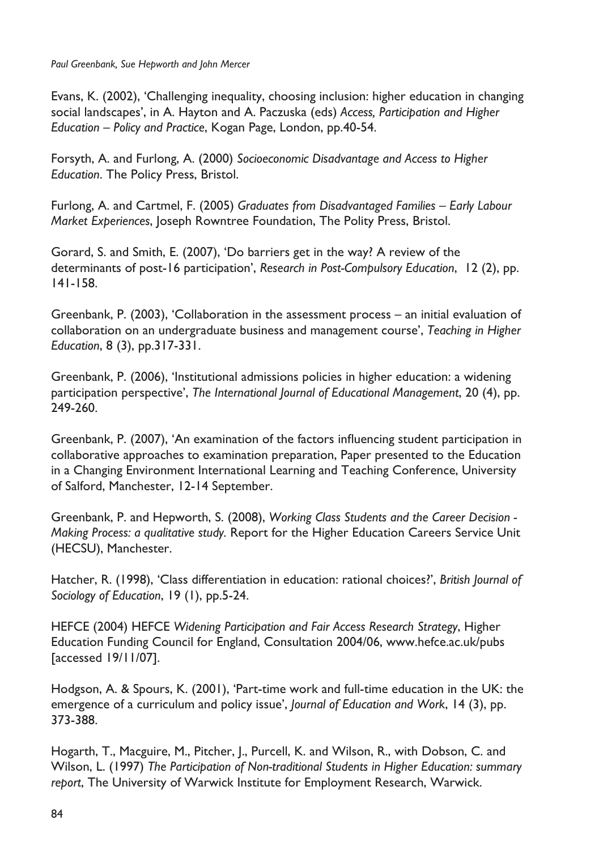*Paul Greenbank, Sue Hepworth and John Mercer*

Evans, K. (2002), 'Challenging inequality, choosing inclusion: higher education in changing social landscapes', in A. Hayton and A. Paczuska (eds) *Access, Participation and Higher Education – Policy and Practice*, Kogan Page, London, pp.40-54.

Forsyth, A. and Furlong, A. (2000) *Socioeconomic Disadvantage and Access to Higher Education*. The Policy Press, Bristol.

Furlong, A. and Cartmel, F. (2005) *Graduates from Disadvantaged Families – Early Labour Market Experiences*, Joseph Rowntree Foundation, The Polity Press, Bristol.

Gorard, S. and Smith, E. (2007), 'Do barriers get in the way? A review of the determinants of post-16 participation', *Research in Post-Compulsory Education*, 12 (2), pp. 141-158.

Greenbank, P. (2003), 'Collaboration in the assessment process – an initial evaluation of collaboration on an undergraduate business and management course', *Teaching in Higher Education*, 8 (3), pp.317-331.

Greenbank, P. (2006), 'Institutional admissions policies in higher education: a widening participation perspective', *The International Journal of Educational Management*, 20 (4), pp. 249-260.

Greenbank, P. (2007), 'An examination of the factors influencing student participation in collaborative approaches to examination preparation, Paper presented to the Education in a Changing Environment International Learning and Teaching Conference, University of Salford, Manchester, 12-14 September.

Greenbank, P. and Hepworth, S. (2008), *Working Class Students and the Career Decision - Making Process: a qualitative study.* Report for the Higher Education Careers Service Unit (HECSU), Manchester.

Hatcher, R. (1998), 'Class differentiation in education: rational choices?', *British Journal of Sociology of Education*, 19 (1), pp.5-24.

HEFCE (2004) HEFCE *Widening Participation and Fair Access Research Strategy*, Higher Education Funding Council for England, Consultation 2004/06, www.hefce.ac.uk/pubs [accessed 19/11/07].

Hodgson, A. & Spours, K. (2001), 'Part-time work and full-time education in the UK: the emergence of a curriculum and policy issue', *Journal of Education and Work*, 14 (3), pp. 373-388.

Hogarth, T., Macguire, M., Pitcher, J., Purcell, K. and Wilson, R., with Dobson, C. and Wilson, L. (1997) *The Participation of Non-traditional Students in Higher Education: summary report*, The University of Warwick Institute for Employment Research, Warwick.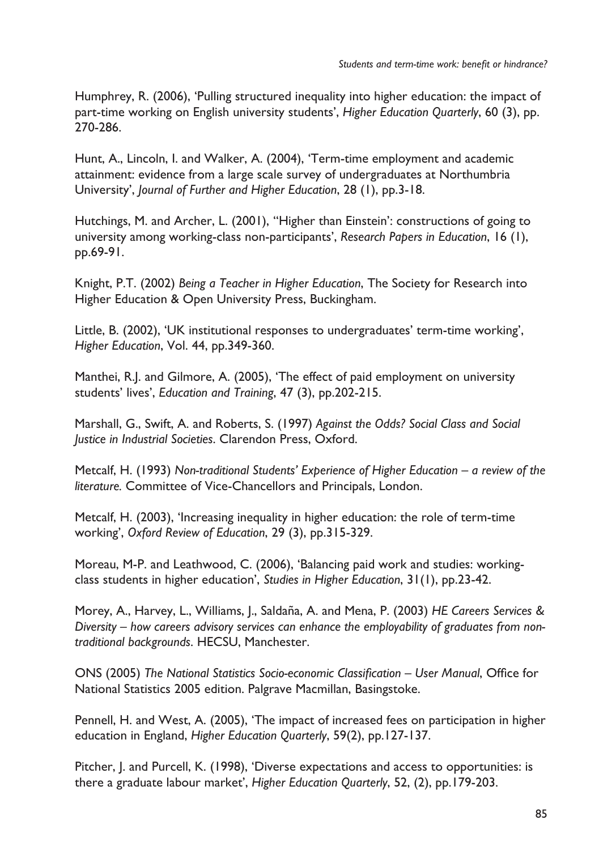Humphrey, R. (2006), 'Pulling structured inequality into higher education: the impact of part-time working on English university students', *Higher Education Quarterly*, 60 (3), pp. 270-286.

Hunt, A., Lincoln, I. and Walker, A. (2004), 'Term-time employment and academic attainment: evidence from a large scale survey of undergraduates at Northumbria University', *Journal of Further and Higher Education*, 28 (1), pp.3-18.

Hutchings, M. and Archer, L. (2001), ''Higher than Einstein': constructions of going to university among working-class non-participants', *Research Papers in Education*, 16 (1), pp.69-91.

Knight, P.T. (2002) *Being a Teacher in Higher Education*, The Society for Research into Higher Education & Open University Press, Buckingham.

Little, B. (2002), 'UK institutional responses to undergraduates' term-time working', *Higher Education*, Vol. 44, pp.349-360.

Manthei, R.J. and Gilmore, A. (2005), 'The effect of paid employment on university students' lives', *Education and Training*, 47 (3), pp.202-215.

Marshall, G., Swift, A. and Roberts, S. (1997) *Against the Odds? Social Class and Social Justice in Industrial Societies*. Clarendon Press, Oxford.

Metcalf, H. (1993) *Non-traditional Students' Experience of Higher Education – a review of the literature.* Committee of Vice-Chancellors and Principals, London.

Metcalf, H. (2003), 'Increasing inequality in higher education: the role of term-time working', *Oxford Review of Education*, 29 (3), pp.315-329.

Moreau, M-P. and Leathwood, C. (2006), 'Balancing paid work and studies: workingclass students in higher education', *Studies in Higher Education*, 31(1), pp.23-42.

Morey, A., Harvey, L., Williams, J., Saldaña, A. and Mena, P. (2003) *HE Careers Services & Diversity – how careers advisory services can enhance the employability of graduates from nontraditional backgrounds*. HECSU, Manchester.

ONS (2005) *The National Statistics Socio-economic Classification – User Manual*, Office for National Statistics 2005 edition. Palgrave Macmillan, Basingstoke.

Pennell, H. and West, A. (2005), 'The impact of increased fees on participation in higher education in England, *Higher Education Quarterly*, 59(2), pp.127-137.

Pitcher, J. and Purcell, K. (1998), 'Diverse expectations and access to opportunities: is there a graduate labour market', *Higher Education Quarterly*, 52, (2), pp.179-203.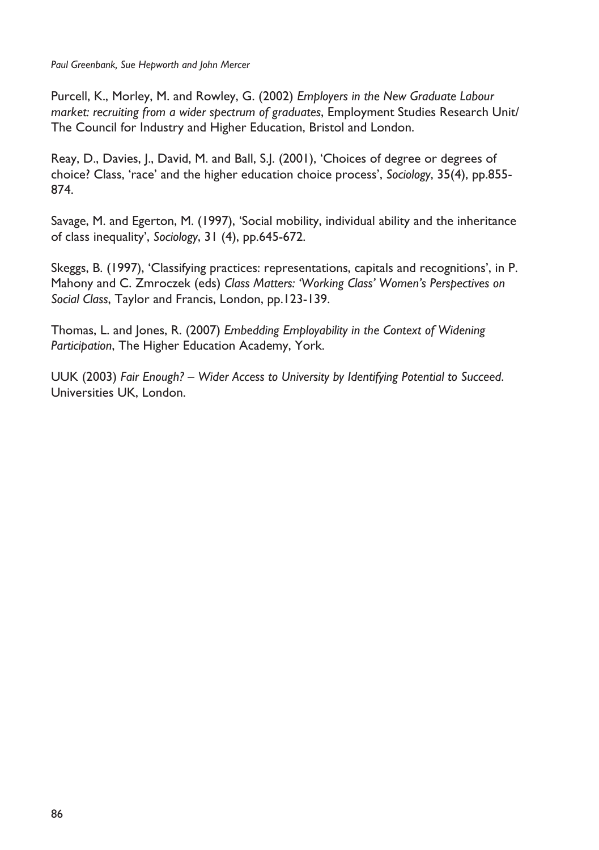*Paul Greenbank, Sue Hepworth and John Mercer*

Purcell, K., Morley, M. and Rowley, G. (2002) *Employers in the New Graduate Labour market: recruiting from a wider spectrum of graduates*, Employment Studies Research Unit/ The Council for Industry and Higher Education, Bristol and London.

Reay, D., Davies, J., David, M. and Ball, S.J. (2001), 'Choices of degree or degrees of choice? Class, 'race' and the higher education choice process', *Sociology*, 35(4), pp.855- 874.

Savage, M. and Egerton, M. (1997), 'Social mobility, individual ability and the inheritance of class inequality', *Sociology*, 31 (4), pp.645-672.

Skeggs, B. (1997), 'Classifying practices: representations, capitals and recognitions', in P. Mahony and C. Zmroczek (eds) *Class Matters: 'Working Class' Women's Perspectives on Social Class*, Taylor and Francis, London, pp.123-139.

Thomas, L. and Jones, R. (2007) *Embedding Employability in the Context of Widening Participation*, The Higher Education Academy, York.

UUK (2003) *Fair Enough? – Wider Access to University by Identifying Potential to Succeed*. Universities UK, London.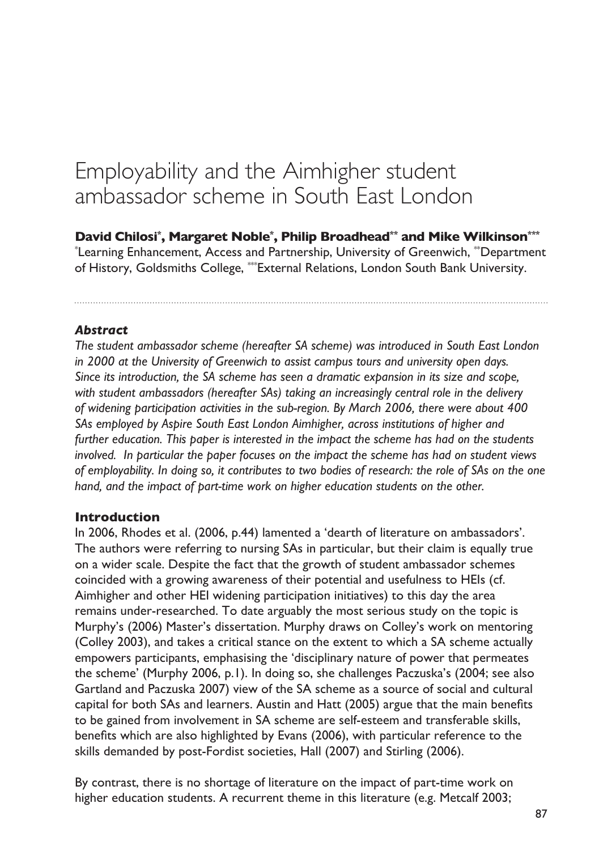# Employability and the Aimhigher student ambassador scheme in South East London

**David Chilosi\* , Margaret Noble\* , Philip Broadhead\*\* and Mike Wilkinson\*\*\*** \* Learning Enhancement, Access and Partnership, University of Greenwich, \*\*Department of History, Goldsmiths College, \*\*\*External Relations, London South Bank University.

#### *Abstract*

*The student ambassador scheme (hereafter SA scheme) was introduced in South East London in 2000 at the University of Greenwich to assist campus tours and university open days. Since its introduction, the SA scheme has seen a dramatic expansion in its size and scope, with student ambassadors (hereafter SAs) taking an increasingly central role in the delivery of widening participation activities in the sub-region. By March 2006, there were about 400 SAs employed by Aspire South East London Aimhigher, across institutions of higher and further education. This paper is interested in the impact the scheme has had on the students involved. In particular the paper focuses on the impact the scheme has had on student views of employability. In doing so, it contributes to two bodies of research: the role of SAs on the one hand, and the impact of part-time work on higher education students on the other.*

#### **Introduction**

In 2006, Rhodes et al. (2006, p.44) lamented a 'dearth of literature on ambassadors'. The authors were referring to nursing SAs in particular, but their claim is equally true on a wider scale. Despite the fact that the growth of student ambassador schemes coincided with a growing awareness of their potential and usefulness to HEIs (cf. Aimhigher and other HEI widening participation initiatives) to this day the area remains under-researched. To date arguably the most serious study on the topic is Murphy's (2006) Master's dissertation. Murphy draws on Colley's work on mentoring (Colley 2003), and takes a critical stance on the extent to which a SA scheme actually empowers participants, emphasising the 'disciplinary nature of power that permeates the scheme' (Murphy 2006, p.1). In doing so, she challenges Paczuska's (2004; see also Gartland and Paczuska 2007) view of the SA scheme as a source of social and cultural capital for both SAs and learners. Austin and Hatt (2005) argue that the main benefits to be gained from involvement in SA scheme are self-esteem and transferable skills, benefits which are also highlighted by Evans (2006), with particular reference to the skills demanded by post-Fordist societies, Hall (2007) and Stirling (2006).

By contrast, there is no shortage of literature on the impact of part-time work on higher education students. A recurrent theme in this literature (e.g. Metcalf 2003;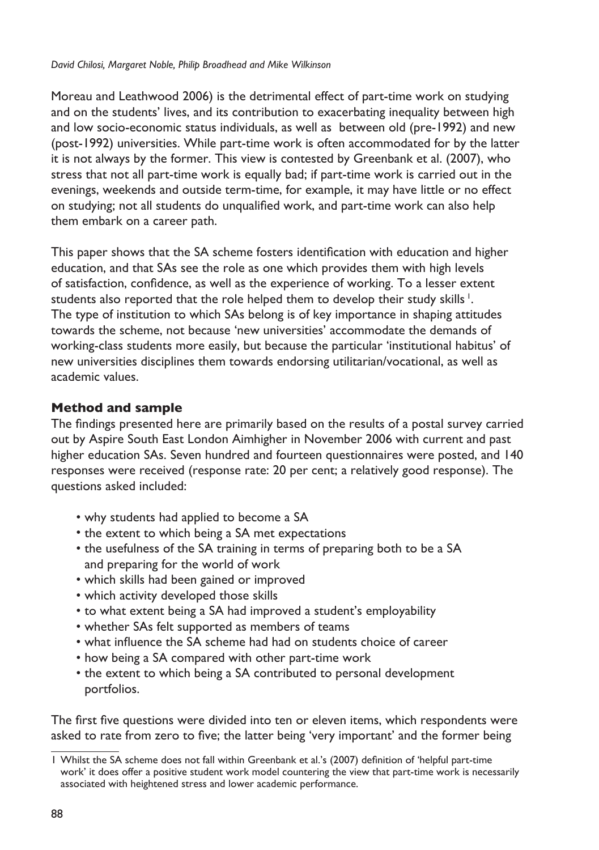Moreau and Leathwood 2006) is the detrimental effect of part-time work on studying and on the students' lives, and its contribution to exacerbating inequality between high and low socio-economic status individuals, as well as between old (pre-1992) and new (post-1992) universities. While part-time work is often accommodated for by the latter it is not always by the former. This view is contested by Greenbank et al. (2007), who stress that not all part-time work is equally bad; if part-time work is carried out in the evenings, weekends and outside term-time, for example, it may have little or no effect on studying; not all students do unqualified work, and part-time work can also help them embark on a career path.

This paper shows that the SA scheme fosters identification with education and higher education, and that SAs see the role as one which provides them with high levels of satisfaction, confidence, as well as the experience of working. To a lesser extent students also reported that the role helped them to develop their study skills<sup>1</sup>. The type of institution to which SAs belong is of key importance in shaping attitudes towards the scheme, not because 'new universities' accommodate the demands of working-class students more easily, but because the particular 'institutional habitus' of new universities disciplines them towards endorsing utilitarian/vocational, as well as academic values.

## **Method and sample**

The findings presented here are primarily based on the results of a postal survey carried out by Aspire South East London Aimhigher in November 2006 with current and past higher education SAs. Seven hundred and fourteen questionnaires were posted, and 140 responses were received (response rate: 20 per cent; a relatively good response). The questions asked included:

- why students had applied to become a SA
- the extent to which being a SA met expectations
- the usefulness of the SA training in terms of preparing both to be a SA and preparing for the world of work
- which skills had been gained or improved
- which activity developed those skills
- to what extent being a SA had improved a student's employability
- whether SAs felt supported as members of teams
- what influence the SA scheme had had on students choice of career
- how being a SA compared with other part-time work
- the extent to which being a SA contributed to personal development portfolios.

The first five questions were divided into ten or eleven items, which respondents were asked to rate from zero to five; the latter being 'very important' and the former being

Whilst the SA scheme does not fall within Greenbank et al.'s (2007) definition of 'helpful part-time work' it does offer a positive student work model countering the view that part-time work is necessarily associated with heightened stress and lower academic performance.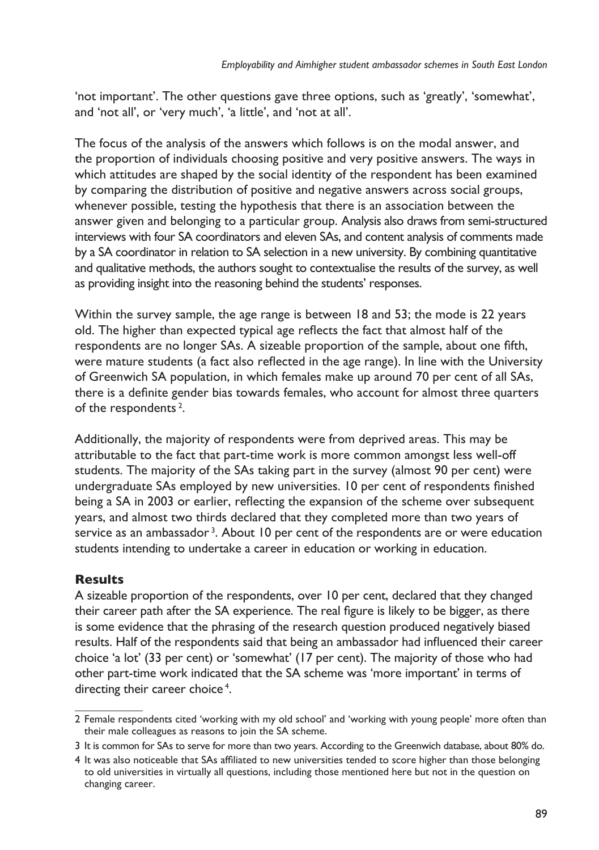'not important'. The other questions gave three options, such as 'greatly', 'somewhat', and 'not all', or 'very much', 'a little', and 'not at all'.

The focus of the analysis of the answers which follows is on the modal answer, and the proportion of individuals choosing positive and very positive answers. The ways in which attitudes are shaped by the social identity of the respondent has been examined by comparing the distribution of positive and negative answers across social groups, whenever possible, testing the hypothesis that there is an association between the answer given and belonging to a particular group. Analysis also draws from semi-structured interviews with four SA coordinators and eleven SAs, and content analysis of comments made by a SA coordinator in relation to SA selection in a new university. By combining quantitative and qualitative methods, the authors sought to contextualise the results of the survey, as well as providing insight into the reasoning behind the students' responses.

Within the survey sample, the age range is between 18 and 53; the mode is 22 years old. The higher than expected typical age reflects the fact that almost half of the respondents are no longer SAs. A sizeable proportion of the sample, about one fifth, were mature students (a fact also reflected in the age range). In line with the University of Greenwich SA population, in which females make up around 70 per cent of all SAs, there is a definite gender bias towards females, who account for almost three quarters of the respondents<sup>2</sup>.

Additionally, the majority of respondents were from deprived areas. This may be attributable to the fact that part-time work is more common amongst less well-off students. The majority of the SAs taking part in the survey (almost 90 per cent) were undergraduate SAs employed by new universities. 10 per cent of respondents finished being a SA in 2003 or earlier, reflecting the expansion of the scheme over subsequent years, and almost two thirds declared that they completed more than two years of service as an ambassador<sup>3</sup>. About 10 per cent of the respondents are or were education students intending to undertake a career in education or working in education.

# **Results**

A sizeable proportion of the respondents, over 10 per cent, declared that they changed their career path after the SA experience. The real figure is likely to be bigger, as there is some evidence that the phrasing of the research question produced negatively biased results. Half of the respondents said that being an ambassador had influenced their career choice 'a lot' (33 per cent) or 'somewhat' (17 per cent). The majority of those who had other part-time work indicated that the SA scheme was 'more important' in terms of directing their career choice<sup>4</sup>.

Female respondents cited 'working with my old school' and 'working with young people' more often than their male colleagues as reasons to join the SA scheme.

<sup>3</sup> It is common for SAs to serve for more than two years. According to the Greenwich database, about 80% do.

<sup>4</sup> It was also noticeable that SAs affiliated to new universities tended to score higher than those belonging to old universities in virtually all questions, including those mentioned here but not in the question on changing career.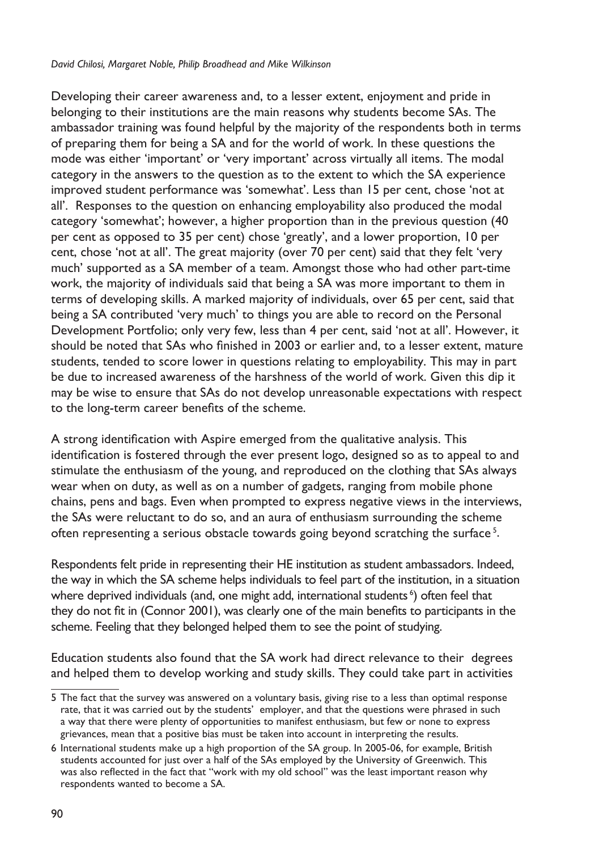Developing their career awareness and, to a lesser extent, enjoyment and pride in belonging to their institutions are the main reasons why students become SAs. The ambassador training was found helpful by the majority of the respondents both in terms of preparing them for being a SA and for the world of work. In these questions the mode was either 'important' or 'very important' across virtually all items. The modal category in the answers to the question as to the extent to which the SA experience improved student performance was 'somewhat'. Less than 15 per cent, chose 'not at all'. Responses to the question on enhancing employability also produced the modal category 'somewhat'; however, a higher proportion than in the previous question (40 per cent as opposed to 35 per cent) chose 'greatly', and a lower proportion, 10 per cent, chose 'not at all'. The great majority (over 70 per cent) said that they felt 'very much' supported as a SA member of a team. Amongst those who had other part-time work, the majority of individuals said that being a SA was more important to them in terms of developing skills. A marked majority of individuals, over 65 per cent, said that being a SA contributed 'very much' to things you are able to record on the Personal Development Portfolio; only very few, less than 4 per cent, said 'not at all'. However, it should be noted that SAs who finished in 2003 or earlier and, to a lesser extent, mature students, tended to score lower in questions relating to employability. This may in part be due to increased awareness of the harshness of the world of work. Given this dip it may be wise to ensure that SAs do not develop unreasonable expectations with respect to the long-term career benefits of the scheme.

A strong identification with Aspire emerged from the qualitative analysis. This identification is fostered through the ever present logo, designed so as to appeal to and stimulate the enthusiasm of the young, and reproduced on the clothing that SAs always wear when on duty, as well as on a number of gadgets, ranging from mobile phone chains, pens and bags. Even when prompted to express negative views in the interviews, the SAs were reluctant to do so, and an aura of enthusiasm surrounding the scheme often representing a serious obstacle towards going beyond scratching the surface<sup>5</sup>.

Respondents felt pride in representing their HE institution as student ambassadors. Indeed, the way in which the SA scheme helps individuals to feel part of the institution, in a situation where deprived individuals (and, one might add, international students<sup>6</sup>) often feel that they do not fit in (Connor 2001), was clearly one of the main benefits to participants in the scheme. Feeling that they belonged helped them to see the point of studying.

Education students also found that the SA work had direct relevance to their degrees and helped them to develop working and study skills. They could take part in activities

<sup>5</sup> The fact that the survey was answered on a voluntary basis, giving rise to a less than optimal response rate, that it was carried out by the students' employer, and that the questions were phrased in such a way that there were plenty of opportunities to manifest enthusiasm, but few or none to express grievances, mean that a positive bias must be taken into account in interpreting the results.

<sup>6</sup> International students make up a high proportion of the SA group. In 2005-06, for example, British students accounted for just over a half of the SAs employed by the University of Greenwich. This was also reflected in the fact that "work with my old school" was the least important reason why respondents wanted to become a SA.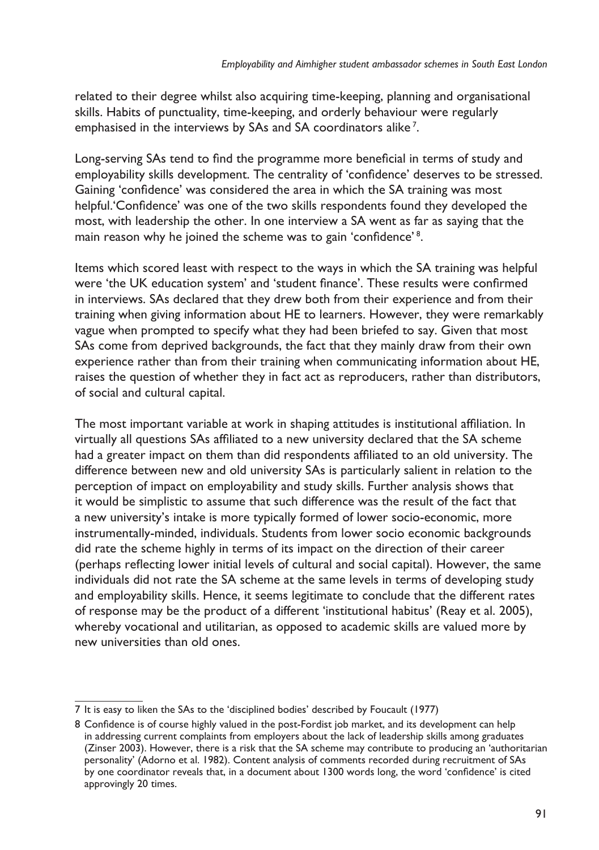related to their degree whilst also acquiring time-keeping, planning and organisational skills. Habits of punctuality, time-keeping, and orderly behaviour were regularly emphasised in the interviews by SAs and SA coordinators alike<sup>7</sup>.

Long-serving SAs tend to find the programme more beneficial in terms of study and employability skills development. The centrality of 'confidence' deserves to be stressed. Gaining 'confidence' was considered the area in which the SA training was most helpful.'Confidence' was one of the two skills respondents found they developed the most, with leadership the other. In one interview a SA went as far as saying that the main reason why he joined the scheme was to gain 'confidence'<sup>8</sup>.

Items which scored least with respect to the ways in which the SA training was helpful were 'the UK education system' and 'student finance'. These results were confirmed in interviews. SAs declared that they drew both from their experience and from their training when giving information about HE to learners. However, they were remarkably vague when prompted to specify what they had been briefed to say. Given that most SAs come from deprived backgrounds, the fact that they mainly draw from their own experience rather than from their training when communicating information about HE, raises the question of whether they in fact act as reproducers, rather than distributors, of social and cultural capital.

The most important variable at work in shaping attitudes is institutional affiliation. In virtually all questions SAs affiliated to a new university declared that the SA scheme had a greater impact on them than did respondents affiliated to an old university. The difference between new and old university SAs is particularly salient in relation to the perception of impact on employability and study skills. Further analysis shows that it would be simplistic to assume that such difference was the result of the fact that a new university's intake is more typically formed of lower socio-economic, more instrumentally-minded, individuals. Students from lower socio economic backgrounds did rate the scheme highly in terms of its impact on the direction of their career (perhaps reflecting lower initial levels of cultural and social capital). However, the same individuals did not rate the SA scheme at the same levels in terms of developing study and employability skills. Hence, it seems legitimate to conclude that the different rates of response may be the product of a different 'institutional habitus' (Reay et al. 2005), whereby vocational and utilitarian, as opposed to academic skills are valued more by new universities than old ones.

It is easy to liken the SAs to the 'disciplined bodies' described by Foucault (1977)

Confidence is of course highly valued in the post-Fordist job market, and its development can help in addressing current complaints from employers about the lack of leadership skills among graduates (Zinser 2003). However, there is a risk that the SA scheme may contribute to producing an 'authoritarian personality' (Adorno et al. 1982). Content analysis of comments recorded during recruitment of SAs by one coordinator reveals that, in a document about 1300 words long, the word 'confidence' is cited approvingly 20 times.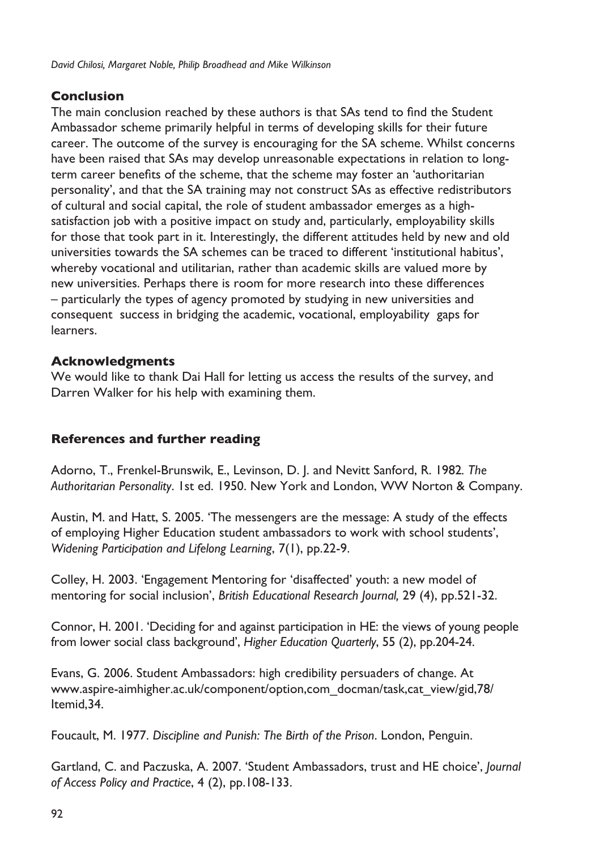## **Conclusion**

The main conclusion reached by these authors is that SAs tend to find the Student Ambassador scheme primarily helpful in terms of developing skills for their future career. The outcome of the survey is encouraging for the SA scheme. Whilst concerns have been raised that SAs may develop unreasonable expectations in relation to longterm career benefits of the scheme, that the scheme may foster an 'authoritarian personality', and that the SA training may not construct SAs as effective redistributors of cultural and social capital, the role of student ambassador emerges as a highsatisfaction job with a positive impact on study and, particularly, employability skills for those that took part in it. Interestingly, the different attitudes held by new and old universities towards the SA schemes can be traced to different 'institutional habitus', whereby vocational and utilitarian, rather than academic skills are valued more by new universities. Perhaps there is room for more research into these differences – particularly the types of agency promoted by studying in new universities and consequent success in bridging the academic, vocational, employability gaps for learners.

## **Acknowledgments**

We would like to thank Dai Hall for letting us access the results of the survey, and Darren Walker for his help with examining them.

# **References and further reading**

Adorno, T., Frenkel-Brunswik, E., Levinson, D. J. and Nevitt Sanford, R. 1982*. The Authoritarian Personality*. 1st ed. 1950. New York and London, WW Norton & Company.

Austin, M. and Hatt, S. 2005. 'The messengers are the message: A study of the effects of employing Higher Education student ambassadors to work with school students', *Widening Participation and Lifelong Learning*, 7(1), pp.22-9.

Colley, H. 2003. 'Engagement Mentoring for 'disaffected' youth: a new model of mentoring for social inclusion', *British Educational Research Journal,* 29 (4), pp.521-32.

Connor, H. 2001. 'Deciding for and against participation in HE: the views of young people from lower social class background', *Higher Education Quarterly*, 55 (2), pp.204-24.

Evans, G. 2006. Student Ambassadors: high credibility persuaders of change. At www.aspire-aimhigher.ac.uk/component/option,com\_docman/task,cat\_view/gid,78/ Itemid,34.

Foucault, M. 1977. *Discipline and Punish: The Birth of the Prison*. London, Penguin.

Gartland, C. and Paczuska, A. 2007. 'Student Ambassadors, trust and HE choice', *Journal of Access Policy and Practice*, 4 (2), pp.108-133.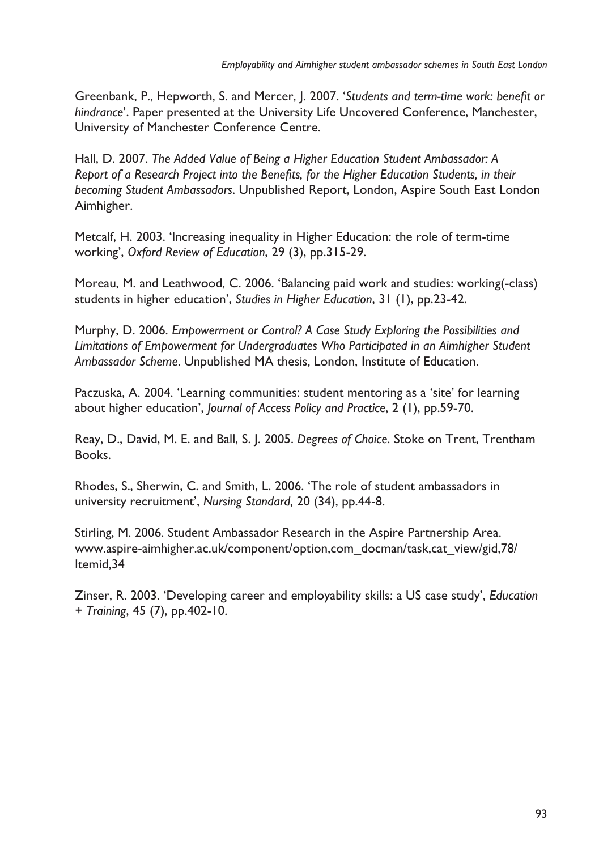Greenbank, P., Hepworth, S. and Mercer, J. 2007. '*Students and term-time work: benefit or hindrance*'. Paper presented at the University Life Uncovered Conference, Manchester, University of Manchester Conference Centre.

Hall, D. 2007. *The Added Value of Being a Higher Education Student Ambassador: A Report of a Research Project into the Benefits, for the Higher Education Students, in their becoming Student Ambassadors*. Unpublished Report, London, Aspire South East London Aimhigher.

Metcalf, H. 2003. 'Increasing inequality in Higher Education: the role of term-time working', *Oxford Review of Education*, 29 (3), pp.315-29.

Moreau, M. and Leathwood, C. 2006. 'Balancing paid work and studies: working(-class) students in higher education', *Studies in Higher Education*, 31 (1), pp.23-42.

Murphy, D. 2006. *Empowerment or Control? A Case Study Exploring the Possibilities and Limitations of Empowerment for Undergraduates Who Participated in an Aimhigher Student Ambassador Scheme*. Unpublished MA thesis, London, Institute of Education.

Paczuska, A. 2004. 'Learning communities: student mentoring as a 'site' for learning about higher education', *Journal of Access Policy and Practice*, 2 (1), pp.59-70.

Reay, D., David, M. E. and Ball, S. J. 2005. *Degrees of Choice*. Stoke on Trent, Trentham Books.

Rhodes, S., Sherwin, C. and Smith, L. 2006. 'The role of student ambassadors in university recruitment', *Nursing Standard*, 20 (34), pp.44-8.

Stirling, M. 2006. Student Ambassador Research in the Aspire Partnership Area. www.aspire-aimhigher.ac.uk/component/option,com\_docman/task,cat\_view/gid,78/ Itemid,34

Zinser, R. 2003. 'Developing career and employability skills: a US case study', *Education + Training*, 45 (7), pp.402-10.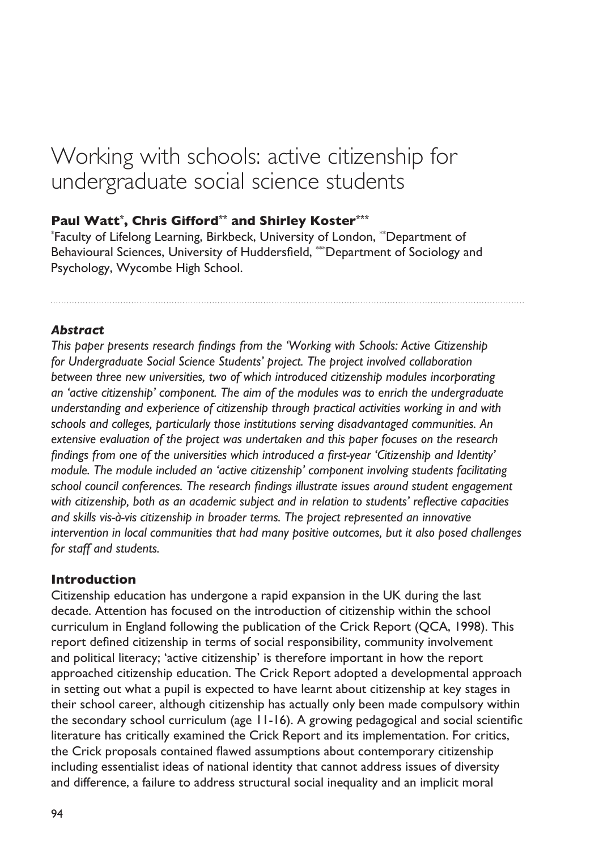# Working with schools: active citizenship for undergraduate social science students

## **Paul Watt\* , Chris Gifford\*\* and Shirley Koster\*\*\***

\* Faculty of Lifelong Learning, Birkbeck, University of London, \*\*Department of Behavioural Sciences, University of Huddersfield, \*\*\*Department of Sociology and Psychology, Wycombe High School.

### *Abstract*

*This paper presents research findings from the 'Working with Schools: Active Citizenship for Undergraduate Social Science Students' project. The project involved collaboration between three new universities, two of which introduced citizenship modules incorporating an 'active citizenship' component. The aim of the modules was to enrich the undergraduate understanding and experience of citizenship through practical activities working in and with schools and colleges, particularly those institutions serving disadvantaged communities. An extensive evaluation of the project was undertaken and this paper focuses on the research findings from one of the universities which introduced a first-year 'Citizenship and Identity' module. The module included an 'active citizenship' component involving students facilitating school council conferences. The research findings illustrate issues around student engagement with citizenship, both as an academic subject and in relation to students' reflective capacities and skills vis-à-vis citizenship in broader terms. The project represented an innovative intervention in local communities that had many positive outcomes, but it also posed challenges for staff and students.* 

## **Introduction**

Citizenship education has undergone a rapid expansion in the UK during the last decade. Attention has focused on the introduction of citizenship within the school curriculum in England following the publication of the Crick Report (QCA, 1998). This report defined citizenship in terms of social responsibility, community involvement and political literacy; 'active citizenship' is therefore important in how the report approached citizenship education. The Crick Report adopted a developmental approach in setting out what a pupil is expected to have learnt about citizenship at key stages in their school career, although citizenship has actually only been made compulsory within the secondary school curriculum (age 11-16). A growing pedagogical and social scientific literature has critically examined the Crick Report and its implementation. For critics, the Crick proposals contained flawed assumptions about contemporary citizenship including essentialist ideas of national identity that cannot address issues of diversity and difference, a failure to address structural social inequality and an implicit moral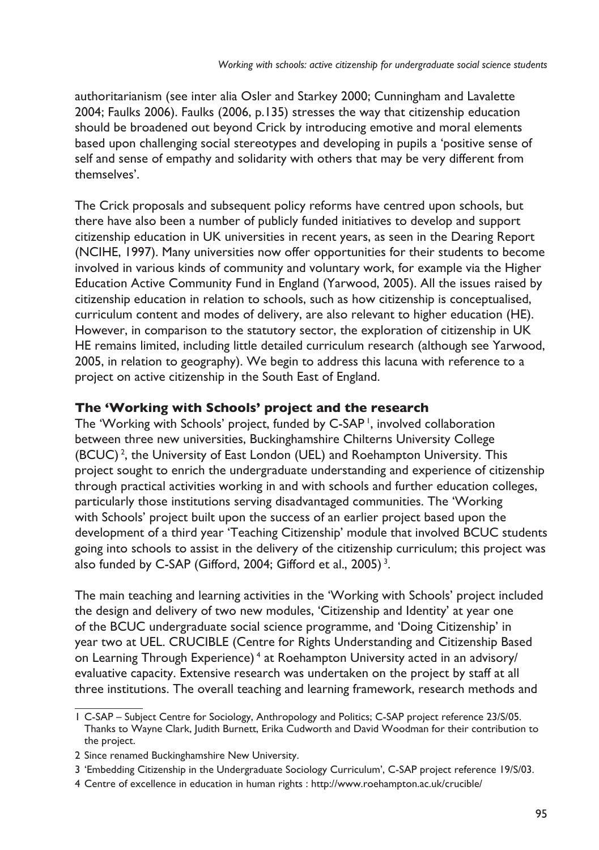authoritarianism (see inter alia Osler and Starkey 2000; Cunningham and Lavalette 2004; Faulks 2006). Faulks (2006, p.135) stresses the way that citizenship education should be broadened out beyond Crick by introducing emotive and moral elements based upon challenging social stereotypes and developing in pupils a 'positive sense of self and sense of empathy and solidarity with others that may be very different from themselves'.

The Crick proposals and subsequent policy reforms have centred upon schools, but there have also been a number of publicly funded initiatives to develop and support citizenship education in UK universities in recent years, as seen in the Dearing Report (NCIHE, 1997). Many universities now offer opportunities for their students to become involved in various kinds of community and voluntary work, for example via the Higher Education Active Community Fund in England (Yarwood, 2005). All the issues raised by citizenship education in relation to schools, such as how citizenship is conceptualised, curriculum content and modes of delivery, are also relevant to higher education (HE). However, in comparison to the statutory sector, the exploration of citizenship in UK HE remains limited, including little detailed curriculum research (although see Yarwood, 2005, in relation to geography). We begin to address this lacuna with reference to a project on active citizenship in the South East of England.

## **The 'Working with Schools' project and the research**

The 'Working with Schools' project, funded by C-SAP<sup>1</sup>, involved collaboration between three new universities, Buckinghamshire Chilterns University College (BCUC)<sup>2</sup>, the University of East London (UEL) and Roehampton University. This project sought to enrich the undergraduate understanding and experience of citizenship through practical activities working in and with schools and further education colleges, particularly those institutions serving disadvantaged communities. The 'Working with Schools' project built upon the success of an earlier project based upon the development of a third year 'Teaching Citizenship' module that involved BCUC students going into schools to assist in the delivery of the citizenship curriculum; this project was also funded by C-SAP (Gifford, 2004; Gifford et al., 2005) $^3$ .

The main teaching and learning activities in the 'Working with Schools' project included the design and delivery of two new modules, 'Citizenship and Identity' at year one of the BCUC undergraduate social science programme, and 'Doing Citizenship' in year two at UEL. CRUCIBLE (Centre for Rights Understanding and Citizenship Based on Learning Through Experience) <sup>4</sup> at Roehampton University acted in an advisory/ evaluative capacity. Extensive research was undertaken on the project by staff at all three institutions. The overall teaching and learning framework, research methods and

C-SAP – Subject Centre for Sociology, Anthropology and Politics; C-SAP project reference 23/S/05. Thanks to Wayne Clark, Judith Burnett, Erika Cudworth and David Woodman for their contribution to the project.

<sup>2</sup> Since renamed Buckinghamshire New University.

<sup>&#</sup>x27;Embedding Citizenship in the Undergraduate Sociology Curriculum', C-SAP project reference 19/S/03.

<sup>4</sup> Centre of excellence in education in human rights : http://www.roehampton.ac.uk/crucible/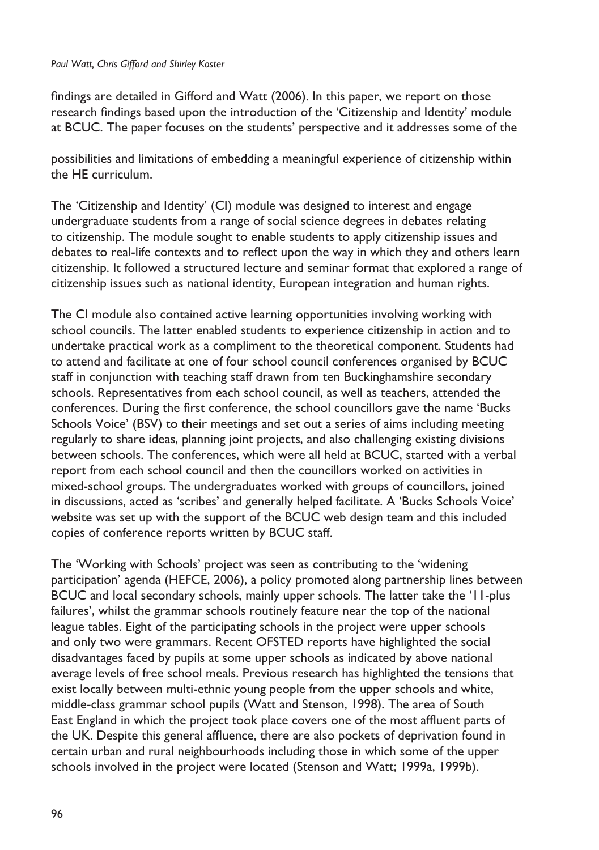#### *Paul Watt, Chris Gifford and Shirley Koster*

findings are detailed in Gifford and Watt (2006). In this paper, we report on those research findings based upon the introduction of the 'Citizenship and Identity' module at BCUC. The paper focuses on the students' perspective and it addresses some of the

possibilities and limitations of embedding a meaningful experience of citizenship within the HE curriculum.

The 'Citizenship and Identity' (CI) module was designed to interest and engage undergraduate students from a range of social science degrees in debates relating to citizenship. The module sought to enable students to apply citizenship issues and debates to real-life contexts and to reflect upon the way in which they and others learn citizenship. It followed a structured lecture and seminar format that explored a range of citizenship issues such as national identity, European integration and human rights.

The CI module also contained active learning opportunities involving working with school councils. The latter enabled students to experience citizenship in action and to undertake practical work as a compliment to the theoretical component. Students had to attend and facilitate at one of four school council conferences organised by BCUC staff in conjunction with teaching staff drawn from ten Buckinghamshire secondary schools. Representatives from each school council, as well as teachers, attended the conferences. During the first conference, the school councillors gave the name 'Bucks Schools Voice' (BSV) to their meetings and set out a series of aims including meeting regularly to share ideas, planning joint projects, and also challenging existing divisions between schools. The conferences, which were all held at BCUC, started with a verbal report from each school council and then the councillors worked on activities in mixed-school groups. The undergraduates worked with groups of councillors, joined in discussions, acted as 'scribes' and generally helped facilitate. A 'Bucks Schools Voice' website was set up with the support of the BCUC web design team and this included copies of conference reports written by BCUC staff.

The 'Working with Schools' project was seen as contributing to the 'widening participation' agenda (HEFCE, 2006), a policy promoted along partnership lines between BCUC and local secondary schools, mainly upper schools. The latter take the '11-plus failures', whilst the grammar schools routinely feature near the top of the national league tables. Eight of the participating schools in the project were upper schools and only two were grammars. Recent OFSTED reports have highlighted the social disadvantages faced by pupils at some upper schools as indicated by above national average levels of free school meals. Previous research has highlighted the tensions that exist locally between multi-ethnic young people from the upper schools and white, middle-class grammar school pupils (Watt and Stenson, 1998). The area of South East England in which the project took place covers one of the most affluent parts of the UK. Despite this general affluence, there are also pockets of deprivation found in certain urban and rural neighbourhoods including those in which some of the upper schools involved in the project were located (Stenson and Watt; 1999a, 1999b).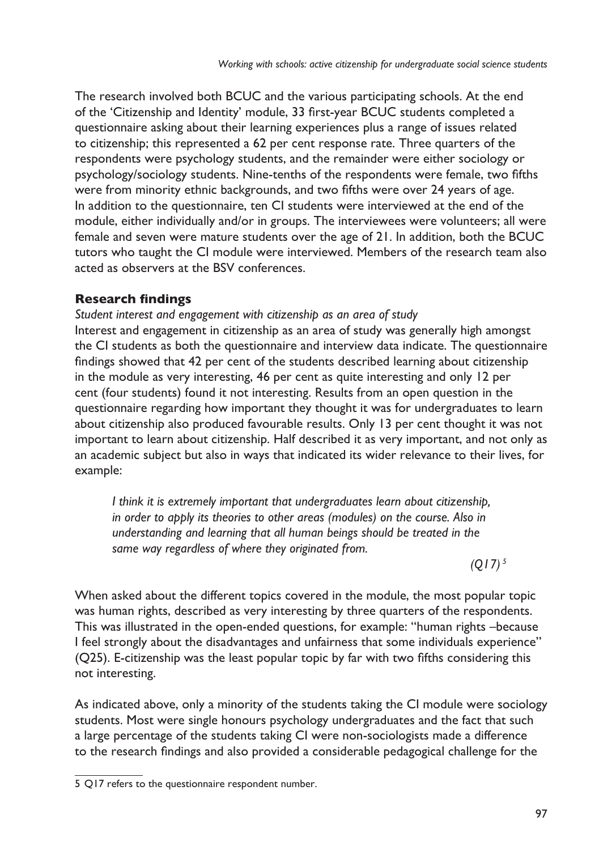The research involved both BCUC and the various participating schools. At the end of the 'Citizenship and Identity' module, 33 first-year BCUC students completed a questionnaire asking about their learning experiences plus a range of issues related to citizenship; this represented a 62 per cent response rate. Three quarters of the respondents were psychology students, and the remainder were either sociology or psychology/sociology students. Nine-tenths of the respondents were female, two fifths were from minority ethnic backgrounds, and two fifths were over 24 years of age. In addition to the questionnaire, ten CI students were interviewed at the end of the module, either individually and/or in groups. The interviewees were volunteers; all were female and seven were mature students over the age of 21. In addition, both the BCUC tutors who taught the CI module were interviewed. Members of the research team also acted as observers at the BSV conferences.

## **Research findings**

*Student interest and engagement with citizenship as an area of study* Interest and engagement in citizenship as an area of study was generally high amongst the CI students as both the questionnaire and interview data indicate. The questionnaire findings showed that 42 per cent of the students described learning about citizenship in the module as very interesting, 46 per cent as quite interesting and only 12 per cent (four students) found it not interesting. Results from an open question in the questionnaire regarding how important they thought it was for undergraduates to learn about citizenship also produced favourable results. Only 13 per cent thought it was not important to learn about citizenship. Half described it as very important, and not only as an academic subject but also in ways that indicated its wider relevance to their lives, for example:

*I think it is extremely important that undergraduates learn about citizenship, in order to apply its theories to other areas (modules) on the course. Also in understanding and learning that all human beings should be treated in the same way regardless of where they originated from.*

*(Q17) <sup>5</sup>*

When asked about the different topics covered in the module, the most popular topic was human rights, described as very interesting by three quarters of the respondents. This was illustrated in the open-ended questions, for example: "human rights –because I feel strongly about the disadvantages and unfairness that some individuals experience" (Q25). E-citizenship was the least popular topic by far with two fifths considering this not interesting.

As indicated above, only a minority of the students taking the CI module were sociology students. Most were single honours psychology undergraduates and the fact that such a large percentage of the students taking CI were non-sociologists made a difference to the research findings and also provided a considerable pedagogical challenge for the

<sup>5</sup> Q17 refers to the questionnaire respondent number.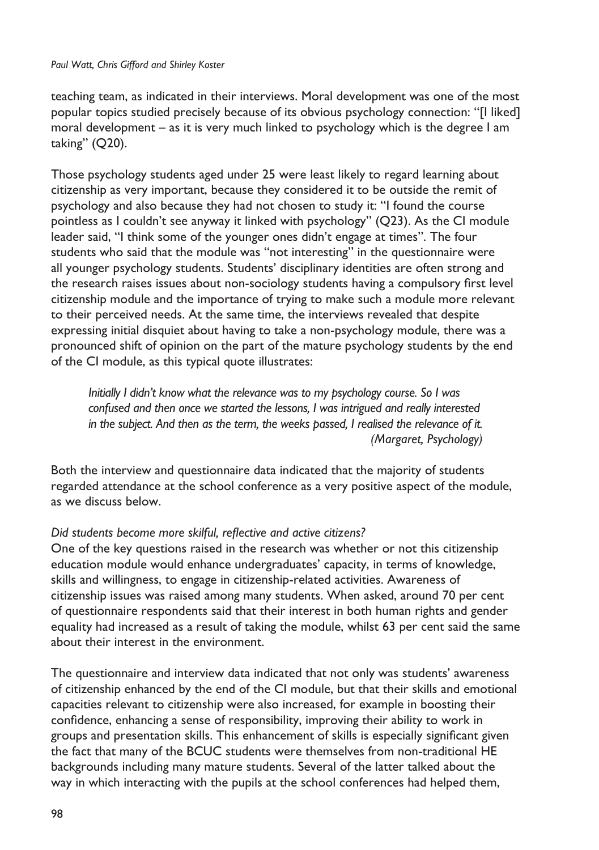#### *Paul Watt, Chris Gifford and Shirley Koster*

teaching team, as indicated in their interviews. Moral development was one of the most popular topics studied precisely because of its obvious psychology connection: "[I liked] moral development – as it is very much linked to psychology which is the degree I am taking" (Q20).

Those psychology students aged under 25 were least likely to regard learning about citizenship as very important, because they considered it to be outside the remit of psychology and also because they had not chosen to study it: "I found the course pointless as I couldn't see anyway it linked with psychology" (Q23). As the CI module leader said, "I think some of the younger ones didn't engage at times". The four students who said that the module was "not interesting" in the questionnaire were all younger psychology students. Students' disciplinary identities are often strong and the research raises issues about non-sociology students having a compulsory first level citizenship module and the importance of trying to make such a module more relevant to their perceived needs. At the same time, the interviews revealed that despite expressing initial disquiet about having to take a non-psychology module, there was a pronounced shift of opinion on the part of the mature psychology students by the end of the CI module, as this typical quote illustrates:

*Initially I didn't know what the relevance was to my psychology course. So I was confused and then once we started the lessons, I was intrigued and really interested in the subject. And then as the term, the weeks passed, I realised the relevance of it. (Margaret, Psychology)*

Both the interview and questionnaire data indicated that the majority of students regarded attendance at the school conference as a very positive aspect of the module, as we discuss below.

#### *Did students become more skilful, reflective and active citizens?*

One of the key questions raised in the research was whether or not this citizenship education module would enhance undergraduates' capacity, in terms of knowledge, skills and willingness, to engage in citizenship-related activities. Awareness of citizenship issues was raised among many students. When asked, around 70 per cent of questionnaire respondents said that their interest in both human rights and gender equality had increased as a result of taking the module, whilst 63 per cent said the same about their interest in the environment.

The questionnaire and interview data indicated that not only was students' awareness of citizenship enhanced by the end of the CI module, but that their skills and emotional capacities relevant to citizenship were also increased, for example in boosting their confidence, enhancing a sense of responsibility, improving their ability to work in groups and presentation skills. This enhancement of skills is especially significant given the fact that many of the BCUC students were themselves from non-traditional HE backgrounds including many mature students. Several of the latter talked about the way in which interacting with the pupils at the school conferences had helped them,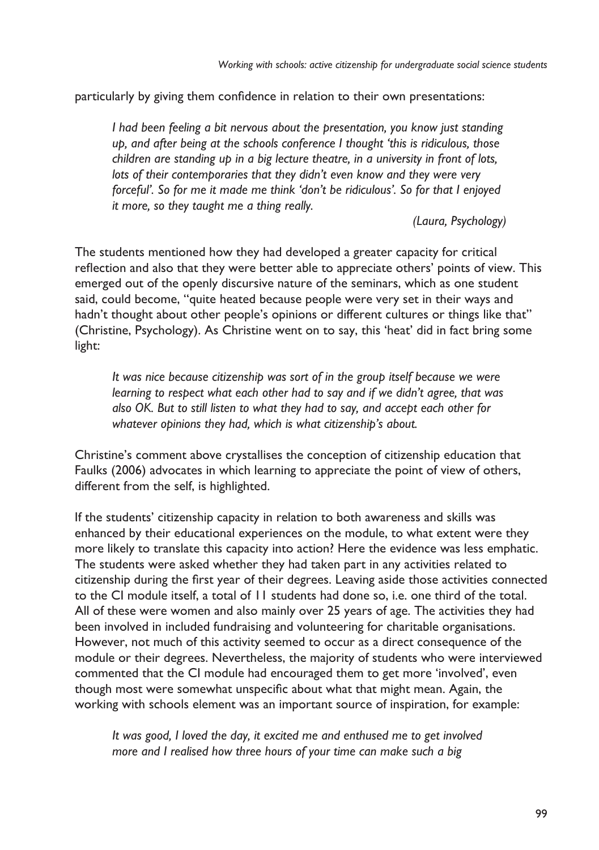particularly by giving them confidence in relation to their own presentations:

*I had been feeling a bit nervous about the presentation, you know just standing up, and after being at the schools conference I thought 'this is ridiculous, those children are standing up in a big lecture theatre, in a university in front of lots, lots of their contemporaries that they didn't even know and they were very forceful'. So for me it made me think 'don't be ridiculous'. So for that I enjoyed it more, so they taught me a thing really.*

*(Laura, Psychology)*

The students mentioned how they had developed a greater capacity for critical reflection and also that they were better able to appreciate others' points of view. This emerged out of the openly discursive nature of the seminars, which as one student said, could become, "quite heated because people were very set in their ways and hadn't thought about other people's opinions or different cultures or things like that" (Christine, Psychology). As Christine went on to say, this 'heat' did in fact bring some light:

*It was nice because citizenship was sort of in the group itself because we were learning to respect what each other had to say and if we didn't agree, that was also OK. But to still listen to what they had to say, and accept each other for whatever opinions they had, which is what citizenship's about.* 

Christine's comment above crystallises the conception of citizenship education that Faulks (2006) advocates in which learning to appreciate the point of view of others, different from the self, is highlighted.

If the students' citizenship capacity in relation to both awareness and skills was enhanced by their educational experiences on the module, to what extent were they more likely to translate this capacity into action? Here the evidence was less emphatic. The students were asked whether they had taken part in any activities related to citizenship during the first year of their degrees. Leaving aside those activities connected to the CI module itself, a total of 11 students had done so, i.e. one third of the total. All of these were women and also mainly over 25 years of age. The activities they had been involved in included fundraising and volunteering for charitable organisations. However, not much of this activity seemed to occur as a direct consequence of the module or their degrees. Nevertheless, the majority of students who were interviewed commented that the CI module had encouraged them to get more 'involved', even though most were somewhat unspecific about what that might mean. Again, the working with schools element was an important source of inspiration, for example:

*It was good, I loved the day, it excited me and enthused me to get involved more and I realised how three hours of your time can make such a big*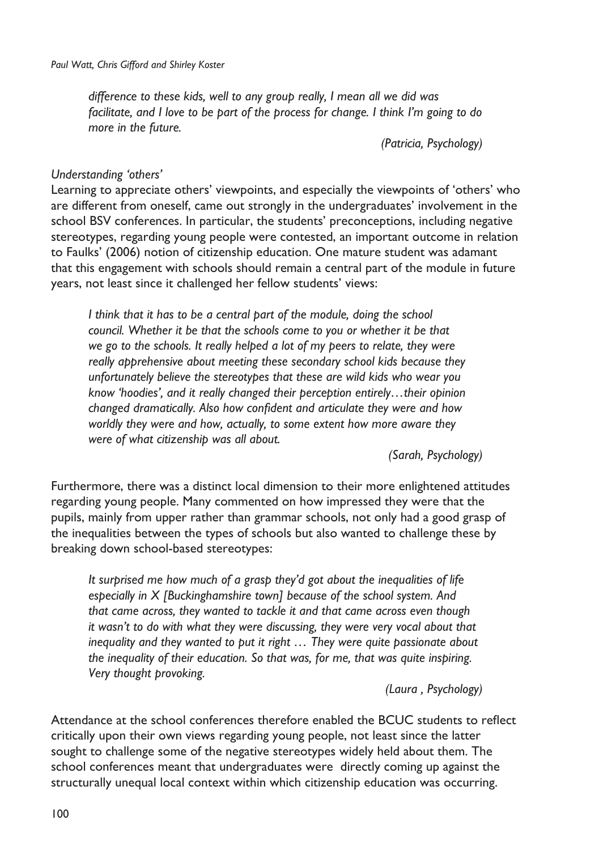*difference to these kids, well to any group really, I mean all we did was facilitate, and I love to be part of the process for change. I think I'm going to do more in the future.*

*(Patricia, Psychology)*

#### *Understanding 'others'*

Learning to appreciate others' viewpoints, and especially the viewpoints of 'others' who are different from oneself, came out strongly in the undergraduates' involvement in the school BSV conferences. In particular, the students' preconceptions, including negative stereotypes, regarding young people were contested, an important outcome in relation to Faulks' (2006) notion of citizenship education. One mature student was adamant that this engagement with schools should remain a central part of the module in future years, not least since it challenged her fellow students' views:

*I think that it has to be a central part of the module, doing the school council. Whether it be that the schools come to you or whether it be that we go to the schools. It really helped a lot of my peers to relate, they were really apprehensive about meeting these secondary school kids because they unfortunately believe the stereotypes that these are wild kids who wear you know 'hoodies', and it really changed their perception entirely…their opinion changed dramatically. Also how confident and articulate they were and how worldly they were and how, actually, to some extent how more aware they were of what citizenship was all about.*

*(Sarah, Psychology)*

Furthermore, there was a distinct local dimension to their more enlightened attitudes regarding young people. Many commented on how impressed they were that the pupils, mainly from upper rather than grammar schools, not only had a good grasp of the inequalities between the types of schools but also wanted to challenge these by breaking down school-based stereotypes:

*It surprised me how much of a grasp they'd got about the inequalities of life especially in X [Buckinghamshire town] because of the school system. And that came across, they wanted to tackle it and that came across even though it wasn't to do with what they were discussing, they were very vocal about that inequality and they wanted to put it right … They were quite passionate about the inequality of their education. So that was, for me, that was quite inspiring. Very thought provoking.*

*(Laura , Psychology)*

Attendance at the school conferences therefore enabled the BCUC students to reflect critically upon their own views regarding young people, not least since the latter sought to challenge some of the negative stereotypes widely held about them. The school conferences meant that undergraduates were directly coming up against the structurally unequal local context within which citizenship education was occurring.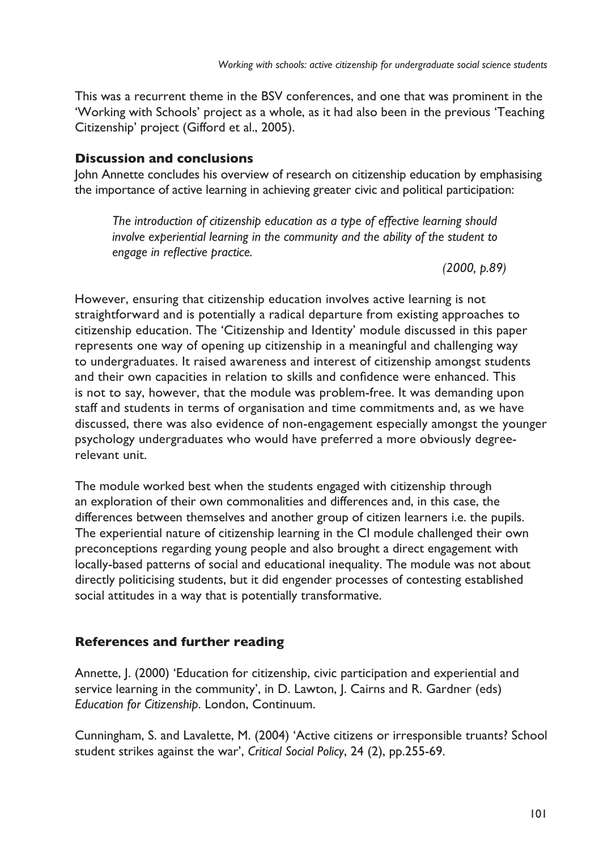This was a recurrent theme in the BSV conferences, and one that was prominent in the 'Working with Schools' project as a whole, as it had also been in the previous 'Teaching Citizenship' project (Gifford et al., 2005).

#### **Discussion and conclusions**

John Annette concludes his overview of research on citizenship education by emphasising the importance of active learning in achieving greater civic and political participation:

*The introduction of citizenship education as a type of effective learning should involve experiential learning in the community and the ability of the student to engage in reflective practice.*

*(2000, p.89)*

However, ensuring that citizenship education involves active learning is not straightforward and is potentially a radical departure from existing approaches to citizenship education. The 'Citizenship and Identity' module discussed in this paper represents one way of opening up citizenship in a meaningful and challenging way to undergraduates. It raised awareness and interest of citizenship amongst students and their own capacities in relation to skills and confidence were enhanced. This is not to say, however, that the module was problem-free. It was demanding upon staff and students in terms of organisation and time commitments and, as we have discussed, there was also evidence of non-engagement especially amongst the younger psychology undergraduates who would have preferred a more obviously degreerelevant unit.

The module worked best when the students engaged with citizenship through an exploration of their own commonalities and differences and, in this case, the differences between themselves and another group of citizen learners i.e. the pupils. The experiential nature of citizenship learning in the CI module challenged their own preconceptions regarding young people and also brought a direct engagement with locally-based patterns of social and educational inequality. The module was not about directly politicising students, but it did engender processes of contesting established social attitudes in a way that is potentially transformative.

#### **References and further reading**

Annette, J. (2000) 'Education for citizenship, civic participation and experiential and service learning in the community', in D. Lawton, J. Cairns and R. Gardner (eds) *Education for Citizenship*. London, Continuum.

Cunningham, S. and Lavalette, M. (2004) 'Active citizens or irresponsible truants? School student strikes against the war', *Critical Social Policy*, 24 (2), pp.255-69.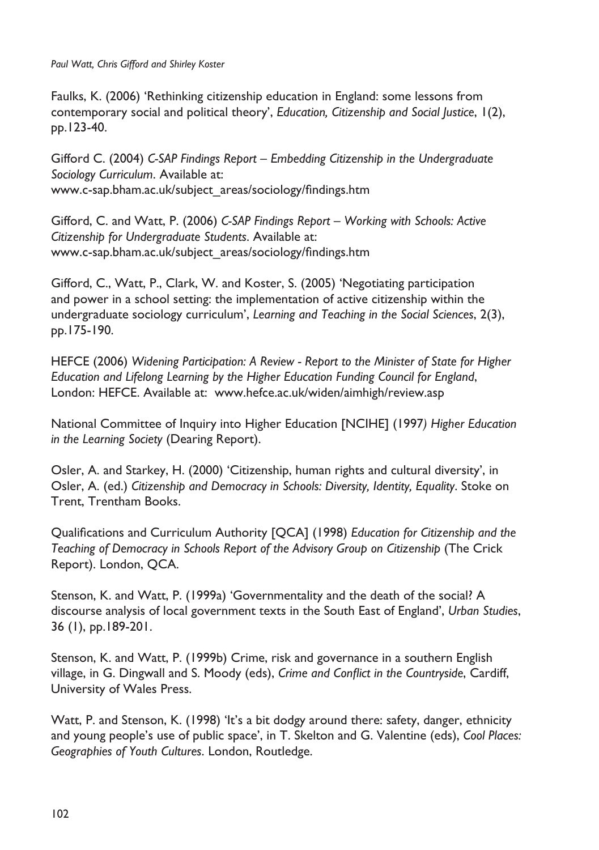*Paul Watt, Chris Gifford and Shirley Koster*

Faulks, K. (2006) 'Rethinking citizenship education in England: some lessons from contemporary social and political theory', *Education, Citizenship and Social Justice*, 1(2), pp.123-40.

Gifford C. (2004) *C-SAP Findings Report – Embedding Citizenship in the Undergraduate Sociology Curriculum*. Available at: www.c-sap.bham.ac.uk/subject\_areas/sociology/findings.htm

Gifford, C. and Watt, P. (2006) *C-SAP Findings Report – Working with Schools: Active Citizenship for Undergraduate Students*. Available at: www.c-sap.bham.ac.uk/subject\_areas/sociology/findings.htm

Gifford, C., Watt, P., Clark, W. and Koster, S. (2005) 'Negotiating participation and power in a school setting: the implementation of active citizenship within the undergraduate sociology curriculum', *Learning and Teaching in the Social Sciences*, 2(3), pp.175-190.

HEFCE (2006) *Widening Participation: A Review - Report to the Minister of State for Higher Education and Lifelong Learning by the Higher Education Funding Council for England*, London: HEFCE. Available at: www.hefce.ac.uk/widen/aimhigh/review.asp

National Committee of Inquiry into Higher Education [NCIHE] (1997*) Higher Education in the Learning Society* (Dearing Report).

Osler, A. and Starkey, H. (2000) 'Citizenship, human rights and cultural diversity', in Osler, A. (ed.) *Citizenship and Democracy in Schools: Diversity, Identity, Equality*. Stoke on Trent, Trentham Books.

Qualifications and Curriculum Authority [QCA] (1998) *Education for Citizenship and the Teaching of Democracy in Schools Report of the Advisory Group on Citizenship* (The Crick Report). London, QCA.

Stenson, K. and Watt, P. (1999a) 'Governmentality and the death of the social? A discourse analysis of local government texts in the South East of England', *Urban Studies*, 36 (1), pp.189-201.

Stenson, K. and Watt, P. (1999b) Crime, risk and governance in a southern English village, in G. Dingwall and S. Moody (eds), *Crime and Conflict in the Countryside*, Cardiff, University of Wales Press.

Watt, P. and Stenson, K. (1998) 'It's a bit dodgy around there: safety, danger, ethnicity and young people's use of public space', in T. Skelton and G. Valentine (eds), *Cool Places: Geographies of Youth Cultures*. London, Routledge.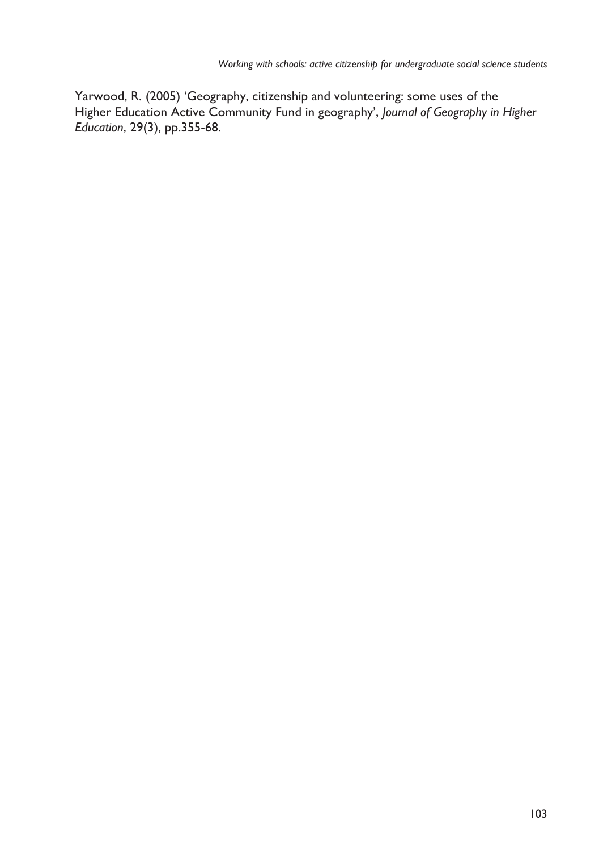Yarwood, R. (2005) 'Geography, citizenship and volunteering: some uses of the Higher Education Active Community Fund in geography', *Journal of Geography in Higher Education*, 29(3), pp.355-68.